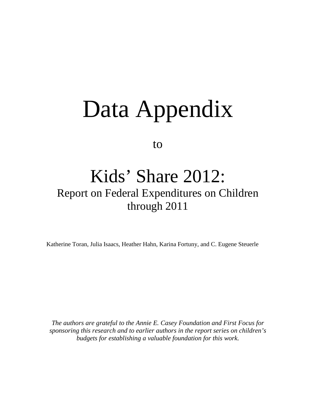# Data Appendix

to

## Kids' Share 2012:

## Report on Federal Expenditures on Children through 2011

Katherine Toran, Julia Isaacs, Heather Hahn, Karina Fortuny, and C. Eugene Steuerle

*The authors are grateful to the Annie E. Casey Foundation and First Focus for sponsoring this research and to earlier authors in the report series on children's budgets for establishing a valuable foundation for this work.*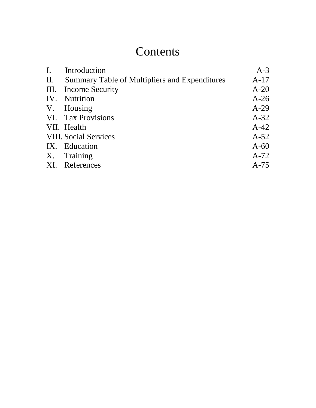## **Contents**

| I. Introduction                                   | $A-3$  |
|---------------------------------------------------|--------|
| II. Summary Table of Multipliers and Expenditures | $A-17$ |
| III. Income Security                              | $A-20$ |
| IV. Nutrition                                     | $A-26$ |
| V. Housing                                        | $A-29$ |
| VI. Tax Provisions                                | $A-32$ |
| VII. Health                                       | $A-42$ |
| <b>VIII. Social Services</b>                      | $A-52$ |
| IX. Education                                     | $A-60$ |
| X. Training                                       | $A-72$ |
| XI. References                                    | $A-75$ |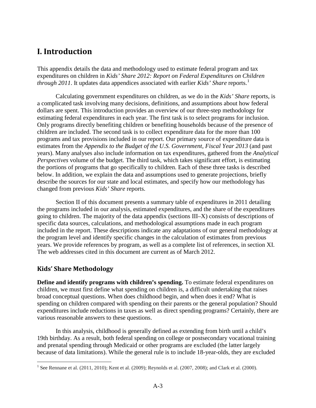#### **I. Introduction**

This appendix details the data and methodology used to estimate federal program and tax expenditures on children in *Kids' Share 2012: Report on Federal Expenditures on Children through 20[1](#page-2-0)1*. It updates data appendices associated with earlier *Kids' Share* reports.<sup>1</sup>

Calculating government expenditures on children, as we do in the *Kids' Share* reports, is a complicated task involving many decisions, definitions, and assumptions about how federal dollars are spent. This introduction provides an overview of our three-step methodology for estimating federal expenditures in each year. The first task is to select programs for inclusion. Only programs directly benefiting children or benefiting households because of the presence of children are included. The second task is to collect expenditure data for the more than 100 programs and tax provisions included in our report. Our primary source of expenditure data is estimates from the *Appendix to the Budget of the U.S. Government, Fiscal Year 2013* (and past years). Many analyses also include information on tax expenditures, gathered from the *Analytical Perspectives* volume of the budget. The third task, which takes significant effort, is estimating the portions of programs that go specifically to children. Each of these three tasks is described below. In addition, we explain the data and assumptions used to generate projections, briefly describe the sources for our state and local estimates, and specify how our methodology has changed from previous *Kids' Share* reports.

Section II of this document presents a summary table of expenditures in 2011 detailing the programs included in our analysis, estimated expenditures, and the share of the expenditures going to children. The majority of the data appendix (sections III–X) consists of descriptions of specific data sources, calculations, and methodological assumptions made in each program included in the report. These descriptions indicate any adaptations of our general methodology at the program level and identify specific changes in the calculation of estimates from previous years. We provide references by program, as well as a complete list of references, in section XI. The web addresses cited in this document are current as of March 2012.

#### **Kids' Share Methodology**

**Define and identify programs with children's spending.** To estimate federal expenditures on children, we must first define what spending on children is, a difficult undertaking that raises broad conceptual questions. When does childhood begin, and when does it end? What is spending on children compared with spending on their parents or the general population? Should expenditures include reductions in taxes as well as direct spending programs? Certainly, there are various reasonable answers to these questions.

In this analysis, childhood is generally defined as extending from birth until a child's 19th birthday. As a result, both federal spending on college or postsecondary vocational training and prenatal spending through Medicaid or other programs are excluded (the latter largely because of data limitations). While the general rule is to include 18-year-olds, they are excluded

<span id="page-2-0"></span><sup>&</sup>lt;sup>1</sup> See Rennane et al. (2011, 2010); Kent et al. (2009); Reynolds et al. (2007, 2008); and Clark et al. (2000).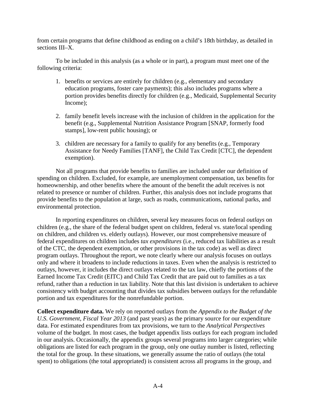from certain programs that define childhood as ending on a child's 18th birthday, as detailed in sections III–X.

To be included in this analysis (as a whole or in part), a program must meet one of the following criteria:

- 1. benefits or services are entirely for children (e.g., elementary and secondary education programs, foster care payments); this also includes programs where a portion provides benefits directly for children (e.g., Medicaid, Supplemental Security Income);
- 2. family benefit levels increase with the inclusion of children in the application for the benefit (e.g., Supplemental Nutrition Assistance Program [SNAP, formerly food stamps], low-rent public housing); or
- 3. children are necessary for a family to qualify for any benefits (e.g., Temporary Assistance for Needy Families [TANF], the Child Tax Credit [CTC], the dependent exemption).

Not all programs that provide benefits to families are included under our definition of spending on children. Excluded, for example, are unemployment compensation, tax benefits for homeownership, and other benefits where the amount of the benefit the adult receives is not related to presence or number of children. Further, this analysis does not include programs that provide benefits to the population at large, such as roads, communications, national parks, and environmental protection.

In reporting expenditures on children, several key measures focus on federal *outlays* on children (e.g., the share of the federal budget spent on children, federal vs. state/local spending on children, and children vs. elderly outlays). However, our most comprehensive measure of federal expenditures on children includes *tax expenditures* (i.e., reduced tax liabilities as a result of the CTC, the dependent exemption, or other provisions in the tax code) as well as direct program outlays. Throughout the report, we note clearly where our analysis focuses on outlays only and where it broadens to include reductions in taxes. Even when the analysis is restricted to outlays, however, it includes the direct outlays related to the tax law, chiefly the portions of the Earned Income Tax Credit (EITC) and Child Tax Credit that are paid out to families as a tax refund, rather than a reduction in tax liability. Note that this last division is undertaken to achieve consistency with budget accounting that divides tax subsidies between outlays for the refundable portion and tax expenditures for the nonrefundable portion.

**Collect expenditure data.** We rely on reported outlays from the *Appendix to the Budget of the U.S. Government, Fiscal Year 2013* (and past years) as the primary source for our expenditure data. For estimated expenditures from tax provisions, we turn to the *Analytical Perspectives* volume of the budget. In most cases, the budget appendix lists outlays for each program included in our analysis. Occasionally, the appendix groups several programs into larger categories; while obligations are listed for each program in the group, only one outlay number is listed, reflecting the total for the group. In these situations, we generally assume the ratio of outlays (the total spent) to obligations (the total appropriated) is consistent across all programs in the group, and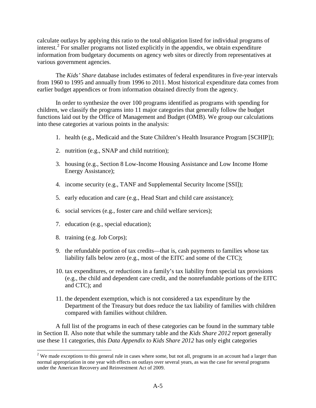calculate outlays by applying this ratio to the total obligation listed for individual programs of interest.<sup>[2](#page-4-0)</sup> For smaller programs not listed explicitly in the appendix, we obtain expenditure information from budgetary documents on agency web sites or directly from representatives at various government agencies.

The *Kids' Share* database includes estimates of federal expenditures in five-year intervals from 1960 to 1995 and annually from 1996 to 2011. Most historical expenditure data comes from earlier budget appendices or from information obtained directly from the agency.

In order to synthesize the over 100 programs identified as programs with spending for children, we classify the programs into 11 major categories that generally follow the budget functions laid out by the Office of Management and Budget (OMB). We group our calculations into these categories at various points in the analysis:

- 1. health (e.g., Medicaid and the State Children's Health Insurance Program [SCHIP]);
- 2. nutrition (e.g., SNAP and child nutrition);
- 3. housing (e.g., Section 8 Low-Income Housing Assistance and Low Income Home Energy Assistance);
- 4. income security (e.g., TANF and Supplemental Security Income [SSI]);
- 5. early education and care (e.g., Head Start and child care assistance);
- 6. social services (e.g., foster care and child welfare services);
- 7. education (e.g., special education);
- 8. training (e.g. Job Corps);
- 9. the refundable portion of tax credits—that is, cash payments to families whose tax liability falls below zero (e.g., most of the EITC and some of the CTC);
- 10. tax expenditures, or reductions in a family's tax liability from special tax provisions (e.g., the child and dependent care credit, and the nonrefundable portions of the EITC and CTC); and
- 11. the dependent exemption, which is not considered a tax expenditure by the Department of the Treasury but does reduce the tax liability of families with children compared with families without children.

A full list of the programs in each of these categories can be found in the summary table in Section II. Also note that while the summary table and the *Kids Share 2012* report generally use these 11 categories, this *Data Appendix to Kids Share 2012* has only eight categories

<span id="page-4-0"></span> $2$  We made exceptions to this general rule in cases where some, but not all, programs in an account had a larger than normal appropriation in one year with effects on outlays over several years, as was the case for several programs under the American Recovery and Reinvestment Act of 2009.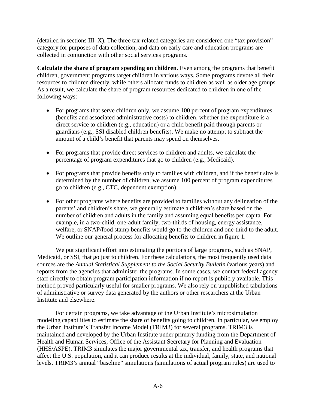(detailed in sections III–X). The three tax-related categories are considered one "tax provision" category for purposes of data collection, and data on early care and education programs are collected in conjunction with other social services programs.

**Calculate the share of program spending on children**. Even among the programs that benefit children, government programs target children in various ways. Some programs devote all their resources to children directly, while others allocate funds to children as well as older age groups. As a result, we calculate the share of program resources dedicated to children in one of the following ways:

- For programs that serve children only, we assume 100 percent of program expenditures (benefits and associated administrative costs) to children, whether the expenditure is a direct service to children (e.g., education) or a child benefit paid through parents or guardians (e.g., SSI disabled children benefits). We make no attempt to subtract the amount of a child's benefit that parents may spend on themselves.
- For programs that provide direct services to children and adults, we calculate the percentage of program expenditures that go to children (e.g., Medicaid).
- For programs that provide benefits only to families with children, and if the benefit size is determined by the number of children, we assume 100 percent of program expenditures go to children (e.g., CTC, dependent exemption).
- For other programs where benefits are provided to families without any delineation of the parents' and children's share, we generally estimate a children's share based on the number of children and adults in the family and assuming equal benefits per capita. For example, in a two-child, one-adult family, two-thirds of housing, energy assistance, welfare, or SNAP/food stamp benefits would go to the children and one-third to the adult. We outline our general process for allocating benefits to children in figure 1.

We put significant effort into estimating the portions of large programs, such as SNAP, Medicaid, or SSI, that go just to children. For these calculations, the most frequently used data sources are the *Annual Statistical Supplement to the Social Security Bulletin* (various years) and reports from the agencies that administer the programs. In some cases, we contact federal agency staff directly to obtain program participation information if no report is publicly available. This method proved particularly useful for smaller programs. We also rely on unpublished tabulations of administrative or survey data generated by the authors or other researchers at the Urban Institute and elsewhere.

For certain programs, we take advantage of the Urban Institute's microsimulation modeling capabilities to estimate the share of benefits going to children. In particular, we employ the Urban Institute's Transfer Income Model (TRIM3) for several programs. TRIM3 is maintained and developed by the Urban Institute under primary funding from the Department of Health and Human Services, Office of the Assistant Secretary for Planning and Evaluation (HHS/ASPE). TRIM3 simulates the major governmental [tax, transfer, and health programs](http://trim3.urban.org/T3IntroPrograms.php) that affect the U.S. population, and it can produce results at the individual, family, state, and national levels. TRIM3's annual "baseline" simulations (simulations of actual program rules) are used to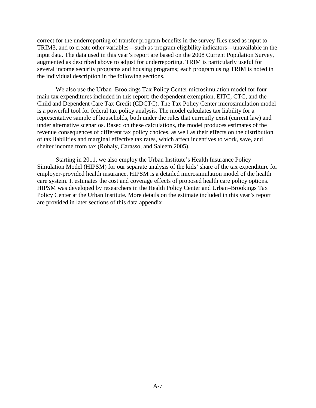correct for the underreporting of transfer program benefits in the survey files used as input to TRIM3, and to create other variables—such as program eligibility indicators—unavailable in the input data. The data used in this year's report are based on the 2008 Current Population Survey, augmented as described above to adjust for underreporting. TRIM is particularly useful for several income security programs and housing programs; each program using TRIM is noted in the individual description in the following sections.

We also use the Urban–Brookings Tax Policy Center microsimulation model for four main tax expenditures included in this report: the dependent exemption, EITC, CTC, and the Child and Dependent Care Tax Credit (CDCTC). The Tax Policy Center microsimulation model is a powerful tool for federal tax policy analysis. The model calculates tax liability for a representative sample of households, both under the rules that currently exist (current law) and under alternative scenarios. Based on these calculations, the model produces estimates of the revenue consequences of different tax policy choices, as well as their effects on the distribution of tax liabilities and marginal effective tax rates, which affect incentives to work, save, and shelter income from tax (Rohaly, Carasso, and Saleem 2005).

Starting in 2011, we also employ the Urban Institute's Health Insurance Policy Simulation Model (HIPSM) for our separate analysis of the kids' share of the tax expenditure for employer-provided health insurance. HIPSM is a detailed microsimulation model of the health care system. It estimates the cost and coverage effects of proposed health care policy options. HIPSM was developed by researchers in the Health Policy Center and Urban–Brookings Tax Policy Center at the Urban Institute. More details on the estimate included in this year's report are provided in later sections of this data appendix.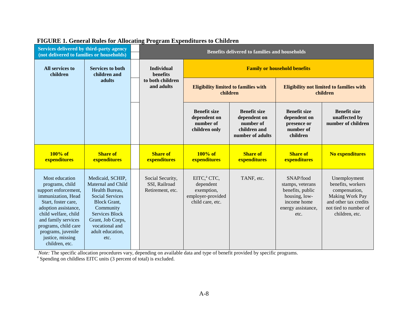| Services delivered by third-party agency<br>(not delivered to families or households)                                                                                                                                                                             |                                                                                                                                                                                                             |  | <b>Benefits delivered to families and households</b>  |                                                                                             |                                                                                      |                                                                                                                 |                                                                                                                                           |
|-------------------------------------------------------------------------------------------------------------------------------------------------------------------------------------------------------------------------------------------------------------------|-------------------------------------------------------------------------------------------------------------------------------------------------------------------------------------------------------------|--|-------------------------------------------------------|---------------------------------------------------------------------------------------------|--------------------------------------------------------------------------------------|-----------------------------------------------------------------------------------------------------------------|-------------------------------------------------------------------------------------------------------------------------------------------|
| All services to<br><b>Services to both</b><br>children<br>children and                                                                                                                                                                                            |                                                                                                                                                                                                             |  | <b>Individual</b><br><b>benefits</b>                  | <b>Family or household benefits</b>                                                         |                                                                                      |                                                                                                                 |                                                                                                                                           |
|                                                                                                                                                                                                                                                                   | adults                                                                                                                                                                                                      |  | to both children<br>and adults                        | <b>Eligibility limited to families with</b><br>children                                     |                                                                                      | <b>Eligibility not limited to families with</b><br>children                                                     |                                                                                                                                           |
|                                                                                                                                                                                                                                                                   |                                                                                                                                                                                                             |  |                                                       | <b>Benefit size</b><br>dependent on<br>number of<br>children only                           | <b>Benefit size</b><br>dependent on<br>number of<br>children and<br>number of adults | <b>Benefit size</b><br>dependent on<br>presence or<br>number of<br>children                                     | <b>Benefit size</b><br>unaffected by<br>number of children                                                                                |
| $100\%$ of<br>expenditures                                                                                                                                                                                                                                        | <b>Share of</b><br>expenditures                                                                                                                                                                             |  | <b>Share of</b><br>expenditures                       | $100\%$ of<br>expenditures                                                                  | <b>Share of</b><br>expenditures                                                      | <b>Share of</b><br>expenditures                                                                                 | <b>No expenditures</b>                                                                                                                    |
| Most education<br>programs, child<br>support enforcement,<br>immunization, Head<br>Start, foster care,<br>adoption assistance,<br>child welfare, child<br>and family services<br>programs, child care<br>programs, juvenile<br>justice, missing<br>children, etc. | Medicaid, SCHIP,<br>Maternal and Child<br>Health Bureau,<br><b>Social Services</b><br><b>Block Grant,</b><br>Community<br>Services Block<br>Grant, Job Corps,<br>vocational and<br>adult education,<br>etc. |  | Social Security,<br>SSI, Railroad<br>Retirement, etc. | EITC, <sup>a</sup> CTC,<br>dependent<br>exemption,<br>employer-provided<br>child care, etc. | TANF, etc.                                                                           | SNAP/food<br>stamps, veterans<br>benefits, public<br>housing, low-<br>income home<br>energy assistance,<br>etc. | Unemployment<br>benefits, workers<br>compensation,<br>Making Work Pay<br>and other tax credits<br>not tied to number of<br>children, etc. |

#### **FIGURE 1. General Rules for Allocating Program Expenditures to Children**

*Note:* The specific allocation procedures vary, depending on available data and type of benefit provided by specific programs. <sup>a</sup> Spending on childless EITC units (3 percent of total) is excluded.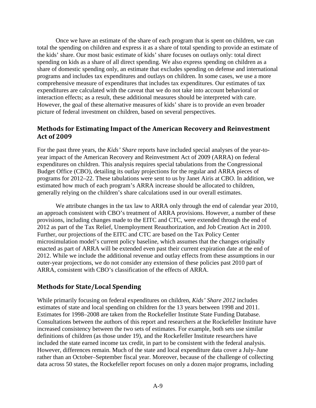Once we have an estimate of the share of each program that is spent on children, we can total the spending on children and express it as a share of total spending to provide an estimate of the kids' share. Our most basic estimate of kids' share focuses on outlays only: total direct spending on kids as a share of all direct spending. We also express spending on children as a share of domestic spending only, an estimate that excludes spending on defense and international programs and includes tax expenditures and outlays on children. In some cases, we use a more comprehensive measure of expenditures that includes tax expenditures. Our estimates of tax expenditures are calculated with the caveat that we do not take into account behavioral or interaction effects; as a result, these additional measures should be interpreted with care. However, the goal of these alternative measures of kids' share is to provide an even broader picture of federal investment on children, based on several perspectives.

#### **Methods for Estimating Impact of the American Recovery and Reinvestment Act of 2009**

For the past three years, the *Kids' Share* reports have included special analyses of the year-toyear impact of the American Recovery and Reinvestment Act of 2009 (ARRA) on federal expenditures on children. This analysis requires special tabulations from the Congressional Budget Office (CBO), detailing its outlay projections for the regular and ARRA pieces of programs for 2012–22. These tabulations were sent to us by Janet Airis at CBO. In addition, we estimated how much of each program's ARRA increase should be allocated to children, generally relying on the children's share calculations used in our overall estimates.

We attribute changes in the tax law to ARRA only through the end of calendar year 2010, an approach consistent with CBO's treatment of ARRA provisions. However, a number of these provisions, including changes made to the EITC and CTC, were extended through the end of 2012 as part of the Tax Relief, Unemployment Reauthorization, and Job Creation Act in 2010. Further, our projections of the EITC and CTC are based on the Tax Policy Center microsimulation model's current policy baseline, which assumes that the changes originally enacted as part of ARRA will be extended even past their current expiration date at the end of 2012. While we include the additional revenue and outlay effects from these assumptions in our outer-year projections, we do not consider any extension of these policies past 2010 part of ARRA, consistent with CBO's classification of the effects of ARRA.

#### **Methods for State/Local Spending**

While primarily focusing on federal expenditures on children, *Kids' Share 2012* includes estimates of state and local spending on children for the 13 years between 1998 and 2011. Estimates for 1998–2008 are taken from the Rockefeller Institute State Funding Database. Consultations between the authors of this report and researchers at the Rockefeller Institute have increased consistency between the two sets of estimates. For example, both sets use similar definitions of children (as those under 19), and the Rockefeller Institute researchers have included the state earned income tax credit, in part to be consistent with the federal analysis. However, differences remain. Much of the state and local expenditure data cover a July–June rather than an October–September fiscal year. Moreover, because of the challenge of collecting data across 50 states, the Rockefeller report focuses on only a dozen major programs, including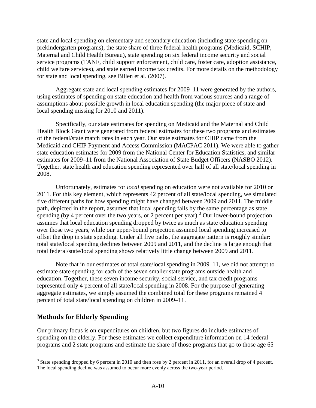state and local spending on elementary and secondary education (including state spending on prekindergarten programs), the state share of three federal health programs (Medicaid, SCHIP, Maternal and Child Health Bureau), state spending on six federal income security and social service programs (TANF, child support enforcement, child care, foster care, adoption assistance, child welfare services), and state earned income tax credits. For more details on the methodology for state and local spending, see Billen et al. (2007).

Aggregate state and local spending estimates for 2009–11 were generated by the authors, using estimates of spending on state education and health from various sources and a range of assumptions about possible growth in local education spending (the major piece of state and local spending missing for 2010 and 2011).

Specifically, our state estimates for spending on Medicaid and the Maternal and Child Health Block Grant were generated from federal estimates for these two programs and estimates of the federal/state match rates in each year. Our state estimates for CHIP came from the Medicaid and CHIP Payment and Access Commission (MACPAC 2011). We were able to gather state education estimates for 2009 from the National Center for Education Statistics, and similar estimates for 2009–11 from the National Association of State Budget Officers (NASBO 2012). Together, state health and education spending represented over half of all state/local spending in 2008.

Unfortunately, estimates for *local* spending on education were not available for 2010 or 2011. For this key element, which represents 42 percent of all state/local spending, we simulated five different paths for how spending might have changed between 2009 and 2011. The middle path, depicted in the report, assumes that local spending falls by the same percentage as state spending (by 4 percent over the two years, or 2 percent per year).<sup>[3](#page-9-0)</sup> Our lower-bound projection assumes that local education spending dropped by twice as much as state education spending over those two years, while our upper-bound projection assumed local spending increased to offset the drop in state spending. Under all five paths, the aggregate pattern is roughly similar: total state/local spending declines between 2009 and 2011, and the decline is large enough that total federal/state/local spending shows relatively little change between 2009 and 2011.

Note that in our estimates of total state/local spending in 2009–11, we did not attempt to estimate state spending for each of the seven smaller state programs outside health and education. Together, these seven income security, social service, and tax credit programs represented only 4 percent of all state/local spending in 2008. For the purpose of generating aggregate estimates, we simply assumed the combined total for these programs remained 4 percent of total state/local spending on children in 2009–11.

#### **Methods for Elderly Spending**

Our primary focus is on expenditures on children, but two figures do include estimates of spending on the elderly. For these estimates we collect expenditure information on 14 federal programs and 2 state programs and estimate the share of those programs that go to those age 65

<span id="page-9-0"></span> $3$  State spending dropped by 6 percent in 2010 and then rose by 2 percent in 2011, for an overall drop of 4 percent. The local spending decline was assumed to occur more evenly across the two-year period.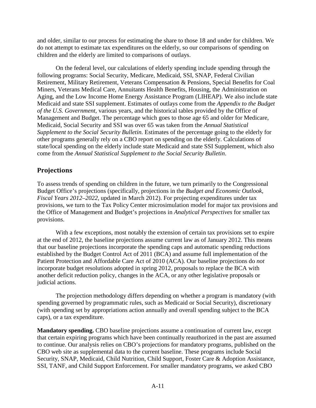and older, similar to our process for estimating the share to those 18 and under for children. We do not attempt to estimate tax expenditures on the elderly, so our comparisons of spending on children and the elderly are limited to comparisons of outlays.

On the federal level, our calculations of elderly spending include spending through the following programs: Social Security, Medicare, Medicaid, SSI, SNAP, Federal Civilian Retirement, Military Retirement, Veterans Compensation & Pensions, Special Benefits for Coal Miners, Veterans Medical Care, Annuitants Health Benefits, Housing, the Administration on Aging, and the Low Income Home Energy Assistance Program (LIHEAP). We also include state Medicaid and state SSI supplement. Estimates of outlays come from the *Appendix to the Budget of the U.S. Government,* various years, and the historical tables provided by the Office of Management and Budget. The percentage which goes to those age 65 and older for Medicare, Medicaid, Social Security and SSI was over 65 was taken from the *Annual Statistical Supplement to the Social Security Bulletin.* Estimates of the percentage going to the elderly for other programs generally rely on a CBO report on spending on the elderly. Calculations of state/local spending on the elderly include state Medicaid and state SSI Supplement, which also come from the *Annual Statistical Supplement to the Social Security Bulletin*.

#### **Projections**

To assess trends of spending on children in the future, we turn primarily to the Congressional Budget Office's projections (specifically, projections in the *Budget and Economic Outlook, Fiscal Years 2012–2022,* updated in March 2012). For projecting expenditures under tax provisions, we turn to the Tax Policy Center microsimulation model for major tax provisions and the Office of Management and Budget's projections in *Analytical Perspectives* for smaller tax provisions.

With a few exceptions, most notably the extension of certain tax provisions set to expire at the end of 2012, the baseline projections assume current law as of January 2012. This means that our baseline projections incorporate the spending caps and automatic spending reductions established by the Budget Control Act of 2011 (BCA) and assume full implementation of the Patient Protection and Affordable Care Act of 2010 (ACA). Our baseline projections do *not* incorporate budget resolutions adopted in spring 2012, proposals to replace the BCA with another deficit reduction policy, changes in the ACA, or any other legislative proposals or judicial actions.

The projection methodology differs depending on whether a program is mandatory (with spending governed by programmatic rules, such as Medicaid or Social Security), discretionary (with spending set by appropriations action annually and overall spending subject to the BCA caps), or a tax expenditure.

**Mandatory spending.** CBO baseline projections assume a continuation of current law, except that certain expiring programs which have been continually reauthorized in the past are assumed to continue. Our analysis relies on CBO's projections for mandatory programs, published on the CBO web site as supplemental data to the current baseline. These programs include Social Security, SNAP, Medicaid, Child Nutrition, Child Support, Foster Care & Adoption Assistance, SSI, TANF, and Child Support Enforcement. For smaller mandatory programs, we asked CBO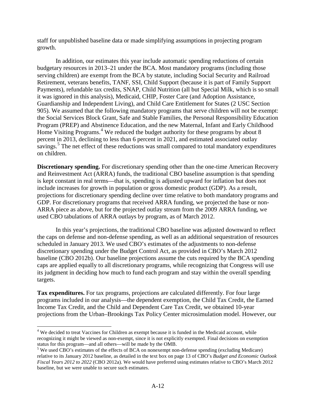staff for unpublished baseline data or made simplifying assumptions in projecting program growth.

In addition, our estimates this year include automatic spending reductions of certain budgetary resources in 2013–21 under the BCA. Most mandatory programs (including those serving children) are exempt from the BCA by statute, including Social Security and Railroad Retirement, veterans benefits, TANF, SSI, Child Support (because it is part of Family Support Payments), refundable tax credits, SNAP, Child Nutrition (all but Special Milk, which is so small it was ignored in this analysis), Medicaid, CHIP, Foster Care (and Adoption Assistance, Guardianship and Independent Living), and Child Care Entitlement for States (2 USC Section 905). We assumed that the following mandatory programs that serve children will not be exempt: the Social Services Block Grant, Safe and Stable Families, the Personal Responsibility Education Program (PREP) and Abstinence Education, and the new Maternal, Infant and Early Childhood Home Visiting Programs. [4](#page-11-0) We reduced the budget authority for these programs by about 8 percent in 2013, declining to less than 6 percent in 2021, and estimated associated outlay savings.<sup>[5](#page-11-1)</sup> The net effect of these reductions was small compared to total mandatory expenditures on children.

**Discretionary spending.** For discretionary spending other than the one-time American Recovery and Reinvestment Act (ARRA) funds, the traditional CBO baseline assumption is that spending is kept constant in real terms—that is, spending is adjusted upward for inflation but does not include increases for growth in population or gross domestic product (GDP). As a result, projections for discretionary spending decline over time relative to both mandatory programs and GDP. For discretionary programs that received ARRA funding, we projected the base or non-ARRA piece as above, but for the projected outlay stream from the 2009 ARRA funding, we used CBO tabulations of ARRA outlays by program, as of March 2012.

In this year's projections, the traditional CBO baseline was adjusted downward to reflect the caps on defense and non-defense spending, as well as an additional sequestration of resources scheduled in January 2013. We used CBO's estimates of the adjustments to non-defense discretionary spending under the Budget Control Act, as provided in CBO's March 2012 baseline (CBO 2012b). Our baseline projections assume the cuts required by the BCA spending caps are applied equally to all discretionary programs, while recognizing that Congress will use its judgment in deciding how much to fund each program and stay within the overall spending targets.

**Tax expenditures.** For tax programs, projections are calculated differently. For four large programs included in our analysis—the dependent exemption, the Child Tax Credit, the Earned Income Tax Credit, and the Child and Dependent Care Tax Credit, we obtained 10-year projections from the Urban–Brookings Tax Policy Center microsimulation model. However, our

<span id="page-11-0"></span><sup>&</sup>lt;sup>4</sup> We decided to treat Vaccines for Children as exempt because it is funded in the Medicaid account, while recognizing it might be viewed as non-exempt, since it is not explicitly exempted. Final decisions on exemption status for this program—and all others—will be made by the OMB.

<span id="page-11-1"></span><sup>&</sup>lt;sup>5</sup> We used CBO's estimates of the effects of BCA on nonexempt non-defense spending (excluding Medicare) relative to its January 2012 baseline, as detailed in the text box on page 13 of CBO's *Budget and Economic Outlook Fiscal Years 2012 to 2022* (CBO 2012a). We would have preferred using estimates relative to CBO's March 2012 baseline, but we were unable to secure such estimates.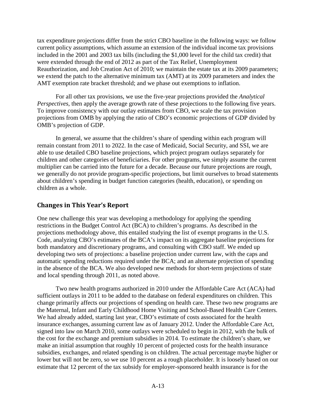tax expenditure projections differ from the strict CBO baseline in the following ways: we follow current policy assumptions, which assume an extension of the individual income tax provisions included in the 2001 and 2003 tax bills (including the \$1,000 level for the child tax credit) that were extended through the end of 2012 as part of the Tax Relief, Unemployment Reauthorization, and Job Creation Act of 2010; we maintain the estate tax at its 2009 parameters; we extend the patch to the alternative minimum tax (AMT) at its 2009 parameters and index the AMT exemption rate bracket threshold; and we phase out exemptions to inflation.

For all other tax provisions, we use the five-year projections provided the *Analytical Perspectives*, then apply the average growth rate of these projections to the following five years. To improve consistency with our outlay estimates from CBO, we scale the tax provision projections from OMB by applying the ratio of CBO's economic projections of GDP divided by OMB's projection of GDP.

In general, we assume that the children's share of spending within each program will remain constant from 2011 to 2022. In the case of Medicaid, Social Security, and SSI, we are able to use detailed CBO baseline projections, which project program outlays separately for children and other categories of beneficiaries. For other programs, we simply assume the current multiplier can be carried into the future for a decade. Because our future projections are rough, we generally do not provide program-specific projections, but limit ourselves to broad statements about children's spending in budget function categories (health, education), or spending on children as a whole.

#### **Changes in This Year's Report**

One new challenge this year was developing a methodology for applying the spending restrictions in the Budget Control Act (BCA) to children's programs. As described in the projections methodology above, this entailed studying the list of exempt programs in the U.S. Code, analyzing CBO's estimates of the BCA's impact on its aggregate baseline projections for both mandatory and discretionary programs, and consulting with CBO staff. We ended up developing two sets of projections: a baseline projection under current law, with the caps and automatic spending reductions required under the BCA; and an alternate projection of spending in the absence of the BCA. We also developed new methods for short-term projections of state and local spending through 2011, as noted above.

Two new health programs authorized in 2010 under the Affordable Care Act (ACA) had sufficient outlays in 2011 to be added to the database on federal expenditures on children. This change primarily affects our projections of spending on health care. These two new programs are the Maternal, Infant and Early Childhood Home Visiting and School-Based Health Care Centers. We had already added, starting last year, CBO's estimate of costs associated for the health insurance exchanges, assuming current law as of January 2012. Under the Affordable Care Act, signed into law on March 2010, some outlays were scheduled to begin in 2012, with the bulk of the cost for the exchange and premium subsidies in 2014. To estimate the children's share, we make an initial assumption that roughly 10 percent of projected costs for the health insurance subsidies, exchanges, and related spending is on children. The actual percentage maybe higher or lower but will not be zero, so we use 10 percent as a rough placeholder. It is loosely based on our estimate that 12 percent of the tax subsidy for employer-sponsored health insurance is for the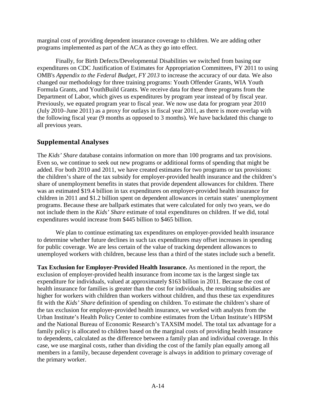marginal cost of providing dependent insurance coverage to children. We are adding other programs implemented as part of the ACA as they go into effect.

Finally, for Birth Defects/Developmental Disabilities we switched from basing our expenditures on CDC Justification of Estimates for Appropriation Committees, FY 2011 to using OMB's *Appendix to the Federal Budget, FY 2013* to increase the accuracy of our data. We also changed our methodology for three training programs: Youth Offender Grants, WIA Youth Formula Grants, and YouthBuild Grants. We receive data for these three programs from the Department of Labor, which gives us expenditures by program year instead of by fiscal year. Previously, we equated program year to fiscal year. We now use data for program year 2010 (July 2010–June 2011) as a proxy for outlays in fiscal year 2011, as there is more overlap with the following fiscal year (9 months as opposed to 3 months). We have backdated this change to all previous years.

#### **Supplemental Analyses**

The *Kids' Share* database contains information on more than 100 programs and tax provisions. Even so, we continue to seek out new programs or additional forms of spending that might be added. For both 2010 and 2011, we have created estimates for two programs or tax provisions: the children's share of the tax subsidy for employer-provided health insurance and the children's share of unemployment benefits in states that provide dependent allowances for children. There was an estimated \$19.4 billion in tax expenditures on employer-provided health insurance for children in 2011 and \$1.2 billion spent on dependent allowances in certain states' unemployment programs. Because these are ballpark estimates that were calculated for only two years, we do not include them in the *Kids' Share* estimate of total expenditures on children. If we did, total expenditures would increase from \$445 billion to \$465 billion.

We plan to continue estimating tax expenditures on employer-provided health insurance to determine whether future declines in such tax expenditures may offset increases in spending for public coverage. We are less certain of the value of tracking dependent allowances to unemployed workers with children, because less than a third of the states include such a benefit.

**Tax Exclusion for Employer-Provided Health Insurance.** As mentioned in the report, the exclusion of employer-provided health insurance from income tax is the largest single tax expenditure for individuals, valued at approximately \$163 billion in 2011. Because the cost of health insurance for families is greater than the cost for individuals, the resulting subsidies are higher for workers with children than workers without children, and thus these tax expenditures fit with the *Kids' Share* definition of spending on children. To estimate the children's share of the tax exclusion for employer-provided health insurance, we worked with analysts from the Urban Institute's Health Policy Center to combine estimates from the Urban Institute's HIPSM and the National Bureau of Economic Research's TAXSIM model. The total tax advantage for a family policy is allocated to children based on the marginal costs of providing health insurance to dependents, calculated as the difference between a family plan and individual coverage. In this case, we use marginal costs, rather than dividing the cost of the family plan equally among all members in a family, because dependent coverage is always in addition to primary coverage of the primary worker.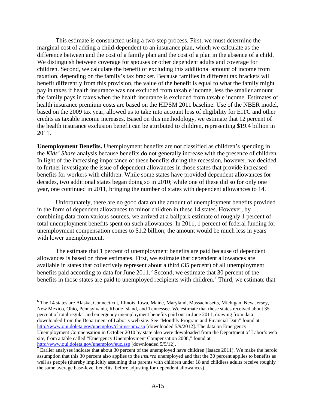This estimate is constructed using a two-step process. First, we must determine the marginal cost of adding a child-dependent to an insurance plan, which we calculate as the difference between and the cost of a family plan and the cost of a plan in the absence of a child. We distinguish between coverage for spouses or other dependent adults and coverage for children. Second, we calculate the benefit of excluding this additional amount of income from taxation, depending on the family's tax bracket. Because families in different tax brackets will benefit differently from this provision, the value of the benefit is equal to what the family might pay in taxes if health insurance was not excluded from taxable income, less the smaller amount the family pays in taxes when the health insurance is excluded from taxable income. Estimates of health insurance premium costs are based on the HIPSM 2011 baseline. Use of the NBER model, based on the 2009 tax year, allowed us to take into account loss of eligibility for EITC and other credits as taxable income increases. Based on this methodology, we estimate that 12 percent of the health insurance exclusion benefit can be attributed to children, representing \$19.4 billion in 2011.

**Unemployment Benefits.** Unemployment benefits are not classified as children's spending in the *Kids' Share* analysis because benefits do not generally increase with the presence of children. In light of the increasing importance of these benefits during the recession, however, we decided to further investigate the issue of dependent allowances in those states that provide increased benefits for workers with children. While some states have provided dependent allowances for decades, two additional states began doing so in 2010; while one of these did so for only one year, one continued in 2011, bringing the number of states with dependent allowances to 14.

Unfortunately, there are no good data on the amount of unemployment benefits provided in the form of dependent allowances to minor children in these 14 states. However, by combining data from various sources, we arrived at a ballpark estimate of roughly 1 percent of total unemployment benefits spent on such allowances. In 2011, 1 percent of federal funding for unemployment compensation comes to \$1.2 billion; the amount would be much less in years with lower unemployment.

The estimate that 1 percent of unemployment benefits are paid because of dependent allowances is based on three estimates. First, we estimate that dependent allowances are available in states that collectively represent about a third (35 percent) of all unemployment benefits paid according to data for June 2011. [6](#page-14-0) Second, we estimate that 30 percent of the benefits in those states are paid to unemployed recipients with children.<sup>[7](#page-14-1)</sup> Third, we estimate that

<span id="page-14-0"></span> <sup>6</sup> The 14 states are Alaska, Connecticut, Illinois, Iowa, Maine, Maryland, Massachusetts, Michigan, New Jersey, New Mexico, Ohio, Pennsylvania, Rhode Island, and Tennessee. We estimate that these states received about 35 percent of total regular and emergency unemployment benefits paid out in June 2011, drawing from data downloaded from the Department of Labor's web site. See "Monthly Program and Financial Data" found at <http://www.oui.doleta.gov/unemploy/claimssum.asp> [downloaded 5/9/2012]. The data on Emergency Unemployment Compensation in October 2010 by state also were downloaded from the Department of Labor's web site, from a table called "Emergency Unemployment Compensation 2008," found at http://www.oui.doleta.gov/unemploy/euc.asp [downloaded 5/9/12].

<span id="page-14-1"></span><sup>&</sup>lt;sup>[7](http://www.oui.doleta.gov/unemploy/euc.asp)</sup> Earlier analyses indicate that about 30 percent of the unemployed have children (Isaacs 2011). We make the heroic assumption that this 30 percent also applies to the *insured* unemployed and that the 30 percent applies to benefits as well as people (thereby implicitly assuming that parents with children under 18 and childless adults receive roughly the same average base-level benefits, before adjusting for dependent allowances).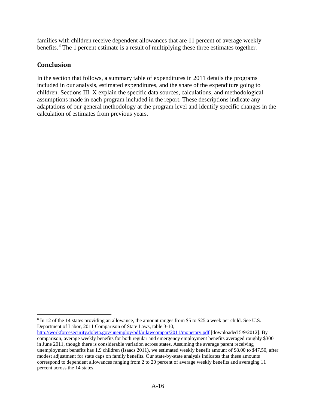families with children receive dependent allowances that are 11 percent of average weekly benefits. $8 \text{ The } 1 \text{ percent estimate is a result of multiplying these three estimates together.}$  $8 \text{ The } 1 \text{ percent estimate is a result of multiplying these three estimates together.}$ 

#### **Conclusion**

In the section that follows, a summary table of expenditures in 2011 details the programs included in our analysis, estimated expenditures, and the share of the expenditure going to children. Sections III–X explain the specific data sources, calculations, and methodological assumptions made in each program included in the report. These descriptions indicate any adaptations of our general methodology at the program level and identify specific changes in the calculation of estimates from previous years.

<span id="page-15-0"></span> $8 \text{ In } 12 \text{ of the } 14 \text{ states providing an allowance, the amount ranges from $5$ to $25$ a week per child. See U.S.}$ Department of Labor, 2011 Comparison of State Laws, table 3-10,

<http://workforcesecurity.doleta.gov/unemploy/pdf/uilawcompar/2011/monetary.pdf> [downloaded 5/9/2012]. By comparison, average weekly benefits for both regular and emergency employment benefits averaged roughly \$300 in June 2011, though there is considerable variation across states. Assuming the average parent receiving unemployment benefits has 1.9 children (Isaacs 2011), we estimated weekly benefit amount of \$8.00 to \$47.50, after modest adjustment for state caps on family benefits. Our state-by-state analysis indicates that these amounts correspond to dependent allowances ranging from 2 to 20 percent of average weekly benefits and averaging 11 percent across the 14 states.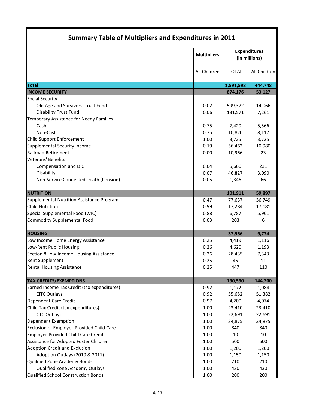| <b>Summary Table of Multipliers and Expenditures in 2011</b> |                    |                                      |              |  |
|--------------------------------------------------------------|--------------------|--------------------------------------|--------------|--|
|                                                              | <b>Multipliers</b> | <b>Expenditures</b><br>(in millions) |              |  |
|                                                              | All Children       | <b>TOTAL</b>                         | All Children |  |
| <b>Total</b>                                                 |                    | 1,591,598                            | 444,748      |  |
| <b>INCOME SECURITY</b>                                       |                    | 874,176                              | 53,127       |  |
| <b>Social Security</b>                                       |                    |                                      |              |  |
| Old Age and Survivors' Trust Fund                            | 0.02               | 599,372                              | 14,066       |  |
| <b>Disability Trust Fund</b>                                 | 0.06               | 131,571                              | 7,261        |  |
| Temporary Assistance for Needy Families                      |                    |                                      |              |  |
| Cash                                                         | 0.75               | 7,420                                | 5,566        |  |
| Non-Cash                                                     | 0.75               | 10,820                               | 8,117        |  |
| Child Support Enforcement                                    | 1.00               | 3,725                                | 3,725        |  |
| <b>Supplemental Security Income</b>                          | 0.19               | 56,462                               | 10,980       |  |
| <b>Railroad Retirement</b>                                   | 0.00               | 10,966                               | 23           |  |
| Veterans' Benefits                                           |                    |                                      |              |  |
| Compensation and DIC                                         | 0.04               | 5,666                                | 231          |  |
| Disability                                                   | 0.07               | 46,827                               | 3,090        |  |
| Non-Service Connected Death (Pension)                        | 0.05               | 1,346                                | 66           |  |
| <b>NUTRITION</b>                                             |                    | 101,911                              | 59,897       |  |
| <b>Supplemental Nutrition Assistance Program</b>             | 0.47               | 77,637                               | 36,749       |  |
| <b>Child Nutrition</b>                                       | 0.99               | 17,284                               | 17,181       |  |
| Special Supplemental Food (WIC)                              |                    | 6,787                                | 5,961        |  |
| <b>Commodity Supplemental Food</b>                           | 0.03               | 203                                  | 6            |  |
| <b>HOUSING</b>                                               |                    | 37,966                               | 9,774        |  |
| Low Income Home Energy Assistance                            | 0.25               | 4,419                                | 1,116        |  |
| Low-Rent Public Housing                                      | 0.26               | 4,620                                | 1,193        |  |
| Section 8 Low-Income Housing Assistance                      | 0.26               | 28,435                               | 7,343        |  |
| <b>Rent Supplement</b>                                       | 0.25               | 45                                   | 11           |  |
| <b>Rental Housing Assistance</b>                             | 0.25               | 447                                  | 110          |  |
| <b>TAX CREDITS/EXEMPTIONS</b>                                |                    | 190,590                              | 144,200      |  |
| Earned Income Tax Credit (tax expenditures)                  | 0.92               | 1,172                                | 1,084        |  |
| <b>EITC Outlays</b>                                          | 0.92               | 55,652                               | 51,382       |  |
| Dependent Care Credit                                        | 0.97               | 4,200                                | 4,074        |  |
| Child Tax Credit (tax expenditures)                          | 1.00               | 23,410                               | 23,410       |  |
| <b>CTC Outlays</b>                                           | 1.00               | 22,691                               | 22,691       |  |
| Dependent Exemption                                          | 1.00               | 34,875                               | 34,875       |  |
| Exclusion of Employer-Provided Child Care                    | 1.00               | 840                                  | 840          |  |
| Employer-Provided Child Care Credit                          | 1.00               | 10                                   | 10           |  |
| Assistance for Adopted Foster Children                       | 1.00               | 500                                  | 500          |  |
| <b>Adoption Credit and Exclusion</b>                         | 1.00               | 1,200                                | 1,200        |  |
| Adoption Outlays (2010 & 2011)                               | 1.00               | 1,150                                | 1,150        |  |
| Qualified Zone Academy Bonds                                 | 1.00               | 210                                  | 210          |  |
| Qualified Zone Academy Outlays                               | 1.00               | 430                                  | 430          |  |
| Qualified School Construction Bonds                          | 1.00               | 200                                  | 200          |  |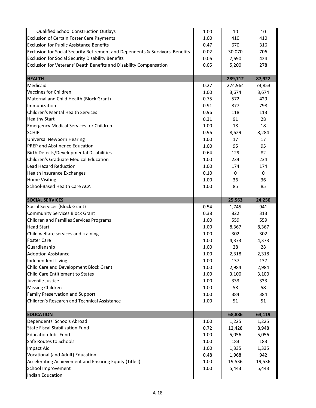| <b>Qualified School Construction Outlays</b>                                  | 1.00 | 10      | 10     |
|-------------------------------------------------------------------------------|------|---------|--------|
| <b>Exclusion of Certain Foster Care Payments</b>                              |      | 410     | 410    |
| <b>Exclusion for Public Assistance Benefits</b>                               | 0.47 | 670     | 316    |
| Exclusion for Social Security Retirement and Dependents & Survivors' Benefits | 0.02 | 30,070  | 706    |
| <b>Exclusion for Social Security Disability Benefits</b>                      | 0.06 | 7,690   | 424    |
| Exclusion for Veterans' Death Benefits and Disability Compensation            | 0.05 | 5,200   | 278    |
|                                                                               |      |         |        |
| <b>HEALTH</b>                                                                 |      | 289,712 | 87,922 |
| Medicaid                                                                      | 0.27 | 274,964 | 73,853 |
| <b>Vaccines for Children</b>                                                  | 1.00 | 3,674   | 3,674  |
| Maternal and Child Health (Block Grant)                                       | 0.75 | 572     | 429    |
| Immunization                                                                  | 0.91 | 877     | 798    |
| Children's Mental Health Services                                             | 0.96 | 118     | 113    |
| <b>Healthy Start</b>                                                          | 0.31 | 91      | 28     |
| <b>Emergency Medical Services for Children</b>                                | 1.00 | 18      | 18     |
| <b>SCHIP</b>                                                                  | 0.96 | 8,629   | 8,284  |
| <b>Universal Newborn Hearing</b>                                              | 1.00 | 17      | 17     |
| PREP and Abstinence Education                                                 | 1.00 | 95      | 95     |
| <b>Birth Defects/Developmental Disabilities</b>                               | 0.64 | 129     | 82     |
| Children's Graduate Medical Education                                         | 1.00 | 234     | 234    |
| <b>Lead Hazard Reduction</b>                                                  | 1.00 | 174     | 174    |
| <b>Health Insurance Exchanges</b>                                             | 0.10 | 0       | 0      |
| <b>Home Visiting</b>                                                          | 1.00 | 36      | 36     |
| School-Based Health Care ACA                                                  | 1.00 | 85      | 85     |
| <b>SOCIAL SERVICES</b>                                                        |      | 25,563  | 24,250 |
| Social Services (Block Grant)                                                 | 0.54 | 1,745   | 941    |
| <b>Community Services Block Grant</b>                                         | 0.38 | 822     | 313    |
| Children and Families Services Programs                                       | 1.00 | 559     | 559    |
| <b>Head Start</b>                                                             | 1.00 | 8,367   | 8,367  |
| Child welfare services and training                                           | 1.00 | 302     | 302    |
| <b>Foster Care</b>                                                            | 1.00 | 4,373   | 4,373  |
| Guardianship                                                                  | 1.00 | 28      | 28     |
| <b>Adoption Assistance</b>                                                    | 1.00 | 2,318   | 2,318  |
| Independent Living                                                            | 1.00 | 137     | 137    |
| Child Care and Development Block Grant                                        | 1.00 | 2,984   | 2,984  |
| Child Care Entitlement to States                                              | 1.00 | 3,100   | 3,100  |
| Juvenile Justice                                                              | 1.00 | 333     | 333    |
| <b>Missing Children</b>                                                       | 1.00 | 58      | 58     |
| Family Preservation and Support                                               | 1.00 | 384     | 384    |
| <b>Children's Research and Technical Assistance</b>                           | 1.00 | 51      | 51     |
| <b>EDUCATION</b>                                                              |      | 68,886  | 64,119 |
| Dependents' Schools Abroad                                                    | 1.00 | 1,225   | 1,225  |
| <b>State Fiscal Stabilization Fund</b>                                        | 0.72 | 12,428  | 8,948  |
| <b>Education Jobs Fund</b>                                                    | 1.00 | 5,056   | 5,056  |
| Safe Routes to Schools                                                        | 1.00 | 183     | 183    |
| <b>Impact Aid</b>                                                             | 1.00 | 1,335   | 1,335  |
| Vocational (and Adult) Education                                              | 0.48 | 1,968   | 942    |
| Accelerating Achievement and Ensuring Equity (Title I)                        | 1.00 | 19,536  | 19,536 |
| School Improvement                                                            | 1.00 | 5,443   | 5,443  |
| <b>Indian Education</b>                                                       |      |         |        |
|                                                                               |      |         |        |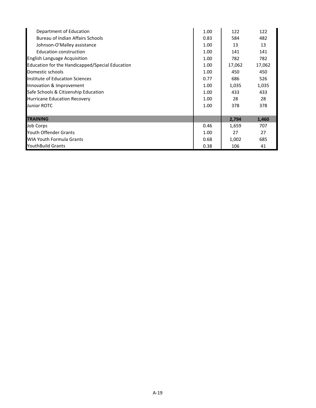| Department of Education                         |      | 122    | 122    |
|-------------------------------------------------|------|--------|--------|
| Bureau of Indian Affairs Schools                | 0.83 | 584    | 482    |
| Johnson-O'Malley assistance                     | 1.00 | 13     | 13     |
| <b>Education construction</b>                   | 1.00 | 141    | 141    |
| <b>English Language Acquisition</b>             | 1.00 | 782    | 782    |
| Education for the Handicapped/Special Education | 1.00 | 17,062 | 17,062 |
| Domestic schools                                | 1.00 | 450    | 450    |
| Institute of Education Sciences                 | 0.77 | 686    | 526    |
| Innovation & Improvement                        |      | 1,035  | 1,035  |
| Safe Schools & Citizenship Education            |      | 433    | 433    |
| <b>Hurricane Education Recovery</b>             |      | 28     | 28     |
| Junior ROTC                                     |      | 378    | 378    |
|                                                 |      |        |        |
| <b>TRAINING</b>                                 |      | 2,794  | 1,460  |
| Job Corps                                       | 0.46 | 1,659  | 707    |
| Youth Offender Grants                           |      | 27     | 27     |
| <b>WIA Youth Formula Grants</b>                 |      | 1,002  | 685    |
| <b>YouthBuild Grants</b>                        |      | 106    | 41     |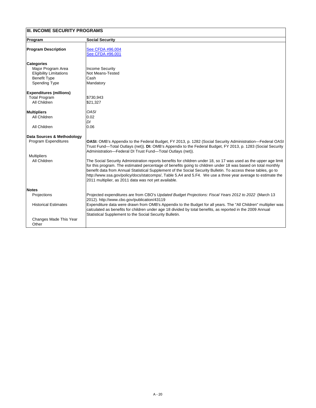| <b>Program</b>                                                                                                           | <b>Social Security</b>                                                                                                                                                                                                                                                                                                                                                                                                                                                                                                    |
|--------------------------------------------------------------------------------------------------------------------------|---------------------------------------------------------------------------------------------------------------------------------------------------------------------------------------------------------------------------------------------------------------------------------------------------------------------------------------------------------------------------------------------------------------------------------------------------------------------------------------------------------------------------|
| <b>Program Description</b>                                                                                               | See CFDA #96.004<br>See CFDA #96.001                                                                                                                                                                                                                                                                                                                                                                                                                                                                                      |
| <b>Categories</b><br>Major Program Area<br><b>Eligibility Limitations</b><br><b>Benefit Type</b><br><b>Spending Type</b> | <b>Income Security</b><br><b>Not Means-Tested</b><br>Cash<br>Mandatory                                                                                                                                                                                                                                                                                                                                                                                                                                                    |
| <b>Expenditures (millions)</b><br><b>Total Program</b><br><b>All Children</b>                                            | \$730,943<br>\$21,327                                                                                                                                                                                                                                                                                                                                                                                                                                                                                                     |
| <b>Multipliers</b><br><b>All Children</b>                                                                                | <b>OASI</b><br>0.02<br>DI                                                                                                                                                                                                                                                                                                                                                                                                                                                                                                 |
| <b>All Children</b>                                                                                                      | 0.06                                                                                                                                                                                                                                                                                                                                                                                                                                                                                                                      |
| <b>Data Sources &amp; Methodology</b>                                                                                    |                                                                                                                                                                                                                                                                                                                                                                                                                                                                                                                           |
| <b>Program Expenditures</b>                                                                                              | <b>OASI:</b> OMB's Appendix to the Federal Budget, FY 2013, p. 1282 (Social Security Administration—Federal OASI  <br>Trust Fund—Total Outlays (net)). DI: OMB's Appendix to the Federal Budget, FY 2013, p. 1283 (Social Security<br>Administration-Federal DI Trust Fund-Total Outlays (net)).                                                                                                                                                                                                                          |
| <b>Multipliers</b>                                                                                                       |                                                                                                                                                                                                                                                                                                                                                                                                                                                                                                                           |
| <b>All Children</b>                                                                                                      | The Social Security Administration reports benefits for children under 18, so 17 was used as the upper age limit<br>for this program. The estimated percentage of benefits going to children under 18 was based on total monthly<br>benefit data from Annual Statistical Supplement of the Social Security Bulletin. To access these tables, go to<br>http://www.ssa.gov/policy/docs/statcomps/, Table 5.A4 and 5.F4. We use a three year average to estimate the<br>2011 multiplier, as 2011 data was not yet available. |
| <b>Notes</b>                                                                                                             |                                                                                                                                                                                                                                                                                                                                                                                                                                                                                                                           |
| <b>Projections</b>                                                                                                       | Projected expenditures are from CBO's Updated Budget Projections: Fiscal Years 2012 to 2022 (March 13<br>2012). http://www.cbo.gov/publication/43119                                                                                                                                                                                                                                                                                                                                                                      |
| <b>Historical Estimates</b>                                                                                              | Expenditure data were drawn from OMB's Appendix to the Budget for all years. The "All Children" multiplier was<br>calculated as benefits for children under age 18 divided by total benefits, as reported in the 2009 Annual<br>Statistical Supplement to the Social Security Bulletin.                                                                                                                                                                                                                                   |
| Changes Made This Year<br>Other                                                                                          |                                                                                                                                                                                                                                                                                                                                                                                                                                                                                                                           |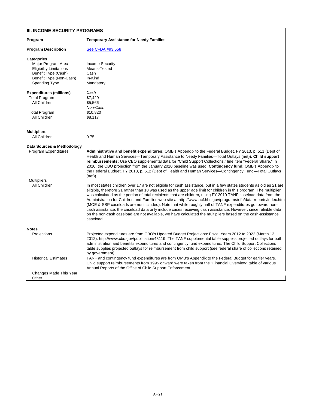| Program                                   | <b>Temporary Assistance for Needy Families</b>                                                                                                                                                                                                                                                                                                                                                                                                                                                                                                                                                                                                                                                                                                                                                                                          |
|-------------------------------------------|-----------------------------------------------------------------------------------------------------------------------------------------------------------------------------------------------------------------------------------------------------------------------------------------------------------------------------------------------------------------------------------------------------------------------------------------------------------------------------------------------------------------------------------------------------------------------------------------------------------------------------------------------------------------------------------------------------------------------------------------------------------------------------------------------------------------------------------------|
| <b>Program Description</b>                | See CFDA #93.558                                                                                                                                                                                                                                                                                                                                                                                                                                                                                                                                                                                                                                                                                                                                                                                                                        |
| <b>Categories</b>                         |                                                                                                                                                                                                                                                                                                                                                                                                                                                                                                                                                                                                                                                                                                                                                                                                                                         |
| Major Program Area                        | <b>Income Security</b>                                                                                                                                                                                                                                                                                                                                                                                                                                                                                                                                                                                                                                                                                                                                                                                                                  |
| <b>Eligibility Limitations</b>            | Means-Tested                                                                                                                                                                                                                                                                                                                                                                                                                                                                                                                                                                                                                                                                                                                                                                                                                            |
| Benefit Type (Cash)                       | Cash                                                                                                                                                                                                                                                                                                                                                                                                                                                                                                                                                                                                                                                                                                                                                                                                                                    |
| Benefit Type (Non-Cash)                   | In-Kind                                                                                                                                                                                                                                                                                                                                                                                                                                                                                                                                                                                                                                                                                                                                                                                                                                 |
| <b>Spending Type</b>                      | Mandatory                                                                                                                                                                                                                                                                                                                                                                                                                                                                                                                                                                                                                                                                                                                                                                                                                               |
| <b>Expenditures (millions)</b>            | Cash                                                                                                                                                                                                                                                                                                                                                                                                                                                                                                                                                                                                                                                                                                                                                                                                                                    |
| <b>Total Program</b>                      | \$7,420                                                                                                                                                                                                                                                                                                                                                                                                                                                                                                                                                                                                                                                                                                                                                                                                                                 |
| All Children                              | \$5,566                                                                                                                                                                                                                                                                                                                                                                                                                                                                                                                                                                                                                                                                                                                                                                                                                                 |
|                                           | Non-Cash                                                                                                                                                                                                                                                                                                                                                                                                                                                                                                                                                                                                                                                                                                                                                                                                                                |
| <b>Total Program</b>                      | \$10,820                                                                                                                                                                                                                                                                                                                                                                                                                                                                                                                                                                                                                                                                                                                                                                                                                                |
| <b>All Children</b>                       | \$8,117                                                                                                                                                                                                                                                                                                                                                                                                                                                                                                                                                                                                                                                                                                                                                                                                                                 |
|                                           |                                                                                                                                                                                                                                                                                                                                                                                                                                                                                                                                                                                                                                                                                                                                                                                                                                         |
| <b>Multipliers</b>                        |                                                                                                                                                                                                                                                                                                                                                                                                                                                                                                                                                                                                                                                                                                                                                                                                                                         |
| <b>All Children</b>                       | 0.75                                                                                                                                                                                                                                                                                                                                                                                                                                                                                                                                                                                                                                                                                                                                                                                                                                    |
|                                           |                                                                                                                                                                                                                                                                                                                                                                                                                                                                                                                                                                                                                                                                                                                                                                                                                                         |
| Data Sources & Methodology                |                                                                                                                                                                                                                                                                                                                                                                                                                                                                                                                                                                                                                                                                                                                                                                                                                                         |
| <b>Program Expenditures</b>               | Administrative and benefit expenditures: OMB's Appendix to the Federal Budget, FY 2013, p. 511 (Dept of<br>Health and Human Services—Temporary Assistance to Needy Families—Total Outlays (net)). Child support<br>reimbursements: Use CBO supplemental data for "Child Support Collections," line item "Federal Share." In<br>2010, the CBO projection from the January 2010 baseline was used. Contingency fund: OMB's Appendix to<br>the Federal Budget, FY 2013, p. 512 (Dept of Health and Human Services—Contingency Fund—Total Outlays<br>$(net)$ .                                                                                                                                                                                                                                                                              |
| <b>Multipliers</b><br><b>All Children</b> | In most states children over 17 are not eligible for cash assistance, but in a few states students as old as 21 are<br>eligible, therefore 21 rather than 18 was used as the upper age limit for children in this program. The multiplier<br>was calculated as the portion of total recipients that are children, using FY 2010 TANF caseload data from the<br>Administration for Children and Families web site at http://www.acf.hhs.gov/programs/ofa/data-reports/index.htm<br>(MOE & SSP caseloads are not included). Note that while roughly half of TANF expenditures go toward non-<br>cash assistance, the caseload data only include cases receiving cash assistance. However, since reliable data<br>on the non-cash caseload are not available, we have calculated the multipliers based on the cash-assistance<br>caseload. |
| <b>Notes</b>                              |                                                                                                                                                                                                                                                                                                                                                                                                                                                                                                                                                                                                                                                                                                                                                                                                                                         |
| <b>Projections</b>                        | Projected expenditures are from CBO's Updated Budget Projections: Fiscal Years 2012 to 2022 (March 13,<br>2012). http://www.cbo.gov/publication/43119. The TANF supplemental table supplies projected outlays for both<br>administration and benefits expenditures and contingency fund expenditures. The Child Support Collections<br>table supplies projected outlays for reimbursement from child support (see federal share of collections retained<br>by government).                                                                                                                                                                                                                                                                                                                                                              |

| <b>Historical Estimates</b>     | TANF and contingency fund expenditures are from OMB's Appendix to the Federal Budget for earlier years.<br>Child support reimbursements from 1995 onward were taken from the "Financial Overview" table of various<br>Annual Reports of the Office of Child Support Enforcement |
|---------------------------------|---------------------------------------------------------------------------------------------------------------------------------------------------------------------------------------------------------------------------------------------------------------------------------|
| Changes Made This Year<br>Other |                                                                                                                                                                                                                                                                                 |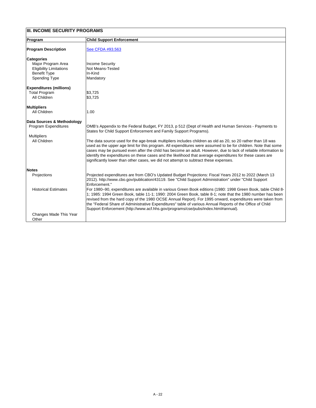## **Program Child Support Enforcement Program Description** [See CFDA #93.563](https://www.cfda.gov/index?s=program&mode=form&tab=step1&id=3422bcc65b424d909443c182ce4abf89) **Categories** Major Program Area <br>
Eligibility Limitations Not Means-Tested Eligibility Limitations Not Means-<br>Benefit Type Not Means-Benefit Type Spending Type Mandatory **Expenditures (millions)** Total Program  $\left| \text{\$3,725}\right|$ All Children 53,725 **Multipliers** All Children 1.00 **Data Sources & Methodology** OMB's Appendix to the Federal Budget, FY 2013, p 512 (Dept of Health and Human Services - Payments to States for Child Support Enforcement and Family Support Programs). **Multipliers** All Children The data source used for the age-break multipliers includes children as old as 20, so 20 rather than 18 was

**III. INCOME SECURITY PROGRAMS**

used as the upper age limit for this program. All expenditures were assumed to be for children. Note that some cases may be pursued even after the child has become an adult. However, due to lack of reliable information to identify the expenditures on these cases and the likelihood that average expenditures for these cases are significantly lower than other cases, we did not attempt to subtract these expenses.

| <b>Notes</b>                |                                                                                                                                                                                                                                                                                                                                                                                                                                                                                                                                            |
|-----------------------------|--------------------------------------------------------------------------------------------------------------------------------------------------------------------------------------------------------------------------------------------------------------------------------------------------------------------------------------------------------------------------------------------------------------------------------------------------------------------------------------------------------------------------------------------|
| <b>Projections</b>          | Projected expenditures are from CBO's Updated Budget Projections: Fiscal Years 2012 to 2022 (March 13<br>[2012]. http://www.cbo.gov/publication/43119. See "Child Support Administration" under "Child Support                                                                                                                                                                                                                                                                                                                             |
|                             | lEnforcement."                                                                                                                                                                                                                                                                                                                                                                                                                                                                                                                             |
| <b>Historical Estimates</b> | For 1980–90, expenditures are available in various Green Book editions (1980: 1998 Green Book, table Child 8-<br>1; 1985: 1994 Green Book, table 11-1; 1990: 2004 Green Book, table 8-1; note that the 1980 number has been<br>revised from the hard copy of the 1980 OCSE Annual Report). For 1995 onward, expenditures were taken from<br>the "Federal Share of Administrative Expenditures" table of various Annual Reports of the Office of Child<br>Support Enforcement (http://www.acf.hhs.gov/programs/cse/pubs/index.html#annual). |
| Changes Made This Year      |                                                                                                                                                                                                                                                                                                                                                                                                                                                                                                                                            |
| Other                       |                                                                                                                                                                                                                                                                                                                                                                                                                                                                                                                                            |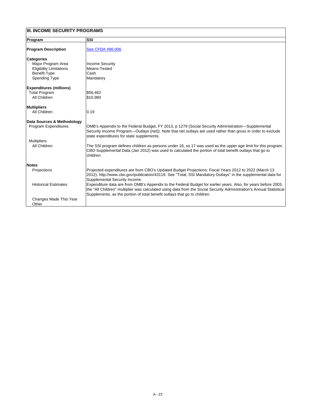| Program                        | <b>SSI</b>                                                                                                                                                                                                                                                                                                          |
|--------------------------------|---------------------------------------------------------------------------------------------------------------------------------------------------------------------------------------------------------------------------------------------------------------------------------------------------------------------|
| <b>Program Description</b>     | See CFDA #96.006                                                                                                                                                                                                                                                                                                    |
| <b>Categories</b>              |                                                                                                                                                                                                                                                                                                                     |
| Major Program Area             | <b>Income Security</b>                                                                                                                                                                                                                                                                                              |
| <b>Eligibility Limitations</b> | Means-Tested                                                                                                                                                                                                                                                                                                        |
| <b>Benefit Type</b>            | Cash                                                                                                                                                                                                                                                                                                                |
| <b>Spending Type</b>           | Mandatory                                                                                                                                                                                                                                                                                                           |
| <b>Expenditures (millions)</b> |                                                                                                                                                                                                                                                                                                                     |
| <b>Total Program</b>           | \$56,462                                                                                                                                                                                                                                                                                                            |
| <b>All Children</b>            | \$10,980                                                                                                                                                                                                                                                                                                            |
| <b>Multipliers</b>             |                                                                                                                                                                                                                                                                                                                     |
| <b>All Children</b>            | 0.19                                                                                                                                                                                                                                                                                                                |
| Data Sources & Methodology     |                                                                                                                                                                                                                                                                                                                     |
| <b>Program Expenditures</b>    | OMB's Appendix to the Federal Budget, FY 2013, p 1279 (Social Security Administration—Supplemental<br>Security Income Program—Outlays (net)). Note that net outlays are used rather than gross in order to exclude<br>state expenditures for state supplements.                                                     |
| <b>Multipliers</b>             |                                                                                                                                                                                                                                                                                                                     |
| <b>All Children</b>            | The SSI program defines children as persons under 18, so 17 was used as the upper age limit for this program.<br>CBO Supplemental Data (Jan 2012) was used to calculated the portion of total benefit outlays that go to<br>children.                                                                               |
| <b>Notes</b>                   |                                                                                                                                                                                                                                                                                                                     |
| Projections                    | Projected expenditures are from CBO's Updated Budget Projections: Fiscal Years 2012 to 2022 (March 13<br>2012). http://www.cbo.gov/publication/43119. See "Total, SSI Mandatory Outlays" in the supplemental data for<br><b>Supplemental Security Income.</b>                                                       |
| <b>Historical Estimates</b>    | Expenditure data are from OMB's Appendix to the Federal Budget for earlier years. Also, for years before 2003,<br>the "All Children" multiplier was calculated using data from the Social Security Administration's Annual Statistical<br>Supplements, as the portion of total benefit outlays that go to children. |
| Changes Made This Year         |                                                                                                                                                                                                                                                                                                                     |
| Other                          |                                                                                                                                                                                                                                                                                                                     |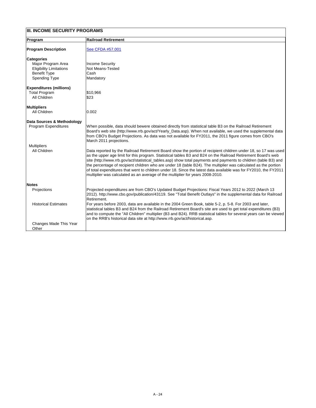| <b>Program</b>                 | <b>Railroad Retirement</b>                                                                                                                                                                                                                                                                                                                                                                                                                                                                                                                                                                                                                                                   |
|--------------------------------|------------------------------------------------------------------------------------------------------------------------------------------------------------------------------------------------------------------------------------------------------------------------------------------------------------------------------------------------------------------------------------------------------------------------------------------------------------------------------------------------------------------------------------------------------------------------------------------------------------------------------------------------------------------------------|
|                                |                                                                                                                                                                                                                                                                                                                                                                                                                                                                                                                                                                                                                                                                              |
| <b>Program Description</b>     | <b>See CFDA #57.001</b>                                                                                                                                                                                                                                                                                                                                                                                                                                                                                                                                                                                                                                                      |
| <b>Categories</b>              |                                                                                                                                                                                                                                                                                                                                                                                                                                                                                                                                                                                                                                                                              |
| Major Program Area             | Income Security                                                                                                                                                                                                                                                                                                                                                                                                                                                                                                                                                                                                                                                              |
| <b>Eligibility Limitations</b> | <b>Not Means-Tested</b>                                                                                                                                                                                                                                                                                                                                                                                                                                                                                                                                                                                                                                                      |
| <b>Benefit Type</b>            | lCash                                                                                                                                                                                                                                                                                                                                                                                                                                                                                                                                                                                                                                                                        |
| <b>Spending Type</b>           | Mandatory                                                                                                                                                                                                                                                                                                                                                                                                                                                                                                                                                                                                                                                                    |
| <b>Expenditures (millions)</b> |                                                                                                                                                                                                                                                                                                                                                                                                                                                                                                                                                                                                                                                                              |
| <b>Total Program</b>           | \$10,966                                                                                                                                                                                                                                                                                                                                                                                                                                                                                                                                                                                                                                                                     |
| <b>All Children</b>            | \$23                                                                                                                                                                                                                                                                                                                                                                                                                                                                                                                                                                                                                                                                         |
| <b>Multipliers</b>             |                                                                                                                                                                                                                                                                                                                                                                                                                                                                                                                                                                                                                                                                              |
| <b>All Children</b>            | 0.002                                                                                                                                                                                                                                                                                                                                                                                                                                                                                                                                                                                                                                                                        |
| Data Sources & Methodology     |                                                                                                                                                                                                                                                                                                                                                                                                                                                                                                                                                                                                                                                                              |
| <b>Program Expenditures</b>    | When possible, data should bewere obtained directly from statistical table B3 on the Railroad Retirement<br>Board's web site (http://www.rrb.gov/act/Yearly_Data.asp). When not available, we used the supplemental data<br>from CBO's Budget Projections. As data was not available for FY2011, the 2011 figure comes from CBO's<br>March 2011 projections.                                                                                                                                                                                                                                                                                                                 |
| <b>Multipliers</b>             |                                                                                                                                                                                                                                                                                                                                                                                                                                                                                                                                                                                                                                                                              |
| <b>All Children</b>            | Data reported by the Railroad Retirement Board show the portion of recipient children under 18, so 17 was used<br>as the upper age limit for this program. Statistical tables B3 and B24 on the Railroad Retirement Board's web<br>site (http://www.rrb.gov/act/statistical_tables.asp) show total payments and payments to children (table B3) and<br>the percentage of recipient children who are under 18 (table B24). The multiplier was calculated as the portion<br>of total expenditures that went to children under 18. Since the latest data available was for FY2010, the FY2011<br>multiplier was calculated as an average of the multiplier for years 2008-2010. |
| <b>Notes</b>                   |                                                                                                                                                                                                                                                                                                                                                                                                                                                                                                                                                                                                                                                                              |
| <b>Projections</b>             | Projected expenditures are from CBO's Updated Budget Projections: Fiscal Years 2012 to 2022 (March 13<br>2012). http://www.cbo.gov/publication/43119. See "Total Benefit Outlays" in the supplemental data for Railroad<br>Retirement.                                                                                                                                                                                                                                                                                                                                                                                                                                       |
| <b>Historical Estimates</b>    | For years before 2003, data are available in the 2004 Green Book, table 5-2, p. 5-8. For 2003 and later,<br>statistical tables B3 and B24 from the Railroad Retirement Board's site are used to get total expenditures (B3)<br> and to compute the "All Children" multiplier (B3 and B24). RRB statistical tables for several years can be viewed  <br>on the RRB's historical data site at http://www.rrb.gov/act/historical.asp.                                                                                                                                                                                                                                           |
| <b>Changes Made This Year</b>  |                                                                                                                                                                                                                                                                                                                                                                                                                                                                                                                                                                                                                                                                              |
| Other                          |                                                                                                                                                                                                                                                                                                                                                                                                                                                                                                                                                                                                                                                                              |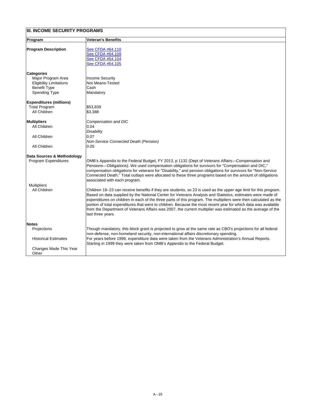| <b>Program</b>                 | <b>Veteran's Benefits</b>                                                                                        |
|--------------------------------|------------------------------------------------------------------------------------------------------------------|
|                                |                                                                                                                  |
| <b>Program Description</b>     | See CFDA #64.110                                                                                                 |
|                                | See CFDA #64.109                                                                                                 |
|                                | See CFDA #64.104                                                                                                 |
|                                | See CFDA #64.105                                                                                                 |
| <b>Categories</b>              |                                                                                                                  |
| Major Program Area             | <b>Income Security</b>                                                                                           |
| <b>Eligibility Limitations</b> | <b>Not Means-Tested</b>                                                                                          |
| <b>Benefit Type</b>            | Cash                                                                                                             |
| <b>Spending Type</b>           | Mandatory                                                                                                        |
|                                |                                                                                                                  |
| <b>Expenditures (millions)</b> |                                                                                                                  |
| <b>Total Program</b>           | \$53,839                                                                                                         |
| <b>All Children</b>            | \$3,388                                                                                                          |
| <b>Multipliers</b>             | <b>Compensation and DIC</b>                                                                                      |
| <b>All Children</b>            | 0.04                                                                                                             |
|                                | <b>Disability</b>                                                                                                |
| <b>All Children</b>            | 0.07                                                                                                             |
|                                | <b>Non-Service Connected Death (Pension)</b>                                                                     |
| <b>All Children</b>            | 0.05                                                                                                             |
| Data Sources & Methodology     |                                                                                                                  |
| <b>Program Expenditures</b>    | OMB's Appendix to the Federal Budget, FY 2013, p 1132 (Dept of Veterans Affairs—Compensation and                 |
|                                | Pensions—Obligations). We used compensation obligations for survivors for "Compensation and DIC,"                |
|                                | compensation obligations for veterans for "Disability," and pension obligations for survivors for "Non-Service   |
|                                | Connected Death." Total outlays were allocated to these three programs based on the amount of obligations        |
|                                | associated with each program.                                                                                    |
| <b>Multipliers</b>             |                                                                                                                  |
| <b>All Children</b>            | Children 18–23 can receive benefits if they are students, so 23 is used as the upper age limit for this program. |
|                                | Based on data supplied by the National Center for Veterans Analysis and Statistics, estimates were made of       |
|                                | expenditures on children in each of the three parts of this program. The multipliers were then calculated as the |
|                                | portion of total expenditures that went to children. Because the most recent year for which data was available   |
|                                |                                                                                                                  |
|                                | from the Department of Veterans Affairs was 2007, the current multiplier was estimated as the average of the     |
|                                | last three years.                                                                                                |
| <b>Notes</b>                   |                                                                                                                  |
| Projections                    | Though mandatory, this block grant is projected to grow at the same rate as CBO's projections for all federal    |
|                                | non-defense, non-homeland security, non-international affairs discretionary spending.                            |
| <b>Historical Estimates</b>    | For years before 1999, expenditure data were taken from the Veterans Administration's Annual Reports.            |
|                                | Starting in 1999 they were taken from OMB's Appendix to the Federal Budget.                                      |
| <b>Changes Made This Year</b>  |                                                                                                                  |
| Other                          |                                                                                                                  |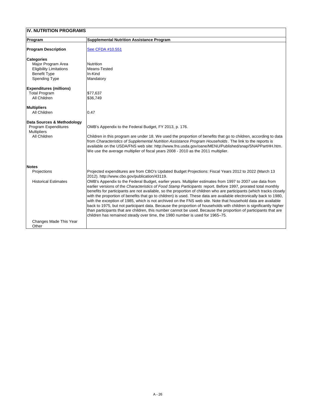| IV. NUTRITION PROGRAMS                                                                                                   |                                                                                                                                                                                                                                                                                                                                                                                                                                                                                                                                                                                                                                                                                                                                                                                                                                                                                                                                                                                                                                                                                 |
|--------------------------------------------------------------------------------------------------------------------------|---------------------------------------------------------------------------------------------------------------------------------------------------------------------------------------------------------------------------------------------------------------------------------------------------------------------------------------------------------------------------------------------------------------------------------------------------------------------------------------------------------------------------------------------------------------------------------------------------------------------------------------------------------------------------------------------------------------------------------------------------------------------------------------------------------------------------------------------------------------------------------------------------------------------------------------------------------------------------------------------------------------------------------------------------------------------------------|
| Program                                                                                                                  | <b>Supplemental Nutrition Assistance Program</b>                                                                                                                                                                                                                                                                                                                                                                                                                                                                                                                                                                                                                                                                                                                                                                                                                                                                                                                                                                                                                                |
| <b>Program Description</b>                                                                                               | See CFDA #10.551                                                                                                                                                                                                                                                                                                                                                                                                                                                                                                                                                                                                                                                                                                                                                                                                                                                                                                                                                                                                                                                                |
| <b>Categories</b><br>Major Program Area<br><b>Eligibility Limitations</b><br><b>Benefit Type</b><br><b>Spending Type</b> | <b>Nutrition</b><br>Means-Tested<br>In-Kind<br>Mandatory                                                                                                                                                                                                                                                                                                                                                                                                                                                                                                                                                                                                                                                                                                                                                                                                                                                                                                                                                                                                                        |
| <b>Expenditures (millions)</b><br><b>Total Program</b><br><b>All Children</b>                                            | \$77,637<br>\$36,749                                                                                                                                                                                                                                                                                                                                                                                                                                                                                                                                                                                                                                                                                                                                                                                                                                                                                                                                                                                                                                                            |
| <b>Multipliers</b><br><b>All Children</b>                                                                                | 0.47                                                                                                                                                                                                                                                                                                                                                                                                                                                                                                                                                                                                                                                                                                                                                                                                                                                                                                                                                                                                                                                                            |
| Data Sources & Methodology<br><b>Program Expenditures</b><br><b>Multipliers</b><br><b>All Children</b>                   | OMB's Appendix to the Federal Budget, FY 2013, p. 176.<br>Children in this program are under 18. We used the proportion of benefits that go to children, according to data<br>from Characteristics of Supplemental Nutrition Assistance Program Households. The link to the reports is<br>available on the USDA/FNS web site: http://www.fns.usda.gov/oane/MENU/Published/snap/SNAPPartHH.htm.<br>We use the average multiplier of fiscal years 2008 - 2010 as the 2011 multiplier.                                                                                                                                                                                                                                                                                                                                                                                                                                                                                                                                                                                             |
| <b>Notes</b><br><b>Projections</b><br><b>Historical Estimates</b>                                                        | Projected expenditures are from CBO's Updated Budget Projections: Fiscal Years 2012 to 2022 (March 13<br>2012). http://www.cbo.gov/publication/43119.<br>OMB's Appendix to the Federal Budget, earlier years. Multiplier estimates from 1997 to 2007 use data from<br>earlier versions of the Characteristics of Food Stamp Participants report. Before 1997, prorated total monthly<br>benefits for participants are not available, so the proportion of children who are participants (which tracks closely<br>with the proportion of benefits that go to children) is used. These data are available electronically back to 1980,<br>with the exception of 1985, which is not archived on the FNS web site. Note that household data are available<br>back to 1975, but not participant data. Because the proportion of households with children is significantly higher<br>than participants that are children, this number cannot be used. Because the proportion of participants that are<br>children has remained steady over time, the 1980 number is used for 1965–75. |
| Changes Made This Year<br>Other                                                                                          |                                                                                                                                                                                                                                                                                                                                                                                                                                                                                                                                                                                                                                                                                                                                                                                                                                                                                                                                                                                                                                                                                 |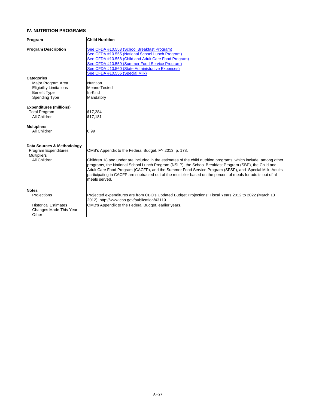## **IV. NUTRITION PROGRAMS**

| <b>Program</b>                                                                                         | <b>Child Nutrition</b>                                                                                                                                                                                                                                                                                                                                                                                                                                                                                                           |
|--------------------------------------------------------------------------------------------------------|----------------------------------------------------------------------------------------------------------------------------------------------------------------------------------------------------------------------------------------------------------------------------------------------------------------------------------------------------------------------------------------------------------------------------------------------------------------------------------------------------------------------------------|
| <b>Program Description</b>                                                                             | See CFDA #10.553 (School Breakfast Program)<br>See CFDA #10.555 (National School Lunch Program)<br>See CFDA #10.558 (Child and Adult Care Food Program)<br>See CFDA #10.559 (Summer Food Service Program)<br>See CFDA #10.560 (State Administrative Expenses)<br>See CFDA #10.556 (Special Milk)                                                                                                                                                                                                                                 |
| <b>Categories</b>                                                                                      |                                                                                                                                                                                                                                                                                                                                                                                                                                                                                                                                  |
| Major Program Area<br><b>Eligibility Limitations</b><br><b>Benefit Type</b><br><b>Spending Type</b>    | <b>Nutrition</b><br>Means-Tested<br>In-Kind<br>Mandatory                                                                                                                                                                                                                                                                                                                                                                                                                                                                         |
| <b>Expenditures (millions)</b>                                                                         |                                                                                                                                                                                                                                                                                                                                                                                                                                                                                                                                  |
| <b>Total Program</b><br><b>All Children</b>                                                            | \$17,284<br>\$17,181                                                                                                                                                                                                                                                                                                                                                                                                                                                                                                             |
| <b>Multipliers</b>                                                                                     |                                                                                                                                                                                                                                                                                                                                                                                                                                                                                                                                  |
| <b>All Children</b>                                                                                    | 0.99                                                                                                                                                                                                                                                                                                                                                                                                                                                                                                                             |
| Data Sources & Methodology<br><b>Program Expenditures</b><br><b>Multipliers</b><br><b>All Children</b> | OMB's Appendix to the Federal Budget, FY 2013, p. 178.<br>Children 18 and under are included in the estimates of the child nutrition programs, which include, among other<br>programs, the National School Lunch Program (NSLP), the School Breakfast Program (SBP), the Child and<br>Adult Care Food Program (CACFP), and the Summer Food Service Program (SFSP), and Special Milk. Adults<br>participating in CACFP are subtracted out of the multiplier based on the percent of meals for adults out of all<br>lmeals served. |
| <b>Notes</b>                                                                                           |                                                                                                                                                                                                                                                                                                                                                                                                                                                                                                                                  |
| Projections                                                                                            | Projected expenditures are from CBO's Updated Budget Projections: Fiscal Years 2012 to 2022 (March 13<br>2012). http://www.cbo.gov/publication/43119.                                                                                                                                                                                                                                                                                                                                                                            |
| <b>Historical Estimates</b><br>Changes Made This Year<br>Other                                         | OMB's Appendix to the Federal Budget, earlier years.                                                                                                                                                                                                                                                                                                                                                                                                                                                                             |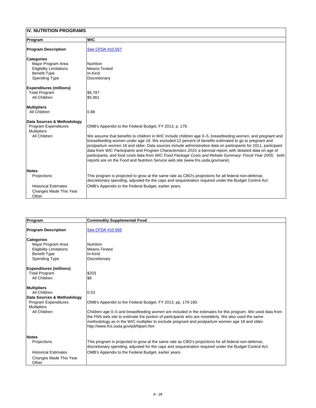## **IV. NUTRITION PROGRAMS**

| Program                                           | <b>WIC</b>                                                                                                                                                                                                                                                                                                                                                                                                                                                                                                                                                                                                                                         |
|---------------------------------------------------|----------------------------------------------------------------------------------------------------------------------------------------------------------------------------------------------------------------------------------------------------------------------------------------------------------------------------------------------------------------------------------------------------------------------------------------------------------------------------------------------------------------------------------------------------------------------------------------------------------------------------------------------------|
| <b>Program Description</b>                        | See CFDA #10.557                                                                                                                                                                                                                                                                                                                                                                                                                                                                                                                                                                                                                                   |
| <b>Categories</b>                                 |                                                                                                                                                                                                                                                                                                                                                                                                                                                                                                                                                                                                                                                    |
| Major Program Area                                | <b>Nutrition</b>                                                                                                                                                                                                                                                                                                                                                                                                                                                                                                                                                                                                                                   |
| <b>Eligibility Limitations</b>                    | Means-Tested                                                                                                                                                                                                                                                                                                                                                                                                                                                                                                                                                                                                                                       |
| <b>Benefit Type</b>                               | In-Kind                                                                                                                                                                                                                                                                                                                                                                                                                                                                                                                                                                                                                                            |
| <b>Spending Type</b>                              | <b>Discretionary</b>                                                                                                                                                                                                                                                                                                                                                                                                                                                                                                                                                                                                                               |
| <b>Expenditures (millions)</b>                    |                                                                                                                                                                                                                                                                                                                                                                                                                                                                                                                                                                                                                                                    |
| <b>Total Program</b>                              | \$6,787                                                                                                                                                                                                                                                                                                                                                                                                                                                                                                                                                                                                                                            |
| <b>All Children</b>                               | \$5,961                                                                                                                                                                                                                                                                                                                                                                                                                                                                                                                                                                                                                                            |
| <b>Multipliers</b>                                |                                                                                                                                                                                                                                                                                                                                                                                                                                                                                                                                                                                                                                                    |
| All Children                                      | 0.88                                                                                                                                                                                                                                                                                                                                                                                                                                                                                                                                                                                                                                               |
| Data Sources & Methodology                        |                                                                                                                                                                                                                                                                                                                                                                                                                                                                                                                                                                                                                                                    |
| <b>Program Expenditures</b><br><b>Multipliers</b> | OMB's Appendix to the Federal Budget, FY 2013, p. 179.                                                                                                                                                                                                                                                                                                                                                                                                                                                                                                                                                                                             |
| <b>All Children</b>                               | We assume that benefits to children in WIC include children age 0–5, breastfeeding women, and pregnant and<br>breastfeeding women under age 18. We excluded 12 percent of benefits estimated to go to pregnant and<br>postpartum women 18 and older. Data sources include administrative data on participants for 2011, participant<br>data from WIC Participants and Program Characteristics 2010, a biennial report, with detailed data on age of<br>participants, and food costs data from WIC Food Package Costs and Rebate Summary: Fiscal Year 2005; both<br>reports are on the Food and Nutrition Service web site (www.fns.usda.gov/oane). |
| Notes                                             |                                                                                                                                                                                                                                                                                                                                                                                                                                                                                                                                                                                                                                                    |
| <b>Projections</b>                                | This program is projected to grow at the same rate as CBO's projections for all federal non-defense,<br>discretionary spending, adjusted for the caps and sequestration required under the Budget Control Act.                                                                                                                                                                                                                                                                                                                                                                                                                                     |
| <b>Historical Estimates</b>                       | OMB's Appendix to the Federal Budget, earlier years.                                                                                                                                                                                                                                                                                                                                                                                                                                                                                                                                                                                               |
| <b>Changes Made This Year</b>                     |                                                                                                                                                                                                                                                                                                                                                                                                                                                                                                                                                                                                                                                    |
| Other                                             |                                                                                                                                                                                                                                                                                                                                                                                                                                                                                                                                                                                                                                                    |

| <b>Program</b>                                                                                                                                                                                            | <b>Commodity Supplemental Food</b>                                                                                                                                                                                                                                                                                                                                                                                                  |
|-----------------------------------------------------------------------------------------------------------------------------------------------------------------------------------------------------------|-------------------------------------------------------------------------------------------------------------------------------------------------------------------------------------------------------------------------------------------------------------------------------------------------------------------------------------------------------------------------------------------------------------------------------------|
| <b>Program Description</b>                                                                                                                                                                                | See CFDA #10.565                                                                                                                                                                                                                                                                                                                                                                                                                    |
| <b>Categories</b><br>Major Program Area<br><b>Eligibility Limitations</b><br><b>Benefit Type</b><br><b>Spending Type</b><br><b>Expenditures (millions)</b><br><b>Total Program</b><br><b>All Children</b> | <b>Nutrition</b><br>Means-Tested<br>In-Kind<br><b>Discretionary</b><br>\$203<br>\$6                                                                                                                                                                                                                                                                                                                                                 |
| <b>Multipliers</b><br><b>All Children</b><br>Data Sources & Methodology<br><b>Program Expenditures</b><br><b>Multipliers</b><br><b>All Children</b>                                                       | 0.03<br>OMB's Appendix to the Federal Budget, FY 2013, pp. 179-180.<br>Children age 0–5 and breastfeeding women are included in the estimates for this program. We used data from<br>the FNS web site to estimate the portion of participants who are nonelderly. We also used the same<br>methodology as in the WIC multiplier to exclude pregnant and postpartum women age 18 and older.<br>http://www.fns.usda.gov/pd/fdpart.htm |
| <b>Notes</b><br><b>Projections</b><br><b>Historical Estimates</b><br><b>Changes Made This Year</b><br>Other                                                                                               | This program is projected to grow at the same rate as CBO's projections for all federal non-defense,<br>discretionary spending, adjusted for the caps and sequestration required under the Budget Control Act.<br>OMB's Appendix to the Federal Budget, earlier years.                                                                                                                                                              |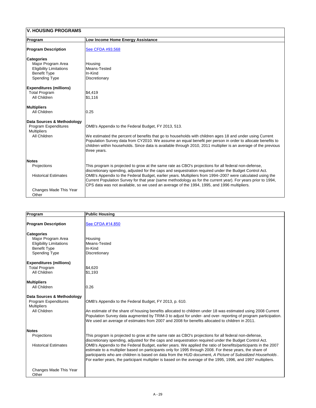| <b>V. HOUSING PROGRAMS</b>                                                                                               |                                                                                                                                                                                                                                                                                                                                                                                                                                                                                                                                           |
|--------------------------------------------------------------------------------------------------------------------------|-------------------------------------------------------------------------------------------------------------------------------------------------------------------------------------------------------------------------------------------------------------------------------------------------------------------------------------------------------------------------------------------------------------------------------------------------------------------------------------------------------------------------------------------|
| Program                                                                                                                  | Low Income Home Energy Assistance                                                                                                                                                                                                                                                                                                                                                                                                                                                                                                         |
| <b>Program Description</b>                                                                                               | See CFDA #93.568                                                                                                                                                                                                                                                                                                                                                                                                                                                                                                                          |
| <b>Categories</b><br>Major Program Area<br><b>Eligibility Limitations</b><br><b>Benefit Type</b><br><b>Spending Type</b> | Housing<br>Means-Tested<br>In-Kind<br>Discretionary                                                                                                                                                                                                                                                                                                                                                                                                                                                                                       |
| <b>Expenditures (millions)</b><br><b>Total Program</b><br><b>All Children</b>                                            | \$4,419<br>\$1,116                                                                                                                                                                                                                                                                                                                                                                                                                                                                                                                        |
| <b>Multipliers</b><br><b>All Children</b>                                                                                | 0.25                                                                                                                                                                                                                                                                                                                                                                                                                                                                                                                                      |
| Data Sources & Methodology<br><b>Program Expenditures</b><br><b>Multipliers</b><br><b>All Children</b>                   | OMB's Appendix to the Federal Budget, FY 2013, 513.<br>We estimated the percent of benefits that go to households with children ages 18 and under using Current<br>Population Survey data from CY2010. We assume an equal benefit per person in order to allocate benefits to<br>children within households. Since data is available through 2010, 2011 multiplier is an average of the previous<br>three years.                                                                                                                          |
| <b>Notes</b>                                                                                                             |                                                                                                                                                                                                                                                                                                                                                                                                                                                                                                                                           |
| <b>Projections</b><br><b>Historical Estimates</b>                                                                        | This program is projected to grow at the same rate as CBO's projections for all federal non-defense,<br>discretionary spending, adjusted for the caps and sequestration required under the Budget Control Act.<br>OMB's Appendix to the Federal Budget, earlier years. Multipliers from 1994–2007 were calculated using the<br>Current Population Survey for that year (same methodology as for the current year). For years prior to 1994,<br>CPS data was not available, so we used an average of the 1994, 1995, and 1996 multipliers. |
| Changes Made This Year<br>Other                                                                                          |                                                                                                                                                                                                                                                                                                                                                                                                                                                                                                                                           |

| <b>Program</b>                                                                                                           | <b>Public Housing</b>                                                                                                                                                                                                                                                                                                                                                                                                                                                                                                                                                                                                                                                       |
|--------------------------------------------------------------------------------------------------------------------------|-----------------------------------------------------------------------------------------------------------------------------------------------------------------------------------------------------------------------------------------------------------------------------------------------------------------------------------------------------------------------------------------------------------------------------------------------------------------------------------------------------------------------------------------------------------------------------------------------------------------------------------------------------------------------------|
| <b>Program Description</b>                                                                                               | See CFDA #14.850                                                                                                                                                                                                                                                                                                                                                                                                                                                                                                                                                                                                                                                            |
| <b>Categories</b><br>Major Program Area<br><b>Eligibility Limitations</b><br><b>Benefit Type</b><br><b>Spending Type</b> | Housing<br>Means-Tested<br>In-Kind<br>Discretionary                                                                                                                                                                                                                                                                                                                                                                                                                                                                                                                                                                                                                         |
| <b>Expenditures (millions)</b><br><b>Total Program</b><br><b>All Children</b>                                            | \$4,620<br>\$1,193                                                                                                                                                                                                                                                                                                                                                                                                                                                                                                                                                                                                                                                          |
| <b>Multipliers</b><br><b>All Children</b>                                                                                | 0.26                                                                                                                                                                                                                                                                                                                                                                                                                                                                                                                                                                                                                                                                        |
| Data Sources & Methodology<br><b>Program Expenditures</b><br><b>Multipliers</b><br>All Children                          | OMB's Appendix to the Federal Budget, FY 2013, p. 610.<br>An estimate of the share of housing benefits allocated to children under 18 was estimated using 2008 Current<br>Population Survey data augmented by TRIM-3 to adjust for under- and over- reporting of program participation.<br>We used an average of estimates from 2007 and 2008 for benefits allocated to children in 2011.                                                                                                                                                                                                                                                                                   |
| <b>Notes</b>                                                                                                             |                                                                                                                                                                                                                                                                                                                                                                                                                                                                                                                                                                                                                                                                             |
| <b>Projections</b><br><b>Historical Estimates</b>                                                                        | This program is projected to grow at the same rate as CBO's projections for all federal non-defense,<br>discretionary spending, adjusted for the caps and sequestration required under the Budget Control Act.<br>OMB's Appendix to the Federal Budget, earlier years. We applied the ratio of benefits/participants in the 2007<br>estimate to a multiplier based on participants only for 1995 through 2008. For these years, the share of<br>participants who are children is based on data from the HUD document, A Picture of Subsidized Households.<br>For earlier years, the participant multiplier is based on the average of the 1995, 1996, and 1997 multipliers. |
| <b>Changes Made This Year</b><br>Other                                                                                   |                                                                                                                                                                                                                                                                                                                                                                                                                                                                                                                                                                                                                                                                             |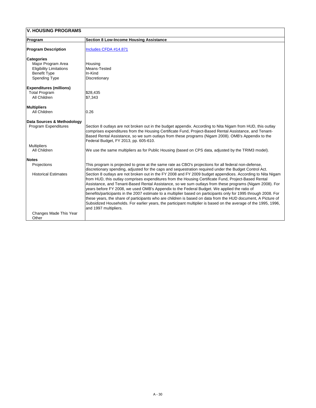| <b>V. HOUSING PROGRAMS</b>                                                                                               |                                                                                                                                                                                                                                                                                                                                                                                                                                                                                                                                                                                                                                                                                                                                                                                                                                                                                                                                                                                                                                |
|--------------------------------------------------------------------------------------------------------------------------|--------------------------------------------------------------------------------------------------------------------------------------------------------------------------------------------------------------------------------------------------------------------------------------------------------------------------------------------------------------------------------------------------------------------------------------------------------------------------------------------------------------------------------------------------------------------------------------------------------------------------------------------------------------------------------------------------------------------------------------------------------------------------------------------------------------------------------------------------------------------------------------------------------------------------------------------------------------------------------------------------------------------------------|
| Program                                                                                                                  | <b>Section 8 Low-Income Housing Assistance</b>                                                                                                                                                                                                                                                                                                                                                                                                                                                                                                                                                                                                                                                                                                                                                                                                                                                                                                                                                                                 |
| <b>Program Description</b>                                                                                               | Includes CFDA #14.871                                                                                                                                                                                                                                                                                                                                                                                                                                                                                                                                                                                                                                                                                                                                                                                                                                                                                                                                                                                                          |
| <b>Categories</b><br>Major Program Area<br><b>Eligibility Limitations</b><br><b>Benefit Type</b><br><b>Spending Type</b> | Housing<br>Means-Tested<br>In-Kind<br><b>Discretionary</b>                                                                                                                                                                                                                                                                                                                                                                                                                                                                                                                                                                                                                                                                                                                                                                                                                                                                                                                                                                     |
| <b>Expenditures (millions)</b><br><b>Total Program</b><br><b>All Children</b>                                            | \$28,435<br>\$7,343                                                                                                                                                                                                                                                                                                                                                                                                                                                                                                                                                                                                                                                                                                                                                                                                                                                                                                                                                                                                            |
| Multipliers<br><b>All Children</b>                                                                                       | 0.26                                                                                                                                                                                                                                                                                                                                                                                                                                                                                                                                                                                                                                                                                                                                                                                                                                                                                                                                                                                                                           |
| <b>Data Sources &amp; Methodology</b><br><b>Program Expenditures</b>                                                     | Section 8 outlays are not broken out in the budget appendix. According to Nita Nigam from HUD, this outlay<br>comprises expenditures from the Housing Certificate Fund, Project-Based Rental Assistance, and Tenant-<br>Based Rental Assistance, so we sum outlays from these programs (Nigam 2008). OMB's Appendix to the<br>Federal Budget, FY 2013, pp. 605-610.                                                                                                                                                                                                                                                                                                                                                                                                                                                                                                                                                                                                                                                            |
| <b>Multipliers</b><br><b>All Children</b>                                                                                | We use the same multipliers as for Public Housing (based on CPS data, adjusted by the TRIM3 model).                                                                                                                                                                                                                                                                                                                                                                                                                                                                                                                                                                                                                                                                                                                                                                                                                                                                                                                            |
| <b>Notes</b>                                                                                                             |                                                                                                                                                                                                                                                                                                                                                                                                                                                                                                                                                                                                                                                                                                                                                                                                                                                                                                                                                                                                                                |
| <b>Projections</b><br><b>Historical Estimates</b>                                                                        | This program is projected to grow at the same rate as CBO's projections for all federal non-defense,<br>discretionary spending, adjusted for the caps and sequestration required under the Budget Control Act.<br>Section 8 outlays are not broken out in the FY 2008 and FY 2009 budget appendices. According to Nita Nigam<br>from HUD, this outlay comprises expenditures from the Housing Certificate Fund, Project-Based Rental<br>Assistance, and Tenant-Based Rental Assistance, so we sum outlays from these programs (Nigam 2008). For<br>years before FY 2008, we used OMB's Appendix to the Federal Budget. We applied the ratio of<br>benefits/participants in the 2007 estimate to a multiplier based on participants only for 1995 through 2008. For<br>these years, the share of participants who are children is based on data from the HUD document, A Picture of<br>Subsidized Households. For earlier years, the participant multiplier is based on the average of the 1995, 1996,<br>and 1997 multipliers. |
| Changes Made This Year<br>Other                                                                                          |                                                                                                                                                                                                                                                                                                                                                                                                                                                                                                                                                                                                                                                                                                                                                                                                                                                                                                                                                                                                                                |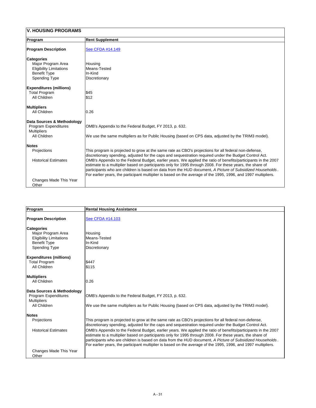| <b>V. HOUSING PROGRAMS</b>             |                                                                                                                                                                                                                                                                                                                                                                                                                                                           |
|----------------------------------------|-----------------------------------------------------------------------------------------------------------------------------------------------------------------------------------------------------------------------------------------------------------------------------------------------------------------------------------------------------------------------------------------------------------------------------------------------------------|
| Program                                | <b>Rent Supplement</b>                                                                                                                                                                                                                                                                                                                                                                                                                                    |
| <b>Program Description</b>             | See CFDA #14.149                                                                                                                                                                                                                                                                                                                                                                                                                                          |
| <b>Categories</b>                      |                                                                                                                                                                                                                                                                                                                                                                                                                                                           |
| Major Program Area                     | Housing                                                                                                                                                                                                                                                                                                                                                                                                                                                   |
| <b>Eligibility Limitations</b>         | Means-Tested                                                                                                                                                                                                                                                                                                                                                                                                                                              |
| <b>Benefit Type</b>                    | In-Kind                                                                                                                                                                                                                                                                                                                                                                                                                                                   |
| <b>Spending Type</b>                   | <b>Discretionary</b>                                                                                                                                                                                                                                                                                                                                                                                                                                      |
| <b>Expenditures (millions)</b>         |                                                                                                                                                                                                                                                                                                                                                                                                                                                           |
| <b>Total Program</b>                   | \$45                                                                                                                                                                                                                                                                                                                                                                                                                                                      |
| <b>All Children</b>                    | \$12                                                                                                                                                                                                                                                                                                                                                                                                                                                      |
| <b>Multipliers</b>                     |                                                                                                                                                                                                                                                                                                                                                                                                                                                           |
| <b>All Children</b>                    | 0.26                                                                                                                                                                                                                                                                                                                                                                                                                                                      |
| Data Sources & Methodology             |                                                                                                                                                                                                                                                                                                                                                                                                                                                           |
| <b>Program Expenditures</b>            | OMB's Appendix to the Federal Budget, FY 2013, p. 632.                                                                                                                                                                                                                                                                                                                                                                                                    |
| <b>Multipliers</b>                     |                                                                                                                                                                                                                                                                                                                                                                                                                                                           |
| <b>All Children</b>                    | We use the same multipliers as for Public Housing (based on CPS data, adjusted by the TRIM3 model).                                                                                                                                                                                                                                                                                                                                                       |
| <b>Notes</b>                           |                                                                                                                                                                                                                                                                                                                                                                                                                                                           |
| Projections                            | This program is projected to grow at the same rate as CBO's projections for all federal non-defense,<br>discretionary spending, adjusted for the caps and sequestration required under the Budget Control Act.                                                                                                                                                                                                                                            |
| <b>Historical Estimates</b>            | OMB's Appendix to the Federal Budget, earlier years. We applied the ratio of benefits/participants in the 2007<br>estimate to a multiplier based on participants only for 1995 through 2008. For these years, the share of<br>participants who are children is based on data from the HUD document, A Picture of Subsidized Households.<br>For earlier years, the participant multiplier is based on the average of the 1995, 1996, and 1997 multipliers. |
| <b>Changes Made This Year</b><br>Other |                                                                                                                                                                                                                                                                                                                                                                                                                                                           |

| <b>Program</b>                                                                                                           | <b>Rental Housing Assistance</b>                    |
|--------------------------------------------------------------------------------------------------------------------------|-----------------------------------------------------|
| <b>Program Description</b>                                                                                               | <b>See CFDA #14.103</b>                             |
| <b>Categories</b><br>Major Program Area<br><b>Eligibility Limitations</b><br><b>Benefit Type</b><br><b>Spending Type</b> | Housing<br>Means-Tested<br>In-Kind<br>Discretionary |

| <b>Expenditures (millions)</b> |                                                                                                                                                                                                                                                                                                                                                                                                                                                           |
|--------------------------------|-----------------------------------------------------------------------------------------------------------------------------------------------------------------------------------------------------------------------------------------------------------------------------------------------------------------------------------------------------------------------------------------------------------------------------------------------------------|
| <b>Total Program</b>           | \$447                                                                                                                                                                                                                                                                                                                                                                                                                                                     |
| <b>All Children</b>            | \$115                                                                                                                                                                                                                                                                                                                                                                                                                                                     |
| <b>Multipliers</b>             |                                                                                                                                                                                                                                                                                                                                                                                                                                                           |
| <b>All Children</b>            | 0.26                                                                                                                                                                                                                                                                                                                                                                                                                                                      |
| Data Sources & Methodology     |                                                                                                                                                                                                                                                                                                                                                                                                                                                           |
| <b>Program Expenditures</b>    | OMB's Appendix to the Federal Budget, FY 2013, p. 632.                                                                                                                                                                                                                                                                                                                                                                                                    |
| <b>Multipliers</b>             |                                                                                                                                                                                                                                                                                                                                                                                                                                                           |
| <b>All Children</b>            | We use the same multipliers as for Public Housing (based on CPS data, adjusted by the TRIM3 model).                                                                                                                                                                                                                                                                                                                                                       |
| <b>Notes</b>                   |                                                                                                                                                                                                                                                                                                                                                                                                                                                           |
| <b>Projections</b>             | This program is projected to grow at the same rate as CBO's projections for all federal non-defense,<br>discretionary spending, adjusted for the caps and sequestration required under the Budget Control Act.                                                                                                                                                                                                                                            |
| <b>Historical Estimates</b>    | OMB's Appendix to the Federal Budget, earlier years. We applied the ratio of benefits/participants in the 2007<br>estimate to a multiplier based on participants only for 1995 through 2008. For these years, the share of<br>participants who are children is based on data from the HUD document, A Picture of Subsidized Households.<br>For earlier years, the participant multiplier is based on the average of the 1995, 1996, and 1997 multipliers. |
| Changes Made This Year         |                                                                                                                                                                                                                                                                                                                                                                                                                                                           |
| Other                          |                                                                                                                                                                                                                                                                                                                                                                                                                                                           |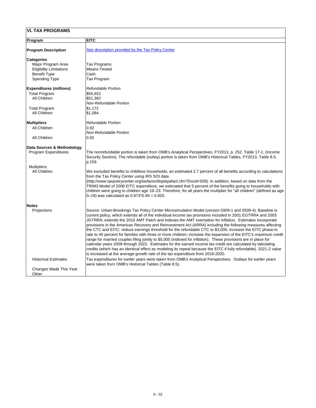| <b>Program</b>                 | <b>EITC</b>                                                                                                                                                                                                                                                                                                                                                                                                                                                                                                                                                                                                                                                                                                                                                                                                                                                                                                                                                                                                                                                                                                          |
|--------------------------------|----------------------------------------------------------------------------------------------------------------------------------------------------------------------------------------------------------------------------------------------------------------------------------------------------------------------------------------------------------------------------------------------------------------------------------------------------------------------------------------------------------------------------------------------------------------------------------------------------------------------------------------------------------------------------------------------------------------------------------------------------------------------------------------------------------------------------------------------------------------------------------------------------------------------------------------------------------------------------------------------------------------------------------------------------------------------------------------------------------------------|
| <b>Program Description</b>     | See description provided by the Tax Policy Center                                                                                                                                                                                                                                                                                                                                                                                                                                                                                                                                                                                                                                                                                                                                                                                                                                                                                                                                                                                                                                                                    |
| <b>Categories</b>              |                                                                                                                                                                                                                                                                                                                                                                                                                                                                                                                                                                                                                                                                                                                                                                                                                                                                                                                                                                                                                                                                                                                      |
| Major Program Area             | Tax Programs                                                                                                                                                                                                                                                                                                                                                                                                                                                                                                                                                                                                                                                                                                                                                                                                                                                                                                                                                                                                                                                                                                         |
| <b>Eligibility Limitations</b> | Means-Tested                                                                                                                                                                                                                                                                                                                                                                                                                                                                                                                                                                                                                                                                                                                                                                                                                                                                                                                                                                                                                                                                                                         |
| <b>Benefit Type</b>            | Cash                                                                                                                                                                                                                                                                                                                                                                                                                                                                                                                                                                                                                                                                                                                                                                                                                                                                                                                                                                                                                                                                                                                 |
| <b>Spending Type</b>           | Tax Program                                                                                                                                                                                                                                                                                                                                                                                                                                                                                                                                                                                                                                                                                                                                                                                                                                                                                                                                                                                                                                                                                                          |
| <b>Expenditures (millions)</b> | <b>Refundable Portion</b>                                                                                                                                                                                                                                                                                                                                                                                                                                                                                                                                                                                                                                                                                                                                                                                                                                                                                                                                                                                                                                                                                            |
| <b>Total Program</b>           | \$55,652                                                                                                                                                                                                                                                                                                                                                                                                                                                                                                                                                                                                                                                                                                                                                                                                                                                                                                                                                                                                                                                                                                             |
| <b>All Children</b>            | \$51,382                                                                                                                                                                                                                                                                                                                                                                                                                                                                                                                                                                                                                                                                                                                                                                                                                                                                                                                                                                                                                                                                                                             |
|                                | <b>Non-Refundable Portion</b>                                                                                                                                                                                                                                                                                                                                                                                                                                                                                                                                                                                                                                                                                                                                                                                                                                                                                                                                                                                                                                                                                        |
| <b>Total Program</b>           | \$1,172                                                                                                                                                                                                                                                                                                                                                                                                                                                                                                                                                                                                                                                                                                                                                                                                                                                                                                                                                                                                                                                                                                              |
| <b>All Children</b>            | \$1,084                                                                                                                                                                                                                                                                                                                                                                                                                                                                                                                                                                                                                                                                                                                                                                                                                                                                                                                                                                                                                                                                                                              |
| <b>Multipliers</b>             | <b>Refundable Portion</b>                                                                                                                                                                                                                                                                                                                                                                                                                                                                                                                                                                                                                                                                                                                                                                                                                                                                                                                                                                                                                                                                                            |
| <b>All Children</b>            | 0.92                                                                                                                                                                                                                                                                                                                                                                                                                                                                                                                                                                                                                                                                                                                                                                                                                                                                                                                                                                                                                                                                                                                 |
|                                | <b>Non-Refundable Portion</b>                                                                                                                                                                                                                                                                                                                                                                                                                                                                                                                                                                                                                                                                                                                                                                                                                                                                                                                                                                                                                                                                                        |
| <b>All Children</b>            | 0.92                                                                                                                                                                                                                                                                                                                                                                                                                                                                                                                                                                                                                                                                                                                                                                                                                                                                                                                                                                                                                                                                                                                 |
| Data Sources & Methodology     |                                                                                                                                                                                                                                                                                                                                                                                                                                                                                                                                                                                                                                                                                                                                                                                                                                                                                                                                                                                                                                                                                                                      |
| <b>Program Expenditures</b>    | The nonrefundable portion is taken from OMB's Analytical Perspectives, FY2013, p. 252, Table 17-1. (Income<br>Security Section). The refundable (outlay) portion is taken from OMB's Historical Tables, FY2013, Table 8.5,<br>p.159.                                                                                                                                                                                                                                                                                                                                                                                                                                                                                                                                                                                                                                                                                                                                                                                                                                                                                 |
| <b>Multipliers</b>             |                                                                                                                                                                                                                                                                                                                                                                                                                                                                                                                                                                                                                                                                                                                                                                                                                                                                                                                                                                                                                                                                                                                      |
| <b>All Children</b>            | We excluded benefits to childless households, an estimated 2.7 percent of all benefits according to calculations<br>from the Tax Policy Center using IRS SOI data                                                                                                                                                                                                                                                                                                                                                                                                                                                                                                                                                                                                                                                                                                                                                                                                                                                                                                                                                    |
|                                | (http://www.taxpolicycenter.org/taxfacts/displayafact.cfm?Docid=559). In addition, based on data from the<br>TRIM3 Model of 2008 EITC expenditure, we estimated that 5 percent of the benefits going to households with<br>children were going to children age 19–23. Therefore, for all years the multiplier for "all children" (defined as age<br>$(0-18)$ was calculated as $0.973*0.95 = 0.925$ .                                                                                                                                                                                                                                                                                                                                                                                                                                                                                                                                                                                                                                                                                                                |
| <b>Notes</b>                   |                                                                                                                                                                                                                                                                                                                                                                                                                                                                                                                                                                                                                                                                                                                                                                                                                                                                                                                                                                                                                                                                                                                      |
| Projections                    | Source: Urban-Brookings Tax Policy Center Microsimulation Model (version 0309-1 and 0509-4). Baseline is<br>current policy, which extends all of the individual income tax provisions included in 2001 EGTRRA and 2003<br>JGTRRA; extends the 2010 AMT Patch and indexes the AMT exemption for inflation. Estimates incorporate<br>provisions in the American Recovery and Reinvestment Act (ARRA) including the following measures affecting<br>the CTC and EITC: reduce earnings threshold for the refundable CTC to \$3,000; increase the EITC phase-in<br>rate to 45 percent for families with three or more children; increase the expansion of the EITC's maximum credit<br>range for married couples filing jointly to \$5,000 (indexed for inflation). These provisions are in place for<br>calendar years 2009 through 2022. Estimates for the earned income tax credit are calculated by tabulating<br>credits (which has an identical effect as modeling its repeal because the EITC if fully refundable). 2021-2 value<br>is increased at the average growth rate of the tax expenditure from 2016-2020. |

|                             | $\frac{1}{2}$ interpreted at the arbitrage growth rate of the tax oxpontations home service.                |  |
|-----------------------------|-------------------------------------------------------------------------------------------------------------|--|
| <b>Historical Estimates</b> | Tax expenditures for earlier years were taken from OMB's Analytical Perspectives. Outlays for earlier years |  |
|                             | were taken from OMB's Historical Tables (Table 8.5).                                                        |  |
| Changes Made This Year      |                                                                                                             |  |
| Other                       |                                                                                                             |  |
|                             |                                                                                                             |  |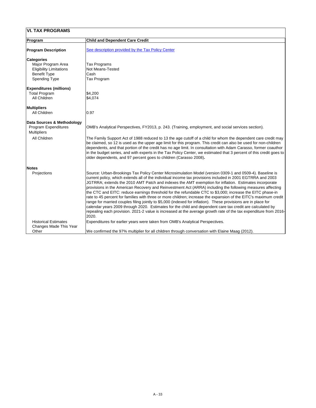| <b>VI. TAX PROGRAMS</b>        |                                                                                                                                                                                                                                                                                                                                                                                                                                                                                                                                                                                                                                                                                                                                                                                                                                                                                                                                                                                                                                            |  |
|--------------------------------|--------------------------------------------------------------------------------------------------------------------------------------------------------------------------------------------------------------------------------------------------------------------------------------------------------------------------------------------------------------------------------------------------------------------------------------------------------------------------------------------------------------------------------------------------------------------------------------------------------------------------------------------------------------------------------------------------------------------------------------------------------------------------------------------------------------------------------------------------------------------------------------------------------------------------------------------------------------------------------------------------------------------------------------------|--|
| <b>Program</b>                 | <b>Child and Dependent Care Credit</b>                                                                                                                                                                                                                                                                                                                                                                                                                                                                                                                                                                                                                                                                                                                                                                                                                                                                                                                                                                                                     |  |
| <b>Program Description</b>     | See description provided by the Tax Policy Center                                                                                                                                                                                                                                                                                                                                                                                                                                                                                                                                                                                                                                                                                                                                                                                                                                                                                                                                                                                          |  |
| <b>Categories</b>              |                                                                                                                                                                                                                                                                                                                                                                                                                                                                                                                                                                                                                                                                                                                                                                                                                                                                                                                                                                                                                                            |  |
| Major Program Area             | Tax Programs                                                                                                                                                                                                                                                                                                                                                                                                                                                                                                                                                                                                                                                                                                                                                                                                                                                                                                                                                                                                                               |  |
| <b>Eligibility Limitations</b> | <b>Not Means-Tested</b>                                                                                                                                                                                                                                                                                                                                                                                                                                                                                                                                                                                                                                                                                                                                                                                                                                                                                                                                                                                                                    |  |
| <b>Benefit Type</b>            | Cash                                                                                                                                                                                                                                                                                                                                                                                                                                                                                                                                                                                                                                                                                                                                                                                                                                                                                                                                                                                                                                       |  |
| <b>Spending Type</b>           | Tax Program                                                                                                                                                                                                                                                                                                                                                                                                                                                                                                                                                                                                                                                                                                                                                                                                                                                                                                                                                                                                                                |  |
| <b>Expenditures (millions)</b> |                                                                                                                                                                                                                                                                                                                                                                                                                                                                                                                                                                                                                                                                                                                                                                                                                                                                                                                                                                                                                                            |  |
| <b>Total Program</b>           | \$4,200                                                                                                                                                                                                                                                                                                                                                                                                                                                                                                                                                                                                                                                                                                                                                                                                                                                                                                                                                                                                                                    |  |
| <b>All Children</b>            | \$4,074                                                                                                                                                                                                                                                                                                                                                                                                                                                                                                                                                                                                                                                                                                                                                                                                                                                                                                                                                                                                                                    |  |
| <b>Multipliers</b>             |                                                                                                                                                                                                                                                                                                                                                                                                                                                                                                                                                                                                                                                                                                                                                                                                                                                                                                                                                                                                                                            |  |
| <b>All Children</b>            | 0.97                                                                                                                                                                                                                                                                                                                                                                                                                                                                                                                                                                                                                                                                                                                                                                                                                                                                                                                                                                                                                                       |  |
| Data Sources & Methodology     |                                                                                                                                                                                                                                                                                                                                                                                                                                                                                                                                                                                                                                                                                                                                                                                                                                                                                                                                                                                                                                            |  |
| <b>Program Expenditures</b>    | OMB's Analytical Perspectives, FY2013, p. 243. (Training, employment, and social services section).                                                                                                                                                                                                                                                                                                                                                                                                                                                                                                                                                                                                                                                                                                                                                                                                                                                                                                                                        |  |
| <b>Multipliers</b>             |                                                                                                                                                                                                                                                                                                                                                                                                                                                                                                                                                                                                                                                                                                                                                                                                                                                                                                                                                                                                                                            |  |
| <b>All Children</b>            | The Family Support Act of 1988 reduced to 13 the age cutoff of a child for whom the dependent care credit may<br>be claimed, so 12 is used as the upper age limit for this program. This credit can also be used for non-children<br>dependents, and that portion of the credit has no age limit. In consultation with Adam Carasso, former coauthor<br> in the budget series, and with experts in the Tax Policy Center, we estimated that 3 percent of this credit goes to  <br>older dependents, and 97 percent goes to children (Carasso 2008).                                                                                                                                                                                                                                                                                                                                                                                                                                                                                        |  |
| <b>Notes</b>                   |                                                                                                                                                                                                                                                                                                                                                                                                                                                                                                                                                                                                                                                                                                                                                                                                                                                                                                                                                                                                                                            |  |
| Projections                    | Source: Urban-Brookings Tax Policy Center Microsimulation Model (version 0309-1 and 0509-4). Baseline is<br>current policy, which extends all of the individual income tax provisions included in 2001 EGTRRA and 2003<br>JGTRRA; extends the 2010 AMT Patch and indexes the AMT exemption for inflation. Estimates incorporate<br>provisions in the American Recovery and Reinvestment Act (ARRA) including the following measures affecting<br>the CTC and EITC: reduce earnings threshold for the refundable CTC to \$3,000; increase the EITC phase-in<br>rate to 45 percent for families with three or more children; increase the expansion of the EITC's maximum credit<br>range for married couples filing jointly to \$5,000 (indexed for inflation). These provisions are in place for<br>calendar years 2009 through 2020. Estimates for the child and dependent care tax credit are calculated by<br>repealing each provision. 2021-2 value is increased at the average growth rate of the tax expenditure from 2016-<br>2020. |  |
| <b>Historical Estimates</b>    | Expenditures for earlier years were taken from OMB's Analytical Perspectives.                                                                                                                                                                                                                                                                                                                                                                                                                                                                                                                                                                                                                                                                                                                                                                                                                                                                                                                                                              |  |
| <b>Changes Made This Year</b>  |                                                                                                                                                                                                                                                                                                                                                                                                                                                                                                                                                                                                                                                                                                                                                                                                                                                                                                                                                                                                                                            |  |
| Other                          | We confirmed the 97% multiplier for all children through conversation with Elaine Maag (2012).                                                                                                                                                                                                                                                                                                                                                                                                                                                                                                                                                                                                                                                                                                                                                                                                                                                                                                                                             |  |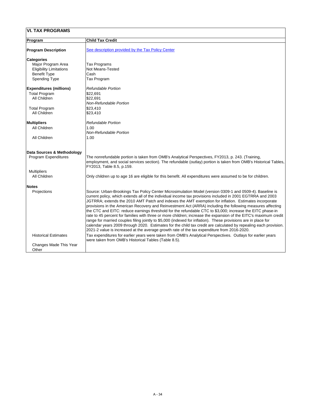| <b>VI. TAX PROGRAMS</b>                |                                                                                                                                                                                                                                                                                                                                                                                                                                                                                                                                                                                                                                                                                                                                                                                                                                                                                                                                                                                                                     |  |
|----------------------------------------|---------------------------------------------------------------------------------------------------------------------------------------------------------------------------------------------------------------------------------------------------------------------------------------------------------------------------------------------------------------------------------------------------------------------------------------------------------------------------------------------------------------------------------------------------------------------------------------------------------------------------------------------------------------------------------------------------------------------------------------------------------------------------------------------------------------------------------------------------------------------------------------------------------------------------------------------------------------------------------------------------------------------|--|
| <b>Program</b>                         | <b>Child Tax Credit</b>                                                                                                                                                                                                                                                                                                                                                                                                                                                                                                                                                                                                                                                                                                                                                                                                                                                                                                                                                                                             |  |
| <b>Program Description</b>             | See description provided by the Tax Policy Center                                                                                                                                                                                                                                                                                                                                                                                                                                                                                                                                                                                                                                                                                                                                                                                                                                                                                                                                                                   |  |
| <b>Categories</b>                      |                                                                                                                                                                                                                                                                                                                                                                                                                                                                                                                                                                                                                                                                                                                                                                                                                                                                                                                                                                                                                     |  |
| Major Program Area                     | Tax Programs                                                                                                                                                                                                                                                                                                                                                                                                                                                                                                                                                                                                                                                                                                                                                                                                                                                                                                                                                                                                        |  |
| <b>Eligibility Limitations</b>         | <b>Not Means-Tested</b>                                                                                                                                                                                                                                                                                                                                                                                                                                                                                                                                                                                                                                                                                                                                                                                                                                                                                                                                                                                             |  |
| <b>Benefit Type</b>                    | Cash                                                                                                                                                                                                                                                                                                                                                                                                                                                                                                                                                                                                                                                                                                                                                                                                                                                                                                                                                                                                                |  |
| <b>Spending Type</b>                   | Tax Program                                                                                                                                                                                                                                                                                                                                                                                                                                                                                                                                                                                                                                                                                                                                                                                                                                                                                                                                                                                                         |  |
| <b>Expenditures (millions)</b>         | <b>Refundable Portion</b>                                                                                                                                                                                                                                                                                                                                                                                                                                                                                                                                                                                                                                                                                                                                                                                                                                                                                                                                                                                           |  |
| <b>Total Program</b>                   | \$22,691                                                                                                                                                                                                                                                                                                                                                                                                                                                                                                                                                                                                                                                                                                                                                                                                                                                                                                                                                                                                            |  |
| <b>All Children</b>                    | \$22,691                                                                                                                                                                                                                                                                                                                                                                                                                                                                                                                                                                                                                                                                                                                                                                                                                                                                                                                                                                                                            |  |
|                                        | <b>Non-Refundable Portion</b>                                                                                                                                                                                                                                                                                                                                                                                                                                                                                                                                                                                                                                                                                                                                                                                                                                                                                                                                                                                       |  |
| <b>Total Program</b>                   | \$23,410                                                                                                                                                                                                                                                                                                                                                                                                                                                                                                                                                                                                                                                                                                                                                                                                                                                                                                                                                                                                            |  |
| <b>All Children</b>                    | \$23,410                                                                                                                                                                                                                                                                                                                                                                                                                                                                                                                                                                                                                                                                                                                                                                                                                                                                                                                                                                                                            |  |
| <b>Multipliers</b>                     | <b>Refundable Portion</b>                                                                                                                                                                                                                                                                                                                                                                                                                                                                                                                                                                                                                                                                                                                                                                                                                                                                                                                                                                                           |  |
| <b>All Children</b>                    | 1.00                                                                                                                                                                                                                                                                                                                                                                                                                                                                                                                                                                                                                                                                                                                                                                                                                                                                                                                                                                                                                |  |
|                                        | <b>Non-Refundable Portion</b>                                                                                                                                                                                                                                                                                                                                                                                                                                                                                                                                                                                                                                                                                                                                                                                                                                                                                                                                                                                       |  |
| <b>All Children</b>                    | 1.00                                                                                                                                                                                                                                                                                                                                                                                                                                                                                                                                                                                                                                                                                                                                                                                                                                                                                                                                                                                                                |  |
| Data Sources & Methodology             |                                                                                                                                                                                                                                                                                                                                                                                                                                                                                                                                                                                                                                                                                                                                                                                                                                                                                                                                                                                                                     |  |
| <b>Program Expenditures</b>            | The nonrefundable portion is taken from OMB's Analytical Perspectives, FY2013, p. 243. (Training,<br>employment, and social services section). The refundable (outlay) portion is taken from OMB's Historical Tables,<br>FY2013, Table 8.5, p.159.                                                                                                                                                                                                                                                                                                                                                                                                                                                                                                                                                                                                                                                                                                                                                                  |  |
| <b>Multipliers</b>                     |                                                                                                                                                                                                                                                                                                                                                                                                                                                                                                                                                                                                                                                                                                                                                                                                                                                                                                                                                                                                                     |  |
| <b>All Children</b>                    | Only children up to age 16 are eligible for this benefit. All expenditures were assumed to be for children.                                                                                                                                                                                                                                                                                                                                                                                                                                                                                                                                                                                                                                                                                                                                                                                                                                                                                                         |  |
| <b>Notes</b>                           |                                                                                                                                                                                                                                                                                                                                                                                                                                                                                                                                                                                                                                                                                                                                                                                                                                                                                                                                                                                                                     |  |
| <b>Projections</b>                     | Source: Urban-Brookings Tax Policy Center Microsimulation Model (version 0309-1 and 0509-4). Baseline is<br>current policy, which extends all of the individual income tax provisions included in 2001 EGTRRA and 2003<br>JGTRRA; extends the 2010 AMT Patch and indexes the AMT exemption for inflation. Estimates incorporate<br>provisions in the American Recovery and Reinvestment Act (ARRA) including the following measures affecting<br>the CTC and EITC: reduce earnings threshold for the refundable CTC to \$3,000; increase the EITC phase-in<br>rate to 45 percent for families with three or more children; increase the expansion of the EITC's maximum credit<br>range for married couples filing jointly to \$5,000 (indexed for inflation). These provisions are in place for<br>calendar years 2009 through 2020. Estimates for the child tax credit are calculated by repealing each provision.<br>2021-2 value is increased at the average growth rate of the tax expenditure from 2016-2020. |  |
| <b>Historical Estimates</b>            | Tax expenditures for earlier years were taken from OMB's Analytical Perspectives. Outlays for earlier years<br>were taken from OMB's Historical Tables (Table 8.5).                                                                                                                                                                                                                                                                                                                                                                                                                                                                                                                                                                                                                                                                                                                                                                                                                                                 |  |
| <b>Changes Made This Year</b><br>Other |                                                                                                                                                                                                                                                                                                                                                                                                                                                                                                                                                                                                                                                                                                                                                                                                                                                                                                                                                                                                                     |  |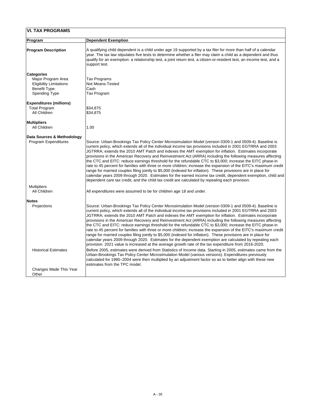| <b>VI. TAX PROGRAMS</b>        |                                                                                                                                                                                                                                                                                                                                                                                                                                                                                                                                                                                                                                                                                                                                                                                                                                                                                                                                                                                                                      |  |
|--------------------------------|----------------------------------------------------------------------------------------------------------------------------------------------------------------------------------------------------------------------------------------------------------------------------------------------------------------------------------------------------------------------------------------------------------------------------------------------------------------------------------------------------------------------------------------------------------------------------------------------------------------------------------------------------------------------------------------------------------------------------------------------------------------------------------------------------------------------------------------------------------------------------------------------------------------------------------------------------------------------------------------------------------------------|--|
| <b>Program</b>                 | <b>Dependent Exemption</b>                                                                                                                                                                                                                                                                                                                                                                                                                                                                                                                                                                                                                                                                                                                                                                                                                                                                                                                                                                                           |  |
| <b>Program Description</b>     | A qualifying child dependent is a child under age 19 supported by a tax filer for more than half of a calendar<br>year. The tax law stipulates five tests to determine whether a filer may claim a child as a dependent and thus<br>qualify for an exemption: a relationship test, a joint return test, a citizen-or-resident test, an income test, and a<br>support test.                                                                                                                                                                                                                                                                                                                                                                                                                                                                                                                                                                                                                                           |  |
| <b>Categories</b>              |                                                                                                                                                                                                                                                                                                                                                                                                                                                                                                                                                                                                                                                                                                                                                                                                                                                                                                                                                                                                                      |  |
| Major Program Area             | Tax Programs                                                                                                                                                                                                                                                                                                                                                                                                                                                                                                                                                                                                                                                                                                                                                                                                                                                                                                                                                                                                         |  |
| <b>Eligibility Limitations</b> | <b>Not Means-Tested</b>                                                                                                                                                                                                                                                                                                                                                                                                                                                                                                                                                                                                                                                                                                                                                                                                                                                                                                                                                                                              |  |
| <b>Benefit Type</b>            | <b>Cash</b>                                                                                                                                                                                                                                                                                                                                                                                                                                                                                                                                                                                                                                                                                                                                                                                                                                                                                                                                                                                                          |  |
| <b>Spending Type</b>           | Tax Program                                                                                                                                                                                                                                                                                                                                                                                                                                                                                                                                                                                                                                                                                                                                                                                                                                                                                                                                                                                                          |  |
| <b>Expenditures (millions)</b> |                                                                                                                                                                                                                                                                                                                                                                                                                                                                                                                                                                                                                                                                                                                                                                                                                                                                                                                                                                                                                      |  |
| <b>Total Program</b>           | \$34,875                                                                                                                                                                                                                                                                                                                                                                                                                                                                                                                                                                                                                                                                                                                                                                                                                                                                                                                                                                                                             |  |
| All Children                   | \$34,875                                                                                                                                                                                                                                                                                                                                                                                                                                                                                                                                                                                                                                                                                                                                                                                                                                                                                                                                                                                                             |  |
| <b>Multipliers</b>             |                                                                                                                                                                                                                                                                                                                                                                                                                                                                                                                                                                                                                                                                                                                                                                                                                                                                                                                                                                                                                      |  |
| <b>All Children</b>            | 1.00                                                                                                                                                                                                                                                                                                                                                                                                                                                                                                                                                                                                                                                                                                                                                                                                                                                                                                                                                                                                                 |  |
| Data Sources & Methodology     |                                                                                                                                                                                                                                                                                                                                                                                                                                                                                                                                                                                                                                                                                                                                                                                                                                                                                                                                                                                                                      |  |
| <b>Program Expenditures</b>    | Source: Urban-Brookings Tax Policy Center Microsimulation Model (version 0309-1 and 0509-4). Baseline is<br>current policy, which extends all of the individual income tax provisions included in 2001 EGTRRA and 2003<br>JGTRRA; extends the 2010 AMT Patch and indexes the AMT exemption for inflation. Estimates incorporate<br>provisions in the American Recovery and Reinvestment Act (ARRA) including the following measures affecting<br>the CTC and EITC: reduce earnings threshold for the refundable CTC to \$3,000; increase the EITC phase-in<br>rate to 45 percent for families with three or more children; increase the expansion of the EITC's maximum credit<br>range for married couples filing jointly to \$5,000 (indexed for inflation). These provisions are in place for<br>calendar years 2009 through 2020. Estimates for the earned income tax credit, dependent exemption, child and<br>dependent care tax credit, and the child tax credit are calculated by repealing each provision.  |  |
| <b>Multipliers</b>             |                                                                                                                                                                                                                                                                                                                                                                                                                                                                                                                                                                                                                                                                                                                                                                                                                                                                                                                                                                                                                      |  |
| <b>All Children</b>            | All expenditures were assumed to be for children age 18 and under.                                                                                                                                                                                                                                                                                                                                                                                                                                                                                                                                                                                                                                                                                                                                                                                                                                                                                                                                                   |  |
| <b>Notes</b>                   |                                                                                                                                                                                                                                                                                                                                                                                                                                                                                                                                                                                                                                                                                                                                                                                                                                                                                                                                                                                                                      |  |
| <b>Projections</b>             | Source: Urban-Brookings Tax Policy Center Microsimulation Model (version 0309-1 and 0509-4). Baseline is<br>current policy, which extends all of the individual income tax provisions included in 2001 EGTRRA and 2003<br>JGTRRA; extends the 2010 AMT Patch and indexes the AMT exemption for inflation. Estimates incorporate<br>provisions in the American Recovery and Reinvestment Act (ARRA) including the following measures affecting<br>the CTC and EITC: reduce earnings threshold for the refundable CTC to \$3,000; increase the EITC phase-in<br>rate to 45 percent for families with three or more children; increase the expansion of the EITC's maximum credit<br>range for married couples filing jointly to \$5,000 (indexed for inflation). These provisions are in place for<br>calendar years 2009 through 2020. Estimates for the dependent exemption are calculated by repealing each<br>provision. 2021 value is increased at the average growth rate of the tax expenditure from 2016-2020. |  |
| <b>Historical Estimates</b>    | Before 2005, estimates were derived from Statistics of Income data. Starting in 2005, estimates came from the                                                                                                                                                                                                                                                                                                                                                                                                                                                                                                                                                                                                                                                                                                                                                                                                                                                                                                        |  |

|                        | Urban-Brookings Tax Policy Center Microsimulation Model (various versions). Expenditures previously        |
|------------------------|------------------------------------------------------------------------------------------------------------|
|                        | calculated for 1995–2004 were then multiplied by an adjustment factor so as to better align with these new |
|                        | estimates from the TPC model.                                                                              |
| Changes Made This Year |                                                                                                            |
| Other                  |                                                                                                            |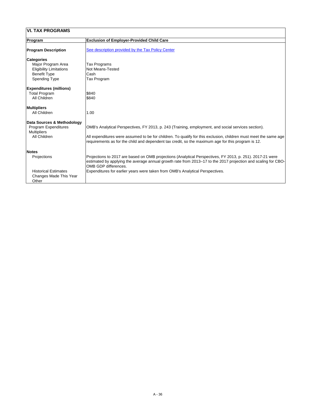| <b>VI. TAX PROGRAMS</b>                                               |                                                                                                                                                                                                                                                           |  |
|-----------------------------------------------------------------------|-----------------------------------------------------------------------------------------------------------------------------------------------------------------------------------------------------------------------------------------------------------|--|
| <b>Program</b>                                                        | <b>Exclusion of Employer-Provided Child Care</b>                                                                                                                                                                                                          |  |
| <b>Program Description</b>                                            | See description provided by the Tax Policy Center                                                                                                                                                                                                         |  |
| <b>Categories</b>                                                     |                                                                                                                                                                                                                                                           |  |
| Major Program Area                                                    | Tax Programs                                                                                                                                                                                                                                              |  |
| <b>Eligibility Limitations</b>                                        | <b>Not Means-Tested</b>                                                                                                                                                                                                                                   |  |
| <b>Benefit Type</b>                                                   | Cash                                                                                                                                                                                                                                                      |  |
| <b>Spending Type</b>                                                  | Tax Program                                                                                                                                                                                                                                               |  |
| <b>Expenditures (millions)</b>                                        |                                                                                                                                                                                                                                                           |  |
| <b>Total Program</b>                                                  | \$840                                                                                                                                                                                                                                                     |  |
| <b>All Children</b>                                                   | \$840                                                                                                                                                                                                                                                     |  |
| <b>Multipliers</b>                                                    |                                                                                                                                                                                                                                                           |  |
| <b>All Children</b>                                                   | 1.00                                                                                                                                                                                                                                                      |  |
| <b>Data Sources &amp; Methodology</b>                                 |                                                                                                                                                                                                                                                           |  |
| <b>Program Expenditures</b>                                           | OMB's Analytical Perspectives, FY 2013, p. 243 (Training, employment, and social services section).                                                                                                                                                       |  |
| <b>Multipliers</b>                                                    |                                                                                                                                                                                                                                                           |  |
| <b>All Children</b>                                                   | All expenditures were assumed to be for children. To qualify for this exclusion, children must meet the same age<br>requirements as for the child and dependent tax credit, so the maximum age for this program is 12.                                    |  |
| <b>Notes</b>                                                          |                                                                                                                                                                                                                                                           |  |
| Projections                                                           | Projections to 2017 are based on OMB projections (Analytical Perspectives, FY 2013, p. 251). 2017-21 were<br>estimated by applying the average annual growth rate from 2013–17 to the 2017 projection and scaling for CBO-<br><b>OMB GDP differences.</b> |  |
| <b>Historical Estimates</b><br><b>Changes Made This Year</b><br>Other | Expenditures for earlier years were taken from OMB's Analytical Perspectives.                                                                                                                                                                             |  |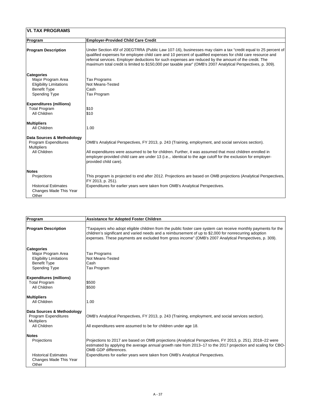| <b>VI. TAX PROGRAMS</b>                                                                                           |                                                                                                                                                                                                                                                                                                                                                                                                                                                      |
|-------------------------------------------------------------------------------------------------------------------|------------------------------------------------------------------------------------------------------------------------------------------------------------------------------------------------------------------------------------------------------------------------------------------------------------------------------------------------------------------------------------------------------------------------------------------------------|
| Program                                                                                                           | <b>Employer-Provided Child Care Credit</b>                                                                                                                                                                                                                                                                                                                                                                                                           |
| <b>Program Description</b>                                                                                        | Under Section 45f of 20EGTRRA (Public Law 107-16), businesses may claim a tax "credit equal to 25 percent of<br>qualified expenses for employee child care and 10 percent of qualified expenses for child care resource and<br>referral services. Employer deductions for such expenses are reduced by the amount of the credit. The<br>maximum total credit is limited to \$150,000 per taxable year" (OMB's 2007 Analytical Perspectives, p. 309). |
| <b>Categories</b><br>Major Program Area<br><b>Eligibility Limitations</b><br><b>Benefit Type</b>                  | Tax Programs<br><b>Not Means-Tested</b><br>Cash                                                                                                                                                                                                                                                                                                                                                                                                      |
| <b>Spending Type</b>                                                                                              | Tax Program                                                                                                                                                                                                                                                                                                                                                                                                                                          |
| <b>Expenditures (millions)</b><br><b>Total Program</b><br><b>All Children</b>                                     | \$10<br>\$10                                                                                                                                                                                                                                                                                                                                                                                                                                         |
| <b>Multipliers</b><br><b>All Children</b>                                                                         | 1.00                                                                                                                                                                                                                                                                                                                                                                                                                                                 |
| <b>Data Sources &amp; Methodology</b><br><b>Program Expenditures</b><br><b>Multipliers</b><br><b>All Children</b> | OMB's Analytical Perspectives, FY 2013, p. 243 (Training, employment, and social services section).<br>All expenditures were assumed to be for children. Further, it was assumed that most children enrolled in<br>employer-provided child care are under 13 (i.e.,. identical to the age cutoff for the exclusion for employer-<br>provided child care).                                                                                            |
| <b>Notes</b>                                                                                                      |                                                                                                                                                                                                                                                                                                                                                                                                                                                      |
| Projections                                                                                                       | This program is projected to end after 2012. Projections are based on OMB projections (Analytical Perspectives,<br>FY 2013, p. 251).                                                                                                                                                                                                                                                                                                                 |
| <b>Historical Estimates</b><br><b>Changes Made This Year</b><br>Other                                             | Expenditures for earlier years were taken from OMB's Analytical Perspectives.                                                                                                                                                                                                                                                                                                                                                                        |

| Program                                                               | <b>Assistance for Adopted Foster Children</b>                                                                                                                                                                                                                                                                                      |
|-----------------------------------------------------------------------|------------------------------------------------------------------------------------------------------------------------------------------------------------------------------------------------------------------------------------------------------------------------------------------------------------------------------------|
| <b>Program Description</b>                                            | "Taxpayers who adopt eligible children from the public foster care system can receive monthly payments for the<br>children's significant and varied needs and a reimbursement of up to \$2,000 for nonrecurring adoption<br>expenses. These payments are excluded from gross income" (OMB's 2007 Analytical Perspectives, p. 309). |
| <b>Categories</b>                                                     |                                                                                                                                                                                                                                                                                                                                    |
| Major Program Area                                                    | <b>Tax Programs</b>                                                                                                                                                                                                                                                                                                                |
| <b>Eligibility Limitations</b><br><b>Benefit Type</b>                 | Not Means-Tested<br>Cash                                                                                                                                                                                                                                                                                                           |
| <b>Spending Type</b>                                                  | Tax Program                                                                                                                                                                                                                                                                                                                        |
| <b>Expenditures (millions)</b>                                        |                                                                                                                                                                                                                                                                                                                                    |
| <b>Total Program</b>                                                  | \$500                                                                                                                                                                                                                                                                                                                              |
| <b>All Children</b>                                                   | \$500                                                                                                                                                                                                                                                                                                                              |
| <b>Multipliers</b>                                                    |                                                                                                                                                                                                                                                                                                                                    |
| <b>All Children</b>                                                   | 1.00                                                                                                                                                                                                                                                                                                                               |
| Data Sources & Methodology                                            |                                                                                                                                                                                                                                                                                                                                    |
| <b>Program Expenditures</b>                                           | OMB's Analytical Perspectives, FY 2013, p. 243 (Training, employment, and social services section).                                                                                                                                                                                                                                |
| <b>Multipliers</b>                                                    |                                                                                                                                                                                                                                                                                                                                    |
| <b>All Children</b>                                                   | All expenditures were assumed to be for children under age 18.                                                                                                                                                                                                                                                                     |
| <b>Notes</b>                                                          |                                                                                                                                                                                                                                                                                                                                    |
| Projections                                                           | Projections to 2017 are based on OMB projections (Analytical Perspectives, FY 2013, p. 251). 2018–22 were<br>estimated by applying the average annual growth rate from 2013–17 to the 2017 projection and scaling for CBO-<br><b>OMB GDP differences.</b>                                                                          |
| <b>Historical Estimates</b><br><b>Changes Made This Year</b><br>Other | Expenditures for earlier years were taken from OMB's Analytical Perspectives.                                                                                                                                                                                                                                                      |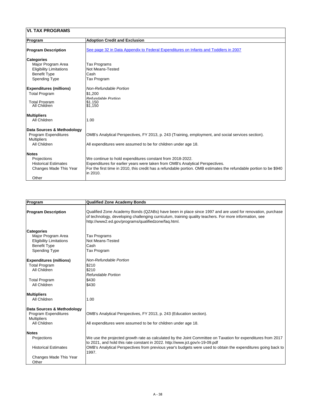| <b>VI. TAX PROGRAMS</b>        |                                                                                                                    |
|--------------------------------|--------------------------------------------------------------------------------------------------------------------|
| Program                        | <b>Adoption Credit and Exclusion</b>                                                                               |
| <b>Program Description</b>     | See page 32 in Data Appendix to Federal Expenditures on Infants and Toddlers in 2007                               |
| <b>Categories</b>              |                                                                                                                    |
| Major Program Area             | Tax Programs                                                                                                       |
| <b>Eligibility Limitations</b> | Not Means-Tested                                                                                                   |
| <b>Benefit Type</b>            | <b>Cash</b>                                                                                                        |
| <b>Spending Type</b>           | Tax Program                                                                                                        |
| <b>Expenditures (millions)</b> | <b>Non-Refundable Portion</b>                                                                                      |
| <b>Total Program</b>           | \$1,200                                                                                                            |
|                                | <b>Refundable Portion</b>                                                                                          |
| <b>Total Program</b>           | \$1.150                                                                                                            |
| <b>All Children</b>            | \$1,150                                                                                                            |
| <b>Multipliers</b>             |                                                                                                                    |
| <b>All Children</b>            | 1.00                                                                                                               |
| Data Sources & Methodology     |                                                                                                                    |
| <b>Program Expenditures</b>    | OMB's Analytical Perspectives, FY 2013, p. 243 (Training, employment, and social services section).                |
| <b>Multipliers</b>             |                                                                                                                    |
| <b>All Children</b>            | All expenditures were assumed to be for children under age 18.                                                     |
| <b>Notes</b>                   |                                                                                                                    |
| Projections                    | We continue to hold expenditures constant from 2018-2022.                                                          |
| <b>Historical Estimates</b>    | Expenditures for earlier years were taken from OMB's Analytical Perspectives.                                      |
| <b>Changes Made This Year</b>  | For the first time in 2010, this credit has a refundable portion. OMB estimates the refundable portion to be \$940 |
|                                | in 2010.                                                                                                           |
| Other                          |                                                                                                                    |
|                                |                                                                                                                    |

| <b>Program</b>                                                                                                           | <b>Qualified Zone Academy Bonds</b>                                                                                                                                                                                                                                       |
|--------------------------------------------------------------------------------------------------------------------------|---------------------------------------------------------------------------------------------------------------------------------------------------------------------------------------------------------------------------------------------------------------------------|
| <b>Program Description</b>                                                                                               | Qualified Zone Academy Bonds (QZABs) have been in place since 1997 and are used for renovation, purchase<br>of technology, developing challenging curriculum, training quality teachers. For more information, see<br>http://www2.ed.gov/programs/qualifiedzone/faq.html. |
| <b>Categories</b><br>Major Program Area<br><b>Eligibility Limitations</b><br><b>Benefit Type</b><br><b>Spending Type</b> | Tax Programs<br><b>Not Means-Tested</b><br>Cash<br>Tax Program                                                                                                                                                                                                            |

| <b>Expenditures (millions)</b> | <b>Non-Refundable Portion</b>                                                                                 |  |
|--------------------------------|---------------------------------------------------------------------------------------------------------------|--|
| <b>Total Program</b>           | \$210                                                                                                         |  |
| <b>All Children</b>            | \$210                                                                                                         |  |
|                                | <b>Refundable Portion</b>                                                                                     |  |
| <b>Total Program</b>           | \$430                                                                                                         |  |
| <b>All Children</b>            | \$430                                                                                                         |  |
| <b>Multipliers</b>             |                                                                                                               |  |
| <b>All Children</b>            | 1.00                                                                                                          |  |
| Data Sources & Methodology     |                                                                                                               |  |
| <b>Program Expenditures</b>    | OMB's Analytical Perspectives, FY 2013, p. 243 (Education section).                                           |  |
| <b>Multipliers</b>             |                                                                                                               |  |
| <b>All Children</b>            | All expenditures were assumed to be for children under age 18.                                                |  |
| <b>Notes</b>                   |                                                                                                               |  |
| Projections                    | We use the projected growth rate as calculated by the Joint Committee on Taxation for expenditures from 2017  |  |
|                                | to 2021, and hold this rate constant in 2022. http://www.jct.gov/x-19-09.pdf                                  |  |
| <b>Historical Estimates</b>    | OMB's Analytical Perspectives from previous year's budgets were used to obtain the expenditures going back to |  |
|                                | 1997.                                                                                                         |  |
| <b>Changes Made This Year</b>  |                                                                                                               |  |
| Other                          |                                                                                                               |  |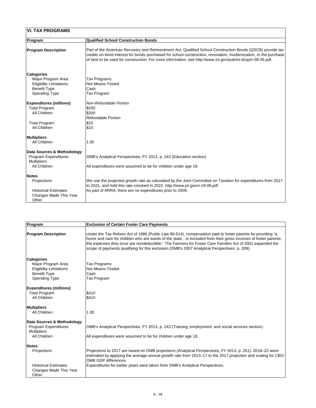| <b>VI. TAX PROGRAMS</b>                                                                                                      |                                                                                                                                                                                                                                                                                                                                               |
|------------------------------------------------------------------------------------------------------------------------------|-----------------------------------------------------------------------------------------------------------------------------------------------------------------------------------------------------------------------------------------------------------------------------------------------------------------------------------------------|
| <b>Program</b>                                                                                                               | <b>Qualified School Construction Bonds</b>                                                                                                                                                                                                                                                                                                    |
| <b>Program Description</b>                                                                                                   | Part of the American Recovery and Reinvestment Act, Qualified School Construction Bonds (QSCB) provide tax<br>credits on bond interest for bonds purchased for school construction, renovation, modernization, or the purchase<br>of land to be used for construction. For more information, see http://www.irs.gov/pub/irs-drop/n-09-35.pdf. |
| <b>Categories</b><br>Major Program Area<br><b>Eligibility Limitations</b><br><b>Benefit Type</b><br><b>Spending Type</b>     | Tax Programs<br><b>Not Means-Tested</b><br>Cash<br>Tax Program                                                                                                                                                                                                                                                                                |
| <b>Expenditures (millions)</b><br><b>Total Program</b><br><b>All Children</b><br><b>Total Program</b><br><b>All Children</b> | <b>Non-Refundable Portion</b><br>\$200<br>\$200<br><b>Refundable Portion</b><br> \$10<br>\$10                                                                                                                                                                                                                                                 |
| <b>Multipliers</b><br><b>All Children</b>                                                                                    | 1.00                                                                                                                                                                                                                                                                                                                                          |
| Data Sources & Methodology<br><b>Program Expenditures</b><br><b>Multipliers</b><br><b>All Children</b>                       | OMB's Analytical Perspectives, FY 2013, p. 243 (Education section).<br>All expenditures were assumed to be for children under age 18.                                                                                                                                                                                                         |
| <b>Notes</b><br><b>Projections</b><br><b>Historical Estimates</b><br><b>Changes Made This Year</b><br>Other                  | We use the projected growth rate as calculated by the Joint Committee on Taxation for expenditures from 2017<br>to 2021, and hold this rate constant in 2022. http://www.jct.gov/x-19-09.pdf<br>As part of ARRA, there are no expenditures prior to 2009.                                                                                     |

| <b>Program</b>             | <b>Exclusion of Certain Foster Care Payments</b>                                                                                                                                                                                                                                                                                                                                                                                           |
|----------------------------|--------------------------------------------------------------------------------------------------------------------------------------------------------------------------------------------------------------------------------------------------------------------------------------------------------------------------------------------------------------------------------------------------------------------------------------------|
| <b>Program Description</b> | Under the Tax Reform Act of 1986 (Public Law 99-514), compensation paid to foster parents for providing "a<br>home and care for children who are wards of the state is excluded from their gross incomes of foster parents;<br>the expenses they incur are nondeductible." The Fairness for Foster Care Families Act of 2001 expanded the<br>Scope of payments qualifying for this exclusion (OMB's 2007 Analytical Perspectives, p. 309). |

| <b>Categories</b><br>Major Program Area<br><b>Eligibility Limitations</b><br><b>Benefit Type</b><br><b>Spending Type</b> | Tax Programs<br>Not Means-Tested<br>Cash<br>Tax Program                                                                                                                                                                                                   |
|--------------------------------------------------------------------------------------------------------------------------|-----------------------------------------------------------------------------------------------------------------------------------------------------------------------------------------------------------------------------------------------------------|
| <b>Expenditures (millions)</b>                                                                                           |                                                                                                                                                                                                                                                           |
| <b>Total Program</b>                                                                                                     | \$410                                                                                                                                                                                                                                                     |
| <b>All Children</b>                                                                                                      | \$410                                                                                                                                                                                                                                                     |
| <b>Multipliers</b><br><b>All Children</b>                                                                                | 1.00                                                                                                                                                                                                                                                      |
| Data Sources & Methodology                                                                                               |                                                                                                                                                                                                                                                           |
| <b>Program Expenditures</b><br><b>Multipliers</b>                                                                        | OMB's Analytical Perspectives, FY 2013, p. 243 (Training, employment, and social services section).                                                                                                                                                       |
| <b>All Children</b>                                                                                                      | All expenditures were assumed to be for children under age 18.                                                                                                                                                                                            |
| <b>Notes</b>                                                                                                             |                                                                                                                                                                                                                                                           |
| <b>Projections</b>                                                                                                       | Projections to 2017 are based on OMB projections (Analytical Perspectives, FY 2013, p. 251). 2018–22 were<br>estimated by applying the average annual growth rate from 2013–17 to the 2017 projection and scaling for CBO-<br><b>OMB GDP differences.</b> |
| <b>Historical Estimates</b><br><b>Changes Made This Year</b><br>Other                                                    | Expenditures for earlier years were taken from OMB's Analytical Perspectives.                                                                                                                                                                             |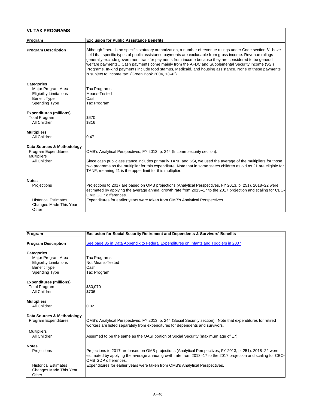| <b>VI. TAX PROGRAMS</b>                                                                                                  |                                                                                                                                                                                                                                                                                                                                                                                                                                                                                                                                                                                                         |
|--------------------------------------------------------------------------------------------------------------------------|---------------------------------------------------------------------------------------------------------------------------------------------------------------------------------------------------------------------------------------------------------------------------------------------------------------------------------------------------------------------------------------------------------------------------------------------------------------------------------------------------------------------------------------------------------------------------------------------------------|
| Program                                                                                                                  | <b>Exclusion for Public Assistance Benefits</b>                                                                                                                                                                                                                                                                                                                                                                                                                                                                                                                                                         |
| <b>Program Description</b>                                                                                               | Although "there is no specific statutory authorization, a number of revenue rulings under Code section 61 have<br>held that specific types of public assistance payments are excludable from gross income. Revenue rulings<br>generally exclude government transfer payments from income because they are considered to be general<br>welfare paymentsCash payments come mainly from the AFDC and Supplemental Security Income (SSI)<br>Programs. In-kind payments include food stamps, Medicaid, and housing assistance. None of these payments<br>is subject to income tax" (Green Book 2004, 13-42). |
| <b>Categories</b><br>Major Program Area<br><b>Eligibility Limitations</b><br><b>Benefit Type</b><br><b>Spending Type</b> | Tax Programs<br>Means-Tested<br>Cash<br>Tax Program                                                                                                                                                                                                                                                                                                                                                                                                                                                                                                                                                     |
| <b>Expenditures (millions)</b><br><b>Total Program</b><br><b>All Children</b>                                            | \$670<br>\$316                                                                                                                                                                                                                                                                                                                                                                                                                                                                                                                                                                                          |
| <b>Multipliers</b><br><b>All Children</b>                                                                                | 0.47                                                                                                                                                                                                                                                                                                                                                                                                                                                                                                                                                                                                    |
| Data Sources & Methodology<br><b>Program Expenditures</b><br><b>Multipliers</b><br><b>All Children</b>                   | OMB's Analytical Perspectives, FY 2013, p. 244 (Income security section).<br>Since cash public assistance includes primarily TANF and SSI, we used the average of the multipliers for those<br>two programs as the multiplier for this expenditure. Note that in some states children as old as 21 are eligible for<br>TANF, meaning 21 is the upper limit for this multiplier.                                                                                                                                                                                                                         |
| <b>Notes</b><br>Projections                                                                                              | Projections to 2017 are based on OMB projections (Analytical Perspectives, FY 2013, p. 251). 2018–22 were<br>estimated by applying the average annual growth rate from 2013–17 to the 2017 projection and scaling for CBO-<br><b>OMB GDP differences.</b>                                                                                                                                                                                                                                                                                                                                               |
| <b>Historical Estimates</b><br><b>Changes Made This Year</b><br>Other                                                    | Expenditures for earlier years were taken from OMB's Analytical Perspectives.                                                                                                                                                                                                                                                                                                                                                                                                                                                                                                                           |

| <b>Program</b>                                                        | <b>Exclusion for Social Security Retirement and Dependents &amp; Survivors' Benefits</b>                                                                                                                                                                  |
|-----------------------------------------------------------------------|-----------------------------------------------------------------------------------------------------------------------------------------------------------------------------------------------------------------------------------------------------------|
| <b>Program Description</b>                                            | See page 35 in Data Appendix to Federal Expenditures on Infants and Toddlers in 2007                                                                                                                                                                      |
| <b>Categories</b>                                                     |                                                                                                                                                                                                                                                           |
| Major Program Area                                                    | <b>Tax Programs</b>                                                                                                                                                                                                                                       |
| <b>Eligibility Limitations</b>                                        | <b>Not Means-Tested</b>                                                                                                                                                                                                                                   |
| <b>Benefit Type</b>                                                   | Cash                                                                                                                                                                                                                                                      |
| <b>Spending Type</b>                                                  | <b>Tax Program</b>                                                                                                                                                                                                                                        |
| <b>Expenditures (millions)</b>                                        |                                                                                                                                                                                                                                                           |
| <b>Total Program</b>                                                  | \$30,070                                                                                                                                                                                                                                                  |
| <b>All Children</b>                                                   | \$706                                                                                                                                                                                                                                                     |
| <b>Multipliers</b>                                                    |                                                                                                                                                                                                                                                           |
| <b>All Children</b>                                                   | $ 0.02\rangle$                                                                                                                                                                                                                                            |
| Data Sources & Methodology                                            |                                                                                                                                                                                                                                                           |
| <b>Program Expenditures</b>                                           | OMB's Analytical Perspectives, FY 2013, p. 244 (Social Security section). Note that expenditures for retired<br>workers are listed separately from expenditures for dependents and survivors.                                                             |
| <b>Multipliers</b>                                                    |                                                                                                                                                                                                                                                           |
| <b>All Children</b>                                                   | Assumed to be the same as the OASI portion of Social Security (maximum age of 17).                                                                                                                                                                        |
| <b>Notes</b>                                                          |                                                                                                                                                                                                                                                           |
| Projections                                                           | Projections to 2017 are based on OMB projections (Analytical Perspectives, FY 2013, p. 251). 2018–22 were<br>estimated by applying the average annual growth rate from 2013–17 to the 2017 projection and scaling for CBO-<br><b>OMB GDP differences.</b> |
| <b>Historical Estimates</b><br><b>Changes Made This Year</b><br>Other | Expenditures for earlier years were taken from OMB's Analytical Perspectives.                                                                                                                                                                             |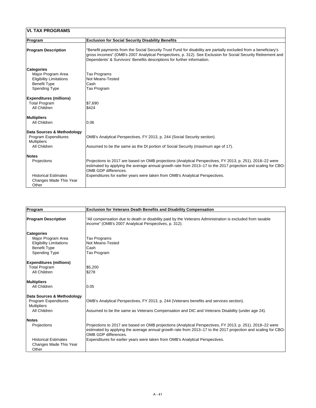| <b>VI. TAX PROGRAMS</b>                                                                                                  |                                                                                                                                                                                                                                                                                                              |
|--------------------------------------------------------------------------------------------------------------------------|--------------------------------------------------------------------------------------------------------------------------------------------------------------------------------------------------------------------------------------------------------------------------------------------------------------|
| <b>Program</b>                                                                                                           | <b>Exclusion for Social Security Disability Benefits</b>                                                                                                                                                                                                                                                     |
| <b>Program Description</b>                                                                                               | 'Benefit payments from the Social Security Trust Fund for disability are partially excluded from a beneficiary's<br>gross incomes" (OMB's 2007 Analytical Perspectives, p. 312). See Exclusion for Social Security Retirement and<br>Dependents' & Survivors' Benefits descriptions for further information. |
| <b>Categories</b><br>Major Program Area<br><b>Eligibility Limitations</b><br><b>Benefit Type</b><br><b>Spending Type</b> | Tax Programs<br><b>Not Means-Tested</b><br>Cash<br>Tax Program                                                                                                                                                                                                                                               |
| <b>Expenditures (millions)</b><br><b>Total Program</b><br><b>All Children</b>                                            | \$7,690<br>\$424                                                                                                                                                                                                                                                                                             |
| <b>Multipliers</b><br><b>All Children</b>                                                                                | 0.06                                                                                                                                                                                                                                                                                                         |
| Data Sources & Methodology<br><b>Program Expenditures</b><br><b>Multipliers</b><br><b>All Children</b>                   | OMB's Analytical Perspectives, FY 2013, p. 244 (Social Security section).<br>Assumed to be the same as the DI portion of Social Security (maximum age of 17).                                                                                                                                                |
| <b>Notes</b><br><b>Projections</b>                                                                                       | Projections to 2017 are based on OMB projections (Analytical Perspectives, FY 2013, p. 251). 2018–22 were<br>estimated by applying the average annual growth rate from 2013–17 to the 2017 projection and scaling for CBO-<br><b>OMB GDP differences.</b>                                                    |
| <b>Historical Estimates</b><br><b>Changes Made This Year</b><br>Other                                                    | Expenditures for earlier years were taken from OMB's Analytical Perspectives.                                                                                                                                                                                                                                |

| Program                                                                                                                  | <b>Exclusion for Veterans Death Benefits and Disability Compensation</b>                                                                                                                                                                                                                                                                   |
|--------------------------------------------------------------------------------------------------------------------------|--------------------------------------------------------------------------------------------------------------------------------------------------------------------------------------------------------------------------------------------------------------------------------------------------------------------------------------------|
| <b>Program Description</b>                                                                                               | All compensation due to death or disability paid by the Veterans Administration is excluded from taxable<br>income" (OMB's 2007 Analytical Perspectives, p. 312).                                                                                                                                                                          |
| <b>Categories</b><br>Major Program Area<br><b>Eligibility Limitations</b><br><b>Benefit Type</b><br><b>Spending Type</b> | Tax Programs<br><b>Not Means-Tested</b><br>Cash<br>Tax Program                                                                                                                                                                                                                                                                             |
| <b>Expenditures (millions)</b><br><b>Total Program</b><br><b>All Children</b>                                            | \$5,200<br>\$278                                                                                                                                                                                                                                                                                                                           |
| <b>Multipliers</b><br><b>All Children</b>                                                                                | 0.05                                                                                                                                                                                                                                                                                                                                       |
| Data Sources & Methodology<br><b>Program Expenditures</b><br><b>Multipliers</b><br><b>All Children</b>                   | OMB's Analytical Perspectives, FY 2013, p. 244 (Veterans benefits and services section).<br>Assumed to be the same as Veterans Compensation and DIC and Veterans Disability (under age 24).                                                                                                                                                |
| <b>Notes</b><br>Projections<br><b>Historical Estimates</b>                                                               | Projections to 2017 are based on OMB projections (Analytical Perspectives, FY 2013, p. 251). 2018–22 were<br>estimated by applying the average annual growth rate from 2013–17 to the 2017 projection and scaling for CBO-<br><b>OMB GDP differences.</b><br>Expenditures for earlier years were taken from OMB's Analytical Perspectives. |
| <b>Changes Made This Year</b><br>Other                                                                                   |                                                                                                                                                                                                                                                                                                                                            |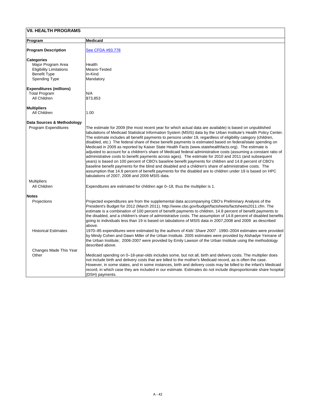## **VII. HEALTH PROGRAMS**

| <b>Program</b>                                                                                                           | <b>Medicaid</b>                                                                                                                                                                                                                                                                                                                                                                                                                                                                                                                                                                                                                                                                                                                                                                                                                                                                                                                                                                                                                                                                                                                                                                                                                                                            |
|--------------------------------------------------------------------------------------------------------------------------|----------------------------------------------------------------------------------------------------------------------------------------------------------------------------------------------------------------------------------------------------------------------------------------------------------------------------------------------------------------------------------------------------------------------------------------------------------------------------------------------------------------------------------------------------------------------------------------------------------------------------------------------------------------------------------------------------------------------------------------------------------------------------------------------------------------------------------------------------------------------------------------------------------------------------------------------------------------------------------------------------------------------------------------------------------------------------------------------------------------------------------------------------------------------------------------------------------------------------------------------------------------------------|
| <b>Program Description</b>                                                                                               | See CFDA #93.778                                                                                                                                                                                                                                                                                                                                                                                                                                                                                                                                                                                                                                                                                                                                                                                                                                                                                                                                                                                                                                                                                                                                                                                                                                                           |
| <b>Categories</b><br>Major Program Area<br><b>Eligibility Limitations</b><br><b>Benefit Type</b><br><b>Spending Type</b> | Health<br>Means-Tested<br>In-Kind<br>Mandatory                                                                                                                                                                                                                                                                                                                                                                                                                                                                                                                                                                                                                                                                                                                                                                                                                                                                                                                                                                                                                                                                                                                                                                                                                             |
| <b>Expenditures (millions)</b><br><b>Total Program</b><br><b>All Children</b>                                            | N/A<br>\$73,853                                                                                                                                                                                                                                                                                                                                                                                                                                                                                                                                                                                                                                                                                                                                                                                                                                                                                                                                                                                                                                                                                                                                                                                                                                                            |
| <b>Multipliers</b><br><b>All Children</b>                                                                                | 1.00                                                                                                                                                                                                                                                                                                                                                                                                                                                                                                                                                                                                                                                                                                                                                                                                                                                                                                                                                                                                                                                                                                                                                                                                                                                                       |
| Data Sources & Methodology                                                                                               |                                                                                                                                                                                                                                                                                                                                                                                                                                                                                                                                                                                                                                                                                                                                                                                                                                                                                                                                                                                                                                                                                                                                                                                                                                                                            |
| <b>Program Expenditures</b><br><b>Multipliers</b><br><b>All Children</b>                                                 | The estimate for 2009 (the most recent year for which actual data are available) is based on unpublished<br>tabulations of Medicaid Statistical Information System (MSIS) data by the Urban Institute's Health Policy Center.<br>The estimate includes all benefit payments to persons under 19, regardless of eligibility category (children,<br>disabled, etc.) The federal share of these benefit payments is estimated based on federal/state spending on<br>Medicaid in 2009 as reported by Kaiser State Health Facts (www.statehealthfacts.org). The estimate is<br>adjusted to account for a children's share of Medicaid federal administrative costs (assuming a constant ratio of<br>administrative costs to benefit payments across ages). The estimate for 2010 and 2011 (and subsequent<br>years) is based on 100 percent of CBO's baseline benefit payments for children and 14.8 percent of CBO's<br>baseline benefit payments for the blind and disabled and a children's share of administrative costs. The<br>assumption that 14.8 percent of benefit payments for the disabled are to children under 19 is based on HPC<br>tabulations of 2007, 2008 and 2009 MSIS data.<br>Expenditures are estimated for children age 0-18, thus the multiplier is 1. |
|                                                                                                                          |                                                                                                                                                                                                                                                                                                                                                                                                                                                                                                                                                                                                                                                                                                                                                                                                                                                                                                                                                                                                                                                                                                                                                                                                                                                                            |
| <b>Notes</b><br>Projections                                                                                              | Projected expenditures are from the supplemental data accompanying CBO's Preliminary Analysis of the<br>President's Budget for 2012 (March 2011). http://www.cbo.gov/budget/factsheets/factsheets2011.cfm. The<br>estimate is a combination of 100 percent of benefit payments to children, 14.8 percent of benefit payments to<br>the disabled, and a children's share of administrative costs. The assumption of 14.8 percent of disabled benefits<br>going to individuals less than 19 is based on tabulations of MSIS data in 2007,2008 and 2009 as described<br>above.                                                                                                                                                                                                                                                                                                                                                                                                                                                                                                                                                                                                                                                                                                |
| <b>Historical Estimates</b>                                                                                              | 1970–85 expenditures were estimated by the authors of Kids' Share 2007. 1990–2004 estimates were provided<br>by Mindy Cohen and Dawn Miller of the Urban Institute. 2005 estimates were provided by Alshadye Yemane of<br>the Urban Institute; 2006-2007 were provided by Emily Lawson of the Urban Institute using the methodology<br>described above.                                                                                                                                                                                                                                                                                                                                                                                                                                                                                                                                                                                                                                                                                                                                                                                                                                                                                                                    |
| <b>Changes Made This Year</b><br>Other                                                                                   | Medicaid spending on 0–18-year-olds includes some, but not all, birth and delivery costs. The multiplier does<br>not include birth and delivery costs that are billed to the mother's Medicaid record, as is often the case.<br>However, in some states, and in some instances, birth and delivery costs may be billed to the infant's Medicaid<br>record, in which case they are included in our estimate. Estimates do not include disproportionate share hospital<br>(DSH) payments.                                                                                                                                                                                                                                                                                                                                                                                                                                                                                                                                                                                                                                                                                                                                                                                    |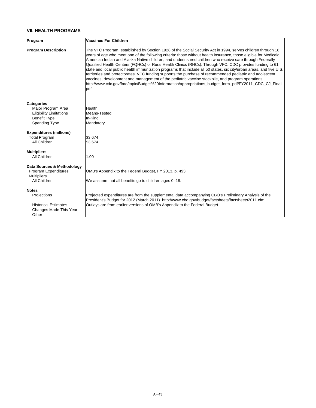| <b>VII. HEALTH PROGRAMS</b>                                                                                              |                                                                                                                                                                                                                                                                                                                                                                                                                                                                                                                                                                                                                                                                                                                                                                                                                                                                                                                 |
|--------------------------------------------------------------------------------------------------------------------------|-----------------------------------------------------------------------------------------------------------------------------------------------------------------------------------------------------------------------------------------------------------------------------------------------------------------------------------------------------------------------------------------------------------------------------------------------------------------------------------------------------------------------------------------------------------------------------------------------------------------------------------------------------------------------------------------------------------------------------------------------------------------------------------------------------------------------------------------------------------------------------------------------------------------|
| <b>Program</b>                                                                                                           | <b>Vaccines For Children</b>                                                                                                                                                                                                                                                                                                                                                                                                                                                                                                                                                                                                                                                                                                                                                                                                                                                                                    |
| <b>Program Description</b>                                                                                               | The VFC Program, established by Section 1928 of the Social Security Act in 1994, serves children through 18<br>years of age who meet one of the following criteria: those without health insurance, those eligible for Medicaid,<br>American Indian and Alaska Native children, and underinsured children who receive care through Federally<br>Qualified Health Centers (FQHCs) or Rural Health Clinics (RHCs). Through VFC, CDC provides funding to 61<br>state and local public health immunization programs that include all 50 states, six city/urban areas, and five U.S.<br>territories and protectorates. VFC funding supports the purchase of recommended pediatric and adolescent<br>vaccines, development and management of the pediatric vaccine stockpile, and program operations.<br>http://www.cdc.gov/fmo/topic/Budget%20Information/appropriations_budget_form_pdf/FY2011_CDC_CJ_Final.<br>pdf |
| <b>Categories</b><br>Major Program Area<br><b>Eligibility Limitations</b><br><b>Benefit Type</b><br><b>Spending Type</b> | <b>Health</b><br>Means-Tested<br>In-Kind<br>Mandatory                                                                                                                                                                                                                                                                                                                                                                                                                                                                                                                                                                                                                                                                                                                                                                                                                                                           |
| <b>Expenditures (millions)</b><br><b>Total Program</b><br><b>All Children</b>                                            | \$3,674<br>\$3,674                                                                                                                                                                                                                                                                                                                                                                                                                                                                                                                                                                                                                                                                                                                                                                                                                                                                                              |
| <b>Multipliers</b><br><b>All Children</b>                                                                                | 1.00                                                                                                                                                                                                                                                                                                                                                                                                                                                                                                                                                                                                                                                                                                                                                                                                                                                                                                            |
| Data Sources & Methodology<br><b>Program Expenditures</b><br><b>Multipliers</b>                                          | OMB's Appendix to the Federal Budget, FY 2013, p. 493.                                                                                                                                                                                                                                                                                                                                                                                                                                                                                                                                                                                                                                                                                                                                                                                                                                                          |
| <b>All Children</b>                                                                                                      | We assume that all benefits go to children ages 0-18.                                                                                                                                                                                                                                                                                                                                                                                                                                                                                                                                                                                                                                                                                                                                                                                                                                                           |
| <b>Notes</b><br>Projections<br><b>Historical Estimates</b><br>Changes Made This Year<br>Other                            | Projected expenditures are from the supplemental data accompanying CBO's Preliminary Analysis of the<br>President's Budget for 2012 (March 2011). http://www.cbo.gov/budget/factsheets/factsheets2011.cfm<br>Outlays are from earlier versions of OMB's Appendix to the Federal Budget.                                                                                                                                                                                                                                                                                                                                                                                                                                                                                                                                                                                                                         |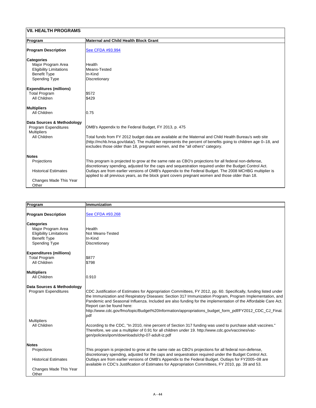| <b>VII. HEALTH PROGRAMS</b>                                                                                              |                                                                                                                                                                                                                                                                                                                                                                                                                               |  |
|--------------------------------------------------------------------------------------------------------------------------|-------------------------------------------------------------------------------------------------------------------------------------------------------------------------------------------------------------------------------------------------------------------------------------------------------------------------------------------------------------------------------------------------------------------------------|--|
| <b>Program</b>                                                                                                           | <b>Maternal and Child Health Block Grant</b>                                                                                                                                                                                                                                                                                                                                                                                  |  |
| <b>Program Description</b>                                                                                               | See CFDA #93.994                                                                                                                                                                                                                                                                                                                                                                                                              |  |
| <b>Categories</b><br>Major Program Area<br><b>Eligibility Limitations</b><br><b>Benefit Type</b><br><b>Spending Type</b> | Health<br>Means-Tested<br>In-Kind<br><b>Discretionary</b>                                                                                                                                                                                                                                                                                                                                                                     |  |
| <b>Expenditures (millions)</b><br><b>Total Program</b><br><b>All Children</b>                                            | \$572<br>\$429                                                                                                                                                                                                                                                                                                                                                                                                                |  |
| Multipliers<br><b>All Children</b>                                                                                       | 0.75                                                                                                                                                                                                                                                                                                                                                                                                                          |  |
| <b>Data Sources &amp; Methodology</b><br><b>Program Expenditures</b><br><b>Multipliers</b><br><b>All Children</b>        | OMB's Appendix to the Federal Budget, FY 2013, p. 475<br>Total funds from FY 2012 budget data are available at the Maternal and Child Health Bureau's web site<br>(http://mchb.hrsa.gov/data/). The multiplier represents the percent of benefits going to children age 0-18, and<br>excludes those older than 18, pregnant women, and the "all others" category.                                                             |  |
| <b>Notes</b><br><b>Projections</b><br><b>Historical Estimates</b><br>Changes Made This Year<br>Other                     | This program is projected to grow at the same rate as CBO's projections for all federal non-defense,<br>discretionary spending, adjusted for the caps and sequestration required under the Budget Control Act.<br>Outlays are from earlier versions of OMB's Appendix to the Federal Budget. The 2008 MCHBG multiplier is<br>applied to all previous years, as the block grant covers pregnant women and those older than 18. |  |

| Program                        | Immunization                                                                                                                                                                                                                                                                                                                                                               |
|--------------------------------|----------------------------------------------------------------------------------------------------------------------------------------------------------------------------------------------------------------------------------------------------------------------------------------------------------------------------------------------------------------------------|
| <b>Program Description</b>     | See CFDA #93.268                                                                                                                                                                                                                                                                                                                                                           |
| <b>Categories</b>              |                                                                                                                                                                                                                                                                                                                                                                            |
| Major Program Area             | Health                                                                                                                                                                                                                                                                                                                                                                     |
| <b>Eligibility Limitations</b> | <b>Not Means-Tested</b>                                                                                                                                                                                                                                                                                                                                                    |
| <b>Benefit Type</b>            | In-Kind                                                                                                                                                                                                                                                                                                                                                                    |
| <b>Spending Type</b>           | Discretionary                                                                                                                                                                                                                                                                                                                                                              |
| <b>Expenditures (millions)</b> |                                                                                                                                                                                                                                                                                                                                                                            |
| <b>Total Program</b>           | \$877                                                                                                                                                                                                                                                                                                                                                                      |
| <b>All Children</b>            | \$798                                                                                                                                                                                                                                                                                                                                                                      |
| <b>Multipliers</b>             |                                                                                                                                                                                                                                                                                                                                                                            |
| <b>All Children</b>            | 0.910                                                                                                                                                                                                                                                                                                                                                                      |
| Data Sources & Methodology     |                                                                                                                                                                                                                                                                                                                                                                            |
| <b>Program Expenditures</b>    | CDC Justification of Estimates for Appropriation Committees, FY 2012, pp. 60. Specifically, funding listed under<br>the Immunization and Respiratory Diseases: Section 317 Immunization Program, Program Implementation, and<br>Pandemic and Seasonal Influenza. Included are also funding for the implementation of the Affordable Care Act.<br>Report can be found here: |
|                                | http://www.cdc.gov/fmo/topic/Budget%20Information/appropriations_budget_form_pdf/FY2012_CDC_CJ_Final.<br> pdf                                                                                                                                                                                                                                                              |
| <b>Multipliers</b>             |                                                                                                                                                                                                                                                                                                                                                                            |
| <b>All Children</b>            | According to the CDC, "In 2010, nine percent of Section 317 funding was used to purchase adult vaccines."<br>Therefore, we use a multiplier of 0.91 for all children under 19. http://www.cdc.gov/vaccines/vac-<br>gen/policies/ipom/downloads/chp-07-adult-iz.pdf                                                                                                         |
| <b>Notes</b>                   |                                                                                                                                                                                                                                                                                                                                                                            |
| <b>Projections</b>             | This program is projected to grow at the same rate as CBO's projections for all federal non-defense,<br>discretionary spending, adjusted for the caps and sequestration required under the Budget Control Act.                                                                                                                                                             |
| <b>Historical Estimates</b>    | Outlays are from earlier versions of OMB's Appendix to the Federal Budget. Outlays for FY2005–08 are<br>available in CDC's Justification of Estimates for Appropriation Committees, FY 2010, pp. 39 and 53.                                                                                                                                                                |
| <b>Changes Made This Year</b>  |                                                                                                                                                                                                                                                                                                                                                                            |
| Other                          |                                                                                                                                                                                                                                                                                                                                                                            |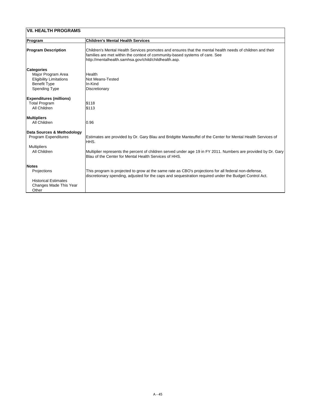| <b>VII. HEALTH PROGRAMS</b>                            |                                                                                                                                                                                                                                                   |  |
|--------------------------------------------------------|---------------------------------------------------------------------------------------------------------------------------------------------------------------------------------------------------------------------------------------------------|--|
| Program                                                | <b>Children's Mental Health Services</b>                                                                                                                                                                                                          |  |
| <b>Program Description</b>                             | Children's Mental Health Services promotes and ensures that the mental health needs of children and their<br>families are met within the context of community-based systems of care. See<br>http://mentalhealth.samhsa.gov/child/childhealth.asp. |  |
| <b>Categories</b><br>Major Program Area                | Health                                                                                                                                                                                                                                            |  |
| <b>Eligibility Limitations</b><br><b>Benefit Type</b>  | <b>Not Means-Tested</b><br>In-Kind                                                                                                                                                                                                                |  |
| <b>Spending Type</b>                                   | <b>Discretionary</b>                                                                                                                                                                                                                              |  |
| <b>Expenditures (millions)</b><br><b>Total Program</b> | \$118<br>\$113                                                                                                                                                                                                                                    |  |
| <b>All Children</b>                                    |                                                                                                                                                                                                                                                   |  |
| <b>Multipliers</b><br><b>All Children</b>              | 0.96                                                                                                                                                                                                                                              |  |
| Data Sources & Methodology                             |                                                                                                                                                                                                                                                   |  |
| <b>Program Expenditures</b>                            | Estimates are provided by Dr. Gary Blau and Bridgitte Manteuffel of the Center for Mental Health Services of<br>HHS.                                                                                                                              |  |
| <b>Multipliers</b><br><b>All Children</b>              | Multiplier represents the percent of children served under age 19 in FY 2011. Numbers are provided by Dr. Gary<br>Blau of the Center for Mental Health Services of HHS.                                                                           |  |
| <b>Notes</b>                                           |                                                                                                                                                                                                                                                   |  |
| <b>Projections</b>                                     | This program is projected to grow at the same rate as CBO's projections for all federal non-defense,<br>discretionary spending, adjusted for the caps and sequestration required under the Budget Control Act.                                    |  |
| <b>Historical Estimates</b>                            |                                                                                                                                                                                                                                                   |  |
| <b>Changes Made This Year</b><br>Other                 |                                                                                                                                                                                                                                                   |  |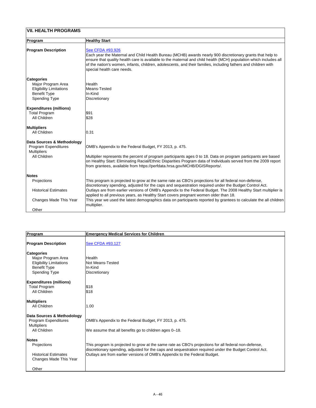| <b>VII. HEALTH PROGRAMS</b>                                                                                              |                                                                                                                                                                                                                                                                                                                                                                                                                                                                                                                                                               |  |
|--------------------------------------------------------------------------------------------------------------------------|---------------------------------------------------------------------------------------------------------------------------------------------------------------------------------------------------------------------------------------------------------------------------------------------------------------------------------------------------------------------------------------------------------------------------------------------------------------------------------------------------------------------------------------------------------------|--|
| Program                                                                                                                  | <b>Healthy Start</b>                                                                                                                                                                                                                                                                                                                                                                                                                                                                                                                                          |  |
| <b>Program Description</b>                                                                                               | See CFDA #93.926<br>Each year the Maternal and Child Health Bureau (MCHB) awards nearly 900 discretionary grants that help to<br>ensure that quality health care is available to the maternal and child health (MCH) population which includes all<br>of the nation's women, infants, children, adolescents, and their families, including fathers and children with<br>special health care needs.                                                                                                                                                            |  |
| <b>Categories</b><br>Major Program Area<br><b>Eligibility Limitations</b><br><b>Benefit Type</b><br><b>Spending Type</b> | <b>Health</b><br>Means-Tested<br>In-Kind<br><b>Discretionary</b>                                                                                                                                                                                                                                                                                                                                                                                                                                                                                              |  |
| <b>Expenditures (millions)</b><br><b>Total Program</b><br><b>All Children</b>                                            | \$91<br>\$28                                                                                                                                                                                                                                                                                                                                                                                                                                                                                                                                                  |  |
| <b>Multipliers</b><br><b>All Children</b>                                                                                | 0.31                                                                                                                                                                                                                                                                                                                                                                                                                                                                                                                                                          |  |
| Data Sources & Methodology<br><b>Program Expenditures</b><br><b>Multipliers</b><br>All Children                          | OMB's Appendix to the Federal Budget, FY 2013, p. 475.<br>Multiplier represents the percent of program participants ages 0 to 18. Data on program particpants are based<br>on Healthy Start: Eliminating Racial/Ethnic Disparities Program data of Individuals served from the 2009 report<br>from grantees, available from https://perfdata.hrsa.gov/MCHB/DGISReports/.                                                                                                                                                                                      |  |
| <b>Notes</b><br><b>Projections</b><br><b>Historical Estimates</b><br><b>Changes Made This Year</b><br>Other              | This program is projected to grow at the same rate as CBO's projections for all federal non-defense,<br>discretionary spending, adjusted for the caps and sequestration required under the Budget Control Act.<br>Outlays are from earlier versions of OMB's Appendix to the Federal Budget. The 2008 Healthy Start multiplier is<br>applied to all previous years, as Healthy Start covers pregnant women older than 18.<br>This year we used the latest demographics data on participants reported by grantees to calculate the all children<br>multiplier. |  |

| Program                                                      | <b>Emergency Medical Services for Children</b>                                                         |
|--------------------------------------------------------------|--------------------------------------------------------------------------------------------------------|
| <b>Program Description</b>                                   | See CFDA #93.127                                                                                       |
| <b>Categories</b>                                            |                                                                                                        |
| Major Program Area                                           | Health                                                                                                 |
| <b>Eligibility Limitations</b>                               | Not Means-Tested                                                                                       |
| <b>Benefit Type</b>                                          | In-Kind                                                                                                |
| <b>Spending Type</b>                                         | Discretionary                                                                                          |
| <b>Expenditures (millions)</b>                               |                                                                                                        |
| <b>Total Program</b>                                         | \$18                                                                                                   |
| <b>All Children</b>                                          | \$18                                                                                                   |
| <b>Multipliers</b>                                           |                                                                                                        |
| <b>All Children</b>                                          | 1.00                                                                                                   |
| <b>Data Sources &amp; Methodology</b>                        |                                                                                                        |
| <b>Program Expenditures</b>                                  | OMB's Appendix to the Federal Budget, FY 2013, p. 475.                                                 |
| <b>Multipliers</b>                                           |                                                                                                        |
| <b>All Children</b>                                          | We assume that all benefits go to children ages 0–18.                                                  |
| <b>Notes</b>                                                 |                                                                                                        |
| <b>Projections</b>                                           | This program is projected to grow at the same rate as CBO's projections for all federal non-defense,   |
|                                                              | discretionary spending, adjusted for the caps and sequestration required under the Budget Control Act. |
| <b>Historical Estimates</b><br><b>Changes Made This Year</b> | Outlays are from earlier versions of OMB's Appendix to the Federal Budget.                             |
| Other                                                        |                                                                                                        |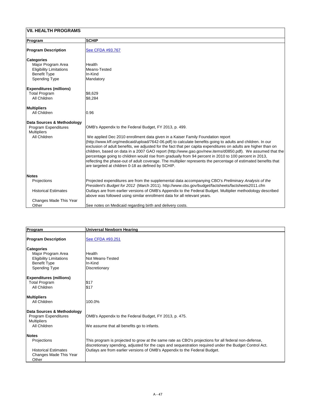# **VII. HEALTH PROGRAMS**

| Program                        | <b>SCHIP</b>                                                                                                    |
|--------------------------------|-----------------------------------------------------------------------------------------------------------------|
| <b>Program Description</b>     | See CFDA #93.767                                                                                                |
| <b>Categories</b>              |                                                                                                                 |
| Major Program Area             | Health                                                                                                          |
| <b>Eligibility Limitations</b> | Means-Tested                                                                                                    |
| <b>Benefit Type</b>            | In-Kind                                                                                                         |
| <b>Spending Type</b>           | Mandatory                                                                                                       |
| <b>Expenditures (millions)</b> |                                                                                                                 |
| <b>Total Program</b>           | \$8,629                                                                                                         |
| All Children                   | \$8,284                                                                                                         |
| <b>Multipliers</b>             |                                                                                                                 |
| <b>All Children</b>            | 0.96                                                                                                            |
| Data Sources & Methodology     |                                                                                                                 |
| <b>Program Expenditures</b>    | OMB's Appendix to the Federal Budget, FY 2013, p. 499.                                                          |
| <b>Multipliers</b>             |                                                                                                                 |
| <b>All Children</b>            | We applied Dec 2010 enrollment data given in a Kaiser Family Foundation report                                  |
|                                | (http://www.kff.org/medicaid/upload/7642-06.pdf) to calculate benefits going to adults and children. In our     |
|                                | exclusion of adult benefits, we adjusted for the fact that per capita expenditures on adults are higher than on |
|                                | children, based on data in a 2007 GAO report (http://www.gao.gov/new.items/d0850.pdf). We assumed that the      |
|                                | percentage going to children would rise from gradually from 94 percent in 2010 to 100 percent in 2013,          |
|                                | reflecting the phase-out of adult coverage. The multiplier represents the percentage of estimated benefits that |
|                                | are targeted at children 0-18 as defined by SCHIP.                                                              |
| <b>Notes</b>                   |                                                                                                                 |
| Projections                    | Projected expenditures are from the supplemental data accompanying CBO's Preliminary Analysis of the            |
|                                | President's Budget for 2012 (March 2011). http://www.cbo.gov/budget/factsheets/factsheets2011.cfm               |
| <b>Historical Estimates</b>    | Outlays are from earlier versions of OMB's Appendix to the Federal Budget. Multiplier methodology described     |
|                                | above was followed using similar enrollment data for all relevant years.                                        |
| <b>Changes Made This Year</b>  |                                                                                                                 |
| Other                          | See notes on Medicaid regarding birth and delivery costs.                                                       |

| Program                        | <b>Universal Newborn Hearing</b>                                                                       |
|--------------------------------|--------------------------------------------------------------------------------------------------------|
|                                |                                                                                                        |
| <b>Program Description</b>     | See CFDA #93.251                                                                                       |
|                                |                                                                                                        |
| <b>Categories</b>              | Health                                                                                                 |
| Major Program Area             |                                                                                                        |
| <b>Eligibility Limitations</b> | <b>Not Means-Tested</b>                                                                                |
| <b>Benefit Type</b>            | In-Kind                                                                                                |
| <b>Spending Type</b>           | <b>Discretionary</b>                                                                                   |
| <b>Expenditures (millions)</b> |                                                                                                        |
| <b>Total Program</b>           | \$17                                                                                                   |
| <b>All Children</b>            | \$17                                                                                                   |
|                                |                                                                                                        |
| <b>Multipliers</b>             |                                                                                                        |
| <b>All Children</b>            | 100.0%                                                                                                 |
|                                |                                                                                                        |
| Data Sources & Methodology     |                                                                                                        |
| <b>Program Expenditures</b>    | OMB's Appendix to the Federal Budget, FY 2013, p. 475.                                                 |
| <b>Multipliers</b>             |                                                                                                        |
| <b>All Children</b>            | We assume that all benefits go to infants.                                                             |
|                                |                                                                                                        |
| <b>Notes</b>                   |                                                                                                        |
| Projections                    | This program is projected to grow at the same rate as CBO's projections for all federal non-defense,   |
|                                | discretionary spending, adjusted for the caps and sequestration required under the Budget Control Act. |
| <b>Historical Estimates</b>    | Outlays are from earlier versions of OMB's Appendix to the Federal Budget.                             |
| <b>Changes Made This Year</b>  |                                                                                                        |
| Other                          |                                                                                                        |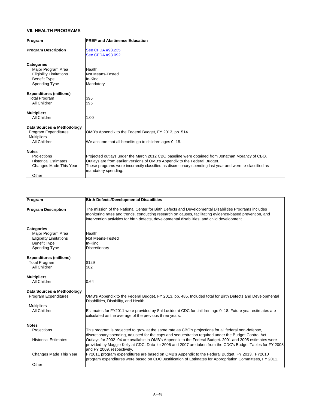| <b>VII. HEALTH PROGRAMS</b>                                                                                              |                                                                                                                                                                                                                                                                                                                  |  |
|--------------------------------------------------------------------------------------------------------------------------|------------------------------------------------------------------------------------------------------------------------------------------------------------------------------------------------------------------------------------------------------------------------------------------------------------------|--|
| Program                                                                                                                  | <b>PREP and Abstinence Education</b>                                                                                                                                                                                                                                                                             |  |
| <b>Program Description</b>                                                                                               | See CFDA #93.235<br>See CFDA #93.092                                                                                                                                                                                                                                                                             |  |
| <b>Categories</b><br>Major Program Area<br><b>Eligibility Limitations</b><br><b>Benefit Type</b><br><b>Spending Type</b> | <b>Health</b><br><b>Not Means-Tested</b><br>In-Kind<br>Mandatory                                                                                                                                                                                                                                                 |  |
| <b>Expenditures (millions)</b><br><b>Total Program</b><br><b>All Children</b>                                            | \$95<br>\$95                                                                                                                                                                                                                                                                                                     |  |
| <b>Multipliers</b><br><b>All Children</b>                                                                                | 1.00                                                                                                                                                                                                                                                                                                             |  |
| Data Sources & Methodology<br><b>Program Expenditures</b><br><b>Multipliers</b><br><b>All Children</b>                   | OMB's Appendix to the Federal Budget, FY 2013, pp. 514<br>We assume that all benefits go to children ages 0-18.                                                                                                                                                                                                  |  |
| <b>Notes</b><br><b>Projections</b><br><b>Historical Estimates</b><br><b>Changes Made This Year</b><br>Other              | Projected outlays under the March 2012 CBO baseline were obtained from Jonathan Morancy of CBO.<br>Outlays are from earlier versions of OMB's Appendix to the Federal Budget.<br>These programs were incorrectly classified as discretionary spending last year and were re-classified as<br>mandatory spending. |  |

| Program                        | <b>Birth Defects/Developmental Disabilities</b>                                                                                                                                                                                                                                                                   |
|--------------------------------|-------------------------------------------------------------------------------------------------------------------------------------------------------------------------------------------------------------------------------------------------------------------------------------------------------------------|
| <b>Program Description</b>     | The mission of the National Center for Birth Defects and Developmental Disabilities Programs includes<br>monitoring rates and trends, conducting research on causes, facilitating evidence-based prevention, and<br>intervention activities for birth defects, developmental disabilities, and child development. |
| Categories                     |                                                                                                                                                                                                                                                                                                                   |
| Major Program Area             | <b>Health</b>                                                                                                                                                                                                                                                                                                     |
| <b>Eligibility Limitations</b> | <b>Not Means-Tested</b>                                                                                                                                                                                                                                                                                           |
| <b>Benefit Type</b>            | In-Kind                                                                                                                                                                                                                                                                                                           |
| <b>Spending Type</b>           | Discretionary                                                                                                                                                                                                                                                                                                     |

| <b>Expenditures (millions)</b><br><b>Total Program</b><br>All Children | \$129<br>\$82                                                                                                                                                                                                                                       |
|------------------------------------------------------------------------|-----------------------------------------------------------------------------------------------------------------------------------------------------------------------------------------------------------------------------------------------------|
| <b>Multipliers</b><br><b>All Children</b>                              | 0.64                                                                                                                                                                                                                                                |
| Data Sources & Methodology                                             |                                                                                                                                                                                                                                                     |
| <b>Program Expenditures</b>                                            | OMB's Appendix to the Federal Budget, FY 2013, pp. 485. Included total for Birth Defects and Developmental<br>Disabilities, Disability, and Health.                                                                                                 |
| <b>Multipliers</b>                                                     |                                                                                                                                                                                                                                                     |
| <b>All Children</b>                                                    | Estimates for FY2011 were provided by Sal Lucido at CDC for children age 0–18. Future year estimates are<br>calculated as the average of the previous three years.                                                                                  |
| <b>Notes</b>                                                           |                                                                                                                                                                                                                                                     |
| <b>Projections</b>                                                     | This program is projected to grow at the same rate as CBO's projections for all federal non-defense,<br>discretionary spending, adjusted for the caps and sequestration required under the Budget Control Act.                                      |
| <b>Historical Estimates</b>                                            | Outlays for 2002-04 are available in OMB's Appendix to the Federal Budget. 2001 and 2005 estimates were<br>provided by Maggie Kelly at CDC. Data for 2006 and 2007 are taken from the CDC's Budget Tables for FY 2008<br>and FY 2009, respectively. |
| <b>Changes Made This Year</b>                                          | FY2011 program expenditures are based on OMB's Appendix to the Federal Budget, FY 2013. FY2010<br>program expenditures were based on CDC Justification of Estimates for Appropriation Committees, FY 2011.                                          |
| Other                                                                  |                                                                                                                                                                                                                                                     |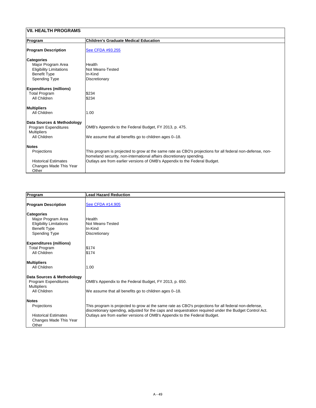| <b>VII. HEALTH PROGRAMS</b>                                                                                              |                                                                                                                                                                                                                                                                 |
|--------------------------------------------------------------------------------------------------------------------------|-----------------------------------------------------------------------------------------------------------------------------------------------------------------------------------------------------------------------------------------------------------------|
| Program                                                                                                                  | <b>Children's Graduate Medical Education</b>                                                                                                                                                                                                                    |
| <b>Program Description</b>                                                                                               | See CFDA #93.255                                                                                                                                                                                                                                                |
| <b>Categories</b><br>Major Program Area<br><b>Eligibility Limitations</b><br><b>Benefit Type</b><br><b>Spending Type</b> | Health<br><b>Not Means-Tested</b><br>In-Kind<br><b>Discretionary</b>                                                                                                                                                                                            |
| <b>Expenditures (millions)</b><br><b>Total Program</b><br><b>All Children</b>                                            | \$234<br>\$234                                                                                                                                                                                                                                                  |
| <b>Multipliers</b><br><b>All Children</b>                                                                                | 1.00                                                                                                                                                                                                                                                            |
| Data Sources & Methodology<br><b>Program Expenditures</b><br><b>Multipliers</b><br><b>All Children</b>                   | OMB's Appendix to the Federal Budget, FY 2013, p. 475.<br>We assume that all benefits go to children ages 0-18.                                                                                                                                                 |
| <b>Notes</b><br>Projections<br><b>Historical Estimates</b><br><b>Changes Made This Year</b><br>Other                     | This program is projected to grow at the same rate as CBO's projections for all federal non-defense, non-<br>homeland security, non-international affairs discretionary spending.<br>Outlays are from earlier versions of OMB's Appendix to the Federal Budget. |

| Program                                               | <b>Lead Hazard Reduction</b> |
|-------------------------------------------------------|------------------------------|
| <b>Program Description</b>                            | <b>See CFDA #14.905</b>      |
| <b>Categories</b><br>Major Program Area               | <b>Health</b>                |
| <b>Eligibility Limitations</b><br><b>Benefit Type</b> | Not Means-Tested<br>In-Kind  |
| <b>Spending Type</b>                                  | Discretionary                |
| <b>Expenditures (millions)</b>                        |                              |
| <b>Total Program</b>                                  | \$174                        |
| <b>All Children</b>                                   | \$174                        |

| <b>Multipliers</b><br>All Children | 1.00                                                                                                                                                                                                           |
|------------------------------------|----------------------------------------------------------------------------------------------------------------------------------------------------------------------------------------------------------------|
| Data Sources & Methodology         |                                                                                                                                                                                                                |
| <b>Program Expenditures</b>        | OMB's Appendix to the Federal Budget, FY 2013, p. 650.                                                                                                                                                         |
| <b>Multipliers</b>                 |                                                                                                                                                                                                                |
| All Children                       | We assume that all benefits go to children ages 0–18.                                                                                                                                                          |
| <b>Notes</b>                       |                                                                                                                                                                                                                |
| <b>Projections</b>                 | This program is projected to grow at the same rate as CBO's projections for all federal non-defense,<br>discretionary spending, adjusted for the caps and sequestration required under the Budget Control Act. |
| <b>Historical Estimates</b>        | Outlays are from earlier versions of OMB's Appendix to the Federal Budget.                                                                                                                                     |
| Changes Made This Year             |                                                                                                                                                                                                                |
| Other                              |                                                                                                                                                                                                                |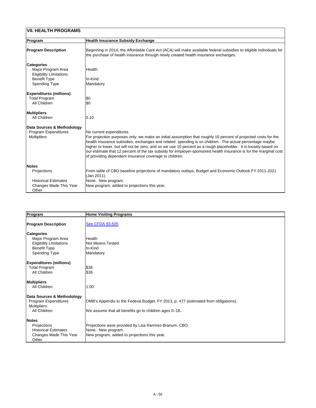| <b>VII. HEALTH PROGRAMS</b>                                                                                              |                                                                                                                                                                                                                                                                                                                                                                                                                                                                                                                                                      |
|--------------------------------------------------------------------------------------------------------------------------|------------------------------------------------------------------------------------------------------------------------------------------------------------------------------------------------------------------------------------------------------------------------------------------------------------------------------------------------------------------------------------------------------------------------------------------------------------------------------------------------------------------------------------------------------|
| Program                                                                                                                  | <b>Health Insurance Subsidy Exchange</b>                                                                                                                                                                                                                                                                                                                                                                                                                                                                                                             |
| <b>Program Description</b>                                                                                               | Beginning in 2014, the Affordable Care Act (ACA) will make available federal subsidies to eligible individuals for<br>the purchase of health insurance through newly created health insurance exchanges.                                                                                                                                                                                                                                                                                                                                             |
| <b>Categories</b><br>Major Program Area<br><b>Eligibility Limitations</b><br><b>Benefit Type</b><br><b>Spending Type</b> | <b>Health</b><br>In-Kind<br>Mandatory                                                                                                                                                                                                                                                                                                                                                                                                                                                                                                                |
| <b>Expenditures (millions)</b><br><b>Total Program</b><br><b>All Children</b>                                            | \$0<br>\$0                                                                                                                                                                                                                                                                                                                                                                                                                                                                                                                                           |
| <b>Multipliers</b><br><b>All Children</b>                                                                                | 0.10                                                                                                                                                                                                                                                                                                                                                                                                                                                                                                                                                 |
| Data Sources & Methodology<br><b>Program Expenditures</b><br><b>Multipliers</b>                                          | No current expenditures.<br>For projection purposes only, we make an initial assumption that roughly 10 percent of projected costs for the<br>health insurance subsidies, exchanges and related spending is on children. The actual percentage maybe<br>higher or lower, but will not be zero, and so we use 10 percent as a rough placeholder. It is loosely based on<br>our estimate that 12 percent of the tax subsidy for employer-sponsored health insurance is for the marginal cost<br>of providing dependent insurance coverage to children. |
| <b>Notes</b>                                                                                                             |                                                                                                                                                                                                                                                                                                                                                                                                                                                                                                                                                      |
| <b>Projections</b>                                                                                                       | From table of CBO baseline projections of mandatory outlays, Budget and Economic Outlook FY 2011-2021<br>(Jan 2011).                                                                                                                                                                                                                                                                                                                                                                                                                                 |
| <b>Historical Estimates</b><br><b>Changes Made This Year</b><br>Other                                                    | None. New program.<br>New program, added to projections this year.                                                                                                                                                                                                                                                                                                                                                                                                                                                                                   |

| Program                               | <b>Home Visiting Programs</b>                                                       |
|---------------------------------------|-------------------------------------------------------------------------------------|
|                                       |                                                                                     |
| <b>Program Description</b>            | <b>See CFDA 93.505</b>                                                              |
| <b>Categories</b>                     |                                                                                     |
| Major Program Area                    | lHealth                                                                             |
| <b>Eligibility Limitations</b>        | <b>Not Means-Tested</b>                                                             |
| <b>Benefit Type</b>                   | lIn-Kind                                                                            |
| <b>Spending Type</b>                  | Mandatory                                                                           |
| <b>Expenditures (millions)</b>        |                                                                                     |
| <b>Total Program</b>                  | \$36                                                                                |
| <b>All Children</b>                   | \$36                                                                                |
|                                       |                                                                                     |
| <b>Multipliers</b>                    |                                                                                     |
| <b>All Children</b>                   | 1.00                                                                                |
| <b>Data Sources &amp; Methodology</b> |                                                                                     |
| <b>Program Expenditures</b>           | OMB's Appendix to the Federal Budget, FY 2013, p. 477 (estimated from obligations). |
| <b>Multipliers</b>                    |                                                                                     |
| <b>All Children</b>                   | We assume that all benefits go to children ages 0-18.                               |
|                                       |                                                                                     |
| <b>Notes</b>                          |                                                                                     |
| Projections                           | Projections were provided by Lisa Ramirez-Branum, CBO.                              |
| <b>Historical Estimates</b>           | None. New program.                                                                  |
| <b>Changes Made This Year</b>         | New program, added to projections this year.                                        |
| Other                                 |                                                                                     |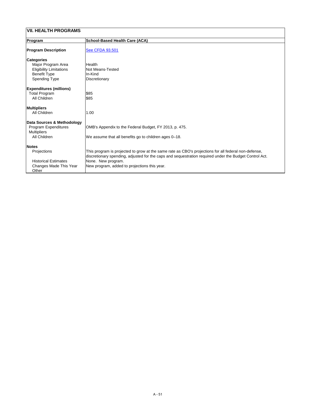| VII. HEALTH PROGRAMS                                                                                                     |                                                                                                                                                                                                                                                                                      |  |
|--------------------------------------------------------------------------------------------------------------------------|--------------------------------------------------------------------------------------------------------------------------------------------------------------------------------------------------------------------------------------------------------------------------------------|--|
| Program                                                                                                                  | <b>School-Based Health Care (ACA)</b>                                                                                                                                                                                                                                                |  |
| <b>Program Description</b>                                                                                               | <b>See CFDA 93.501</b>                                                                                                                                                                                                                                                               |  |
| <b>Categories</b><br>Major Program Area<br><b>Eligibility Limitations</b><br><b>Benefit Type</b><br><b>Spending Type</b> | <b>Health</b><br><b>Not Means-Tested</b><br>In-Kind<br>Discretionary                                                                                                                                                                                                                 |  |
| <b>Expenditures (millions)</b><br><b>Total Program</b><br><b>All Children</b>                                            | \$85<br>\$85                                                                                                                                                                                                                                                                         |  |
| <b>Multipliers</b><br><b>All Children</b>                                                                                | 1.00                                                                                                                                                                                                                                                                                 |  |
| Data Sources & Methodology<br><b>Program Expenditures</b><br><b>Multipliers</b><br><b>All Children</b>                   | OMB's Appendix to the Federal Budget, FY 2013, p. 475.<br>We assume that all benefits go to children ages 0-18.                                                                                                                                                                      |  |
| <b>Notes</b><br>Projections<br><b>Historical Estimates</b><br><b>Changes Made This Year</b><br>Other                     | This program is projected to grow at the same rate as CBO's projections for all federal non-defense,<br>discretionary spending, adjusted for the caps and sequestration required under the Budget Control Act.<br>None. New program.<br>New program, added to projections this year. |  |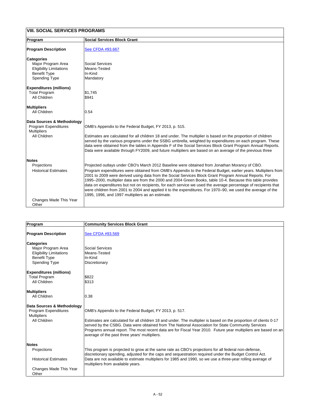| <b>VIII. SOCIAL SERVICES PROGRAMS</b>                                                            |                                                                                                                                                                                                                                                                                                                                                                                                                                                                                                                                                                                                                                                                                                                            |
|--------------------------------------------------------------------------------------------------|----------------------------------------------------------------------------------------------------------------------------------------------------------------------------------------------------------------------------------------------------------------------------------------------------------------------------------------------------------------------------------------------------------------------------------------------------------------------------------------------------------------------------------------------------------------------------------------------------------------------------------------------------------------------------------------------------------------------------|
| Program                                                                                          | <b>Social Services Block Grant</b>                                                                                                                                                                                                                                                                                                                                                                                                                                                                                                                                                                                                                                                                                         |
| <b>Program Description</b>                                                                       | See CFDA #93.667                                                                                                                                                                                                                                                                                                                                                                                                                                                                                                                                                                                                                                                                                                           |
| <b>Categories</b><br>Major Program Area<br><b>Eligibility Limitations</b><br><b>Benefit Type</b> | <b>Social Services</b><br>Means-Tested<br>In-Kind                                                                                                                                                                                                                                                                                                                                                                                                                                                                                                                                                                                                                                                                          |
| <b>Spending Type</b>                                                                             | Mandatory                                                                                                                                                                                                                                                                                                                                                                                                                                                                                                                                                                                                                                                                                                                  |
| <b>Expenditures (millions)</b><br><b>Total Program</b><br><b>All Children</b>                    | \$1,745<br>\$941                                                                                                                                                                                                                                                                                                                                                                                                                                                                                                                                                                                                                                                                                                           |
| <b>Multipliers</b><br><b>All Children</b>                                                        | 0.54                                                                                                                                                                                                                                                                                                                                                                                                                                                                                                                                                                                                                                                                                                                       |
| <b>Data Sources &amp; Methodology</b><br><b>Program Expenditures</b><br><b>Multipliers</b>       | OMB's Appendix to the Federal Budget, FY 2013, p. 515.                                                                                                                                                                                                                                                                                                                                                                                                                                                                                                                                                                                                                                                                     |
| <b>All Children</b>                                                                              | Estimates are calculated for all children 18 and under. The multiplier is based on the proportion of children<br>served by the various programs under the SSBG umbrella, weighted by expenditures on each program. These<br>data were obtained from the tables in Appendix F of the Social Services Block Grant Program Annual Reports.<br>Data were available through FY2009, and future multipliers are based on an average of the previous three                                                                                                                                                                                                                                                                        |
| <b>Notes</b>                                                                                     |                                                                                                                                                                                                                                                                                                                                                                                                                                                                                                                                                                                                                                                                                                                            |
| Projections<br><b>Historical Estimates</b>                                                       | Projected outlays under CBO's March 2012 Baseline were obtained from Jonathan Morancy of CBO.<br>Program expenditures were obtained from OMB's Appendix to the Federal Budget, earlier years. Multipliers from<br>2001 to 2009 were derived using data from the Social Services Block Grant Program Annual Reports. For<br>1995–2000, multiplier data are from the 2000 and 2004 Green Books, table 10-4. Because this table provides<br>data on expenditures but not on recipients, for each service we used the average percentage of recipients that<br>were children from 2001 to 2004 and applied it to the expenditures. For 1970–90, we used the average of the<br>1995, 1996, and 1997 multipliers as an estimate. |
| Changes Made This Year<br>Other                                                                  |                                                                                                                                                                                                                                                                                                                                                                                                                                                                                                                                                                                                                                                                                                                            |

| Program                                   | <b>Community Services Block Grant</b>                                                                                                                                                                                                                                                                                                                                                     |
|-------------------------------------------|-------------------------------------------------------------------------------------------------------------------------------------------------------------------------------------------------------------------------------------------------------------------------------------------------------------------------------------------------------------------------------------------|
| <b>Program Description</b>                | See CFDA #93.569                                                                                                                                                                                                                                                                                                                                                                          |
| <b>Categories</b>                         |                                                                                                                                                                                                                                                                                                                                                                                           |
| Major Program Area                        | <b>Social Services</b>                                                                                                                                                                                                                                                                                                                                                                    |
| <b>Eligibility Limitations</b>            | Means-Tested                                                                                                                                                                                                                                                                                                                                                                              |
| <b>Benefit Type</b>                       | In-Kind                                                                                                                                                                                                                                                                                                                                                                                   |
| <b>Spending Type</b>                      | <b>Discretionary</b>                                                                                                                                                                                                                                                                                                                                                                      |
| <b>Expenditures (millions)</b>            |                                                                                                                                                                                                                                                                                                                                                                                           |
| <b>Total Program</b>                      | \$822                                                                                                                                                                                                                                                                                                                                                                                     |
| <b>All Children</b>                       | \$313                                                                                                                                                                                                                                                                                                                                                                                     |
| <b>Multipliers</b>                        |                                                                                                                                                                                                                                                                                                                                                                                           |
| <b>All Children</b>                       | 0.38                                                                                                                                                                                                                                                                                                                                                                                      |
| Data Sources & Methodology                |                                                                                                                                                                                                                                                                                                                                                                                           |
| <b>Program Expenditures</b>               | OMB's Appendix to the Federal Budget, FY 2013, p. 517.                                                                                                                                                                                                                                                                                                                                    |
| <b>Multipliers</b><br><b>All Children</b> | Estimates are calculated for all children 18 and under. The multiplier is based on the proportion of clients 0-17<br>served by the CSBG. Data were obtained from The National Association for State Community Services<br>Programs annual report. The most recent data are for Fiscal Year 2010. Future year multipliers are based on an<br>average of the past three years' multipliers. |
| Notes                                     |                                                                                                                                                                                                                                                                                                                                                                                           |
| <b>Projections</b>                        | This program is projected to grow at the same rate as CBO's projections for all federal non-defense,<br>discretionary spending, adjusted for the caps and sequestration required under the Budget Control Act.                                                                                                                                                                            |
| <b>Historical Estimates</b>               | Data are not available to estimate multipliers for 1985 and 1990, so we use a three-year rolling average of<br>multipliers from available years.                                                                                                                                                                                                                                          |
| Changes Made This Year<br>Other           |                                                                                                                                                                                                                                                                                                                                                                                           |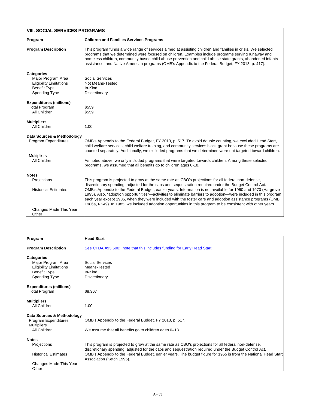| <b>VIII. SOCIAL SERVICES PROGRAMS</b>                                                                                    |                                                                                                                                                                                                                                                                                                                                                                                                                                                                                                                                                                                                                                                                                   |
|--------------------------------------------------------------------------------------------------------------------------|-----------------------------------------------------------------------------------------------------------------------------------------------------------------------------------------------------------------------------------------------------------------------------------------------------------------------------------------------------------------------------------------------------------------------------------------------------------------------------------------------------------------------------------------------------------------------------------------------------------------------------------------------------------------------------------|
| Program                                                                                                                  | <b>Children and Families Services Programs</b>                                                                                                                                                                                                                                                                                                                                                                                                                                                                                                                                                                                                                                    |
| <b>Program Description</b>                                                                                               | This program funds a wide range of services aimed at assisting children and families in crisis. We selected<br>programs that we determined were focused on children. Examples include programs serving runaway and<br>homeless children, community-based child abuse prevention and child abuse state grants, abandoned infants<br>assistance, and Native American programs (OMB's Appendix to the Federal Budget, FY 2013, p. 417).                                                                                                                                                                                                                                              |
| <b>Categories</b><br>Major Program Area<br><b>Eligibility Limitations</b><br><b>Benefit Type</b><br><b>Spending Type</b> | <b>Social Services</b><br><b>Not Means-Tested</b><br>In-Kind<br><b>Discretionary</b>                                                                                                                                                                                                                                                                                                                                                                                                                                                                                                                                                                                              |
| <b>Expenditures (millions)</b><br><b>Total Program</b><br><b>All Children</b>                                            | \$559<br>\$559                                                                                                                                                                                                                                                                                                                                                                                                                                                                                                                                                                                                                                                                    |
| <b>Multipliers</b><br><b>All Children</b>                                                                                | 1.00                                                                                                                                                                                                                                                                                                                                                                                                                                                                                                                                                                                                                                                                              |
| <b>Data Sources &amp; Methodology</b><br><b>Program Expenditures</b>                                                     | OMB's Appendix to the Federal Budget, FY 2013, p. 517. To avoid double counting, we excluded Head Start,<br>child welfare services, child welfare training, and community services block grant because these programs are<br>counted separately. Additionally, we excluded programs that we determined were not targeted toward children.                                                                                                                                                                                                                                                                                                                                         |
| <b>Multipliers</b><br><b>All Children</b>                                                                                | As noted above, we only included programs that were targeted towards children. Among these selected<br>programs, we assumed that all benefits go to children ages 0-18.                                                                                                                                                                                                                                                                                                                                                                                                                                                                                                           |
| <b>Notes</b>                                                                                                             |                                                                                                                                                                                                                                                                                                                                                                                                                                                                                                                                                                                                                                                                                   |
| Projections<br><b>Historical Estimates</b>                                                                               | This program is projected to grow at the same rate as CBO's projections for all federal non-defense,<br>discretionary spending, adjusted for the caps and sequestration required under the Budget Control Act.<br>OMB's Appendix to the Federal Budget, earlier years. Information is not available for 1960 and 1970 (Hargrove<br>1995). Also, "adoption opportunities"—activities to eliminate barriers to adoption—were included in this program<br>each year except 1985, when they were included with the foster care and adoption assistance programs (OMB<br>1986a, I-K49). In 1985, we included adoption opportunities in this program to be consistent with other years. |
| Changes Made This Year<br>Other                                                                                          |                                                                                                                                                                                                                                                                                                                                                                                                                                                                                                                                                                                                                                                                                   |

| <b>Program</b>             | <b>Head Start</b>                                                       |
|----------------------------|-------------------------------------------------------------------------|
| <b>Program Description</b> | See CFDA #93.600; note that this includes funding for Early Head Start. |

| <b>Categories</b><br>Major Program Area<br><b>Eligibility Limitations</b><br><b>Benefit Type</b><br><b>Spending Type</b> | <b>Social Services</b><br>Means-Tested<br>In-Kind<br>Discretionary                                                                                                                                             |
|--------------------------------------------------------------------------------------------------------------------------|----------------------------------------------------------------------------------------------------------------------------------------------------------------------------------------------------------------|
| <b>Expenditures (millions)</b>                                                                                           |                                                                                                                                                                                                                |
| <b>Total Program</b>                                                                                                     | \$8,367                                                                                                                                                                                                        |
| <b>Multipliers</b>                                                                                                       |                                                                                                                                                                                                                |
| <b>All Children</b>                                                                                                      | 1.00                                                                                                                                                                                                           |
| Data Sources & Methodology<br><b>Program Expenditures</b><br><b>Multipliers</b>                                          | OMB's Appendix to the Federal Budget, FY 2013, p. 517.                                                                                                                                                         |
| All Children                                                                                                             | We assume that all benefits go to children ages 0–18.                                                                                                                                                          |
| <b>Notes</b>                                                                                                             |                                                                                                                                                                                                                |
| <b>Projections</b>                                                                                                       | This program is projected to grow at the same rate as CBO's projections for all federal non-defense,<br>discretionary spending, adjusted for the caps and sequestration required under the Budget Control Act. |
| <b>Historical Estimates</b>                                                                                              | OMB's Appendix to the Federal Budget, earlier years. The budget figure for 1965 is from the National Head Start<br>Association (Ketch 1995).                                                                   |
| Changes Made This Year<br>Other                                                                                          |                                                                                                                                                                                                                |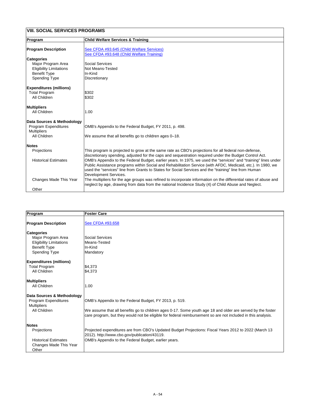| <b>VIII. SOCIAL SERVICES PROGRAMS</b>             |                                                                                                                                                                                                                                                                                                                                                                   |
|---------------------------------------------------|-------------------------------------------------------------------------------------------------------------------------------------------------------------------------------------------------------------------------------------------------------------------------------------------------------------------------------------------------------------------|
| Program                                           | <b>Child Welfare Services &amp; Training</b>                                                                                                                                                                                                                                                                                                                      |
| <b>Program Description</b>                        | See CFDA #93.645 (Child Welfare Services)                                                                                                                                                                                                                                                                                                                         |
|                                                   | See CFDA #93.648 (Child Welfare Training)                                                                                                                                                                                                                                                                                                                         |
| <b>Categories</b>                                 |                                                                                                                                                                                                                                                                                                                                                                   |
| Major Program Area                                | <b>Social Services</b>                                                                                                                                                                                                                                                                                                                                            |
| <b>Eligibility Limitations</b>                    | Not Means-Tested                                                                                                                                                                                                                                                                                                                                                  |
| <b>Benefit Type</b>                               | In-Kind                                                                                                                                                                                                                                                                                                                                                           |
| <b>Spending Type</b>                              | <b>Discretionary</b>                                                                                                                                                                                                                                                                                                                                              |
| <b>Expenditures (millions)</b>                    |                                                                                                                                                                                                                                                                                                                                                                   |
| <b>Total Program</b>                              | \$302                                                                                                                                                                                                                                                                                                                                                             |
| <b>All Children</b>                               | \$302                                                                                                                                                                                                                                                                                                                                                             |
| <b>Multipliers</b>                                |                                                                                                                                                                                                                                                                                                                                                                   |
| <b>All Children</b>                               | 1.00                                                                                                                                                                                                                                                                                                                                                              |
| Data Sources & Methodology                        |                                                                                                                                                                                                                                                                                                                                                                   |
| <b>Program Expenditures</b><br><b>Multipliers</b> | OMB's Appendix to the Federal Budget, FY 2011, p. 498.                                                                                                                                                                                                                                                                                                            |
| <b>All Children</b>                               | We assume that all benefits go to children ages 0-18.                                                                                                                                                                                                                                                                                                             |
| <b>Notes</b>                                      |                                                                                                                                                                                                                                                                                                                                                                   |
| Projections                                       | This program is projected to grow at the same rate as CBO's projections for all federal non-defense,<br>discretionary spending, adjusted for the caps and sequestration required under the Budget Control Act.                                                                                                                                                    |
| <b>Historical Estimates</b>                       | OMB's Appendix to the Federal Budget, earlier years. In 1975, we used the "services" and "training" lines under<br>Public Assistance programs within Social and Rehabilitation Service (with AFDC, Medicaid, etc.). In 1980, we<br>used the "services" line from Grants to States for Social Services and the "training" line from Human<br>Development Services. |
| <b>Changes Made This Year</b>                     | The multipliers for the age groups was refined to incorporate information on the differential rates of abuse and<br>neglect by age, drawing from data from the national Incidence Study (4) of Child Abuse and Neglect.                                                                                                                                           |
| Other                                             |                                                                                                                                                                                                                                                                                                                                                                   |

| Program                        | <b>Foster Care</b>      |  |
|--------------------------------|-------------------------|--|
| <b>Program Description</b>     | <b>See CFDA #93.658</b> |  |
| <b>Categories</b>              |                         |  |
| Major Program Area             | Social Services         |  |
| <b>Eligibility Limitations</b> | Means-Tested            |  |
| <b>Benefit Type</b>            | In-Kind                 |  |
| <b>Spending Type</b>           | Mandatory               |  |

| <b>Expenditures (millions)</b><br><b>Total Program</b><br><b>All Children</b>                          | \$4,373<br> \$4,373                                                                                                                                                                                                                                                                  |
|--------------------------------------------------------------------------------------------------------|--------------------------------------------------------------------------------------------------------------------------------------------------------------------------------------------------------------------------------------------------------------------------------------|
| <b>Multipliers</b><br>All Children                                                                     | 1.00                                                                                                                                                                                                                                                                                 |
| Data Sources & Methodology<br><b>Program Expenditures</b><br><b>Multipliers</b><br><b>All Children</b> | OMB's Appendix to the Federal Budget, FY 2013, p. 519.<br>We assume that all benefits go to children ages 0-17. Some youth age 18 and older are served by the foster<br>care program, but they would not be eligible for federal reimbursement so are not included in this analysis. |
| Notes<br><b>Projections</b>                                                                            | Projected expenditures are from CBO's Updated Budget Projections: Fiscal Years 2012 to 2022 (March 13<br>[2012). http://www.cbo.gov/publication/43119.                                                                                                                               |
| <b>Historical Estimates</b><br>Changes Made This Year<br>Other                                         | OMB's Appendix to the Federal Budget, earlier years.                                                                                                                                                                                                                                 |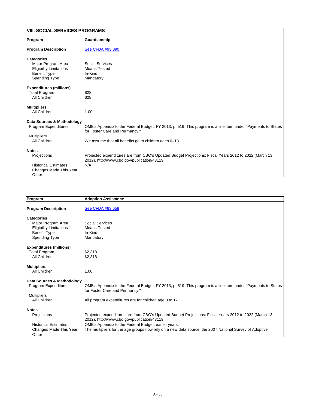| <b>VIII. SOCIAL SERVICES PROGRAMS</b> |                                                                                                                                                       |
|---------------------------------------|-------------------------------------------------------------------------------------------------------------------------------------------------------|
| <b>Program</b>                        | Guardianship                                                                                                                                          |
| <b>Program Description</b>            | See CFDA #93.090                                                                                                                                      |
| <b>Categories</b>                     |                                                                                                                                                       |
| Major Program Area                    | <b>Social Services</b>                                                                                                                                |
| <b>Eligibility Limitations</b>        | Means-Tested                                                                                                                                          |
| <b>Benefit Type</b>                   | In-Kind                                                                                                                                               |
| <b>Spending Type</b>                  | Mandatory                                                                                                                                             |
| <b>Expenditures (millions)</b>        |                                                                                                                                                       |
| <b>Total Program</b>                  | \$28                                                                                                                                                  |
| <b>All Children</b>                   | \$28                                                                                                                                                  |
| <b>Multipliers</b>                    |                                                                                                                                                       |
| <b>All Children</b>                   | 1.00                                                                                                                                                  |
| Data Sources & Methodology            |                                                                                                                                                       |
| <b>Program Expenditures</b>           | OMB's Appendix to the Federal Budget, FY 2013, p. 519. This program is a line item under "Payments to States"<br>for Foster Care and Permancy."       |
| <b>Multipliers</b>                    |                                                                                                                                                       |
| <b>All Children</b>                   | We assume that all benefits go to children ages 0-18.                                                                                                 |
| <b>Notes</b>                          |                                                                                                                                                       |
| Projections                           | Projected expenditures are from CBO's Updated Budget Projections: Fiscal Years 2012 to 2022 (March 13<br>2012). http://www.cbo.gov/publication/43119. |
| <b>Historical Estimates</b>           | N/A                                                                                                                                                   |
| <b>Changes Made This Year</b>         |                                                                                                                                                       |
| Other                                 |                                                                                                                                                       |

| <b>Program</b>                 | <b>Adoption Assistance</b>                                                                                                                            |
|--------------------------------|-------------------------------------------------------------------------------------------------------------------------------------------------------|
| <b>Program Description</b>     | See CFDA #93.659                                                                                                                                      |
|                                |                                                                                                                                                       |
| <b>Categories</b>              |                                                                                                                                                       |
| Major Program Area             | <b>Social Services</b>                                                                                                                                |
| <b>Eligibility Limitations</b> | Means-Tested                                                                                                                                          |
| <b>Benefit Type</b>            | In-Kind                                                                                                                                               |
| <b>Spending Type</b>           | Mandatory                                                                                                                                             |
| <b>Expenditures (millions)</b> |                                                                                                                                                       |
| <b>Total Program</b>           | \$2,318                                                                                                                                               |
| <b>All Children</b>            | \$2,318                                                                                                                                               |
| <b>Multipliers</b>             |                                                                                                                                                       |
| <b>All Children</b>            | 1.00                                                                                                                                                  |
| Data Sources & Methodology     |                                                                                                                                                       |
| <b>Program Expenditures</b>    | OMB's Appendix to the Federal Budget, FY 2013, p. 519. This program is a line item under "Payments to States"<br>for Foster Care and Permancy."       |
| <b>Multipliers</b>             |                                                                                                                                                       |
| <b>All Children</b>            | All program expenditures are for children age 0 to 17.                                                                                                |
| <b>Notes</b>                   |                                                                                                                                                       |
| <b>Projections</b>             | Projected expenditures are from CBO's Updated Budget Projections: Fiscal Years 2012 to 2022 (March 13<br>2012). http://www.cbo.gov/publication/43119. |
| <b>Historical Estimates</b>    | OMB's Appendix to the Federal Budget, earlier years.                                                                                                  |
| <b>Changes Made This Year</b>  | The multipliers for the age groups now rely on a new data source, the 2007 National Survey of Adoptive                                                |
| Other                          |                                                                                                                                                       |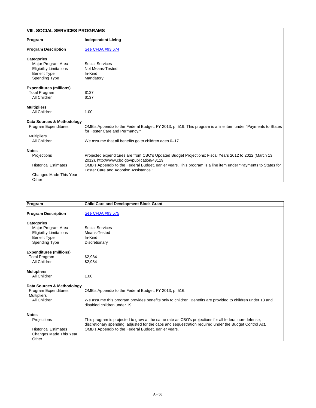| VIII. SOCIAL SERVICES PROGRAMS         |                                                                                                                                                                |  |
|----------------------------------------|----------------------------------------------------------------------------------------------------------------------------------------------------------------|--|
| Program                                | <b>Independent Living</b>                                                                                                                                      |  |
| <b>Program Description</b>             | <b>See CFDA #93.674</b>                                                                                                                                        |  |
| <b>Categories</b>                      |                                                                                                                                                                |  |
| Major Program Area                     | <b>Social Services</b>                                                                                                                                         |  |
| <b>Eligibility Limitations</b>         | Not Means-Tested                                                                                                                                               |  |
| <b>Benefit Type</b>                    | In-Kind                                                                                                                                                        |  |
| <b>Spending Type</b>                   | Mandatory                                                                                                                                                      |  |
| <b>Expenditures (millions)</b>         |                                                                                                                                                                |  |
| <b>Total Program</b>                   | \$137                                                                                                                                                          |  |
| <b>All Children</b>                    | \$137                                                                                                                                                          |  |
| <b>Multipliers</b>                     |                                                                                                                                                                |  |
| <b>All Children</b>                    | 1.00                                                                                                                                                           |  |
| Data Sources & Methodology             |                                                                                                                                                                |  |
| <b>Program Expenditures</b>            | OMB's Appendix to the Federal Budget, FY 2013, p. 519. This program is a line item under "Payments to States<br>for Foster Care and Permancy."                 |  |
| <b>Multipliers</b>                     |                                                                                                                                                                |  |
| All Children                           | We assume that all benefits go to children ages 0-17.                                                                                                          |  |
| <b>Notes</b>                           |                                                                                                                                                                |  |
| Projections                            | Projected expenditures are from CBO's Updated Budget Projections: Fiscal Years 2012 to 2022 (March 13<br>2012). http://www.cbo.gov/publication/43119.          |  |
| <b>Historical Estimates</b>            | OMB's Appendix to the Federal Budget, earlier years. This program is a line item under "Payments to States for<br><b>Foster Care and Adoption Assistance."</b> |  |
| <b>Changes Made This Year</b><br>Other |                                                                                                                                                                |  |

| Program                        | <b>Child Care and Development Block Grant</b>                                                                                                                                                                  |
|--------------------------------|----------------------------------------------------------------------------------------------------------------------------------------------------------------------------------------------------------------|
| <b>Program Description</b>     | See CFDA #93.575                                                                                                                                                                                               |
|                                |                                                                                                                                                                                                                |
| <b>Categories</b>              |                                                                                                                                                                                                                |
| Major Program Area             | <b>Social Services</b>                                                                                                                                                                                         |
| <b>Eligibility Limitations</b> | Means-Tested                                                                                                                                                                                                   |
| <b>Benefit Type</b>            | In-Kind                                                                                                                                                                                                        |
| <b>Spending Type</b>           | <b>Discretionary</b>                                                                                                                                                                                           |
| <b>Expenditures (millions)</b> |                                                                                                                                                                                                                |
| <b>Total Program</b>           | \$2,984                                                                                                                                                                                                        |
| <b>All Children</b>            | \$2,984                                                                                                                                                                                                        |
| <b>Multipliers</b>             |                                                                                                                                                                                                                |
| <b>All Children</b>            | 1.00                                                                                                                                                                                                           |
| Data Sources & Methodology     |                                                                                                                                                                                                                |
| <b>Program Expenditures</b>    | OMB's Appendix to the Federal Budget, FY 2013, p. 516.                                                                                                                                                         |
| <b>Multipliers</b>             |                                                                                                                                                                                                                |
| <b>All Children</b>            | We assume this program provides benefits only to children. Benefits are provided to children under 13 and<br>disabled children under 19.                                                                       |
| <b>Notes</b>                   |                                                                                                                                                                                                                |
| <b>Projections</b>             | This program is projected to grow at the same rate as CBO's projections for all federal non-defense,<br>discretionary spending, adjusted for the caps and sequestration required under the Budget Control Act. |
| <b>Historical Estimates</b>    | OMB's Appendix to the Federal Budget, earlier years.                                                                                                                                                           |
| <b>Changes Made This Year</b>  |                                                                                                                                                                                                                |
| Other                          |                                                                                                                                                                                                                |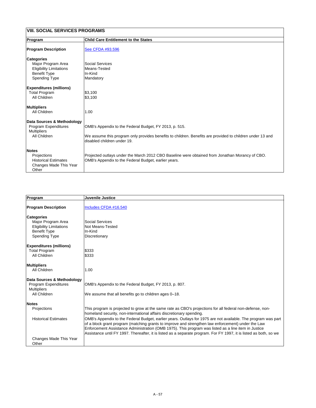| <b>VIII. SOCIAL SERVICES PROGRAMS</b>                                                                                    |                                                                                                                                                                                                    |
|--------------------------------------------------------------------------------------------------------------------------|----------------------------------------------------------------------------------------------------------------------------------------------------------------------------------------------------|
| Program                                                                                                                  | <b>Child Care Entitlement to the States</b>                                                                                                                                                        |
| <b>Program Description</b>                                                                                               | See CFDA #93.596                                                                                                                                                                                   |
| <b>Categories</b><br>Major Program Area<br><b>Eligibility Limitations</b><br><b>Benefit Type</b><br><b>Spending Type</b> | <b>Social Services</b><br>Means-Tested<br>In-Kind<br>Mandatory                                                                                                                                     |
| <b>Expenditures (millions)</b><br><b>Total Program</b><br><b>All Children</b>                                            | \$3,100<br>\$3,100                                                                                                                                                                                 |
| <b>Multipliers</b><br><b>All Children</b>                                                                                | 1.00                                                                                                                                                                                               |
| Data Sources & Methodology<br><b>Program Expenditures</b><br><b>Multipliers</b><br><b>All Children</b>                   | OMB's Appendix to the Federal Budget, FY 2013, p. 515.<br>We assume this program only provides benefits to children. Benefits are provided to children under 13 and<br>disabled children under 19. |
| <b>Notes</b><br>Projections<br><b>Historical Estimates</b><br><b>Changes Made This Year</b><br>Other                     | Projected outlays under the March 2012 CBO Baseline were obtained from Jonathan Morancy of CBO.<br>OMB's Appendix to the Federal Budget, earlier years.                                            |

| Program                                   | <b>Juvenile Justice</b>                                                                                                                                                           |
|-------------------------------------------|-----------------------------------------------------------------------------------------------------------------------------------------------------------------------------------|
| <b>Program Description</b>                | Includes CFDA #16.540                                                                                                                                                             |
| <b>Categories</b>                         |                                                                                                                                                                                   |
| Major Program Area                        | <b>Social Services</b>                                                                                                                                                            |
| <b>Eligibility Limitations</b>            | <b>Not Means-Tested</b>                                                                                                                                                           |
| <b>Benefit Type</b>                       | In-Kind                                                                                                                                                                           |
| <b>Spending Type</b>                      | <b>Discretionary</b>                                                                                                                                                              |
| <b>Expenditures (millions)</b>            |                                                                                                                                                                                   |
| <b>Total Program</b>                      | \$333                                                                                                                                                                             |
| <b>All Children</b>                       | \$333                                                                                                                                                                             |
| <b>Multipliers</b>                        |                                                                                                                                                                                   |
| <b>All Children</b>                       | 1.00                                                                                                                                                                              |
| Data Sources & Methodology                |                                                                                                                                                                                   |
| <b>Program Expenditures</b>               | OMB's Appendix to the Federal Budget, FY 2013, p. 807.                                                                                                                            |
| <b>Multipliers</b><br><b>All Children</b> | We assume that all benefits go to children ages 0–18.                                                                                                                             |
|                                           |                                                                                                                                                                                   |
| <b>Notes</b>                              |                                                                                                                                                                                   |
| <b>Projections</b>                        | This program is projected to grow at the same rate as CBO's projections for all federal non-defense, non-<br>homeland security, non-international affairs discretionary spending. |
| <b>Historical Estimates</b>               | OMB's Appendix to the Federal Budget, earlier years. Outlays for 1975 are not available. The program was part                                                                     |
|                                           | of a block grant program (matching grants to improve and strengthen law enforcement) under the Law                                                                                |
|                                           | Enforcement Assistance Administration (OMB 1975). This program was listed as a line item in Justice                                                                               |
|                                           | Assistance until FY 1997. Thereafter, it is listed as a separate program. For FY 1997, it is listed as both, so we                                                                |
| <b>Changes Made This Year</b>             |                                                                                                                                                                                   |
| Other                                     |                                                                                                                                                                                   |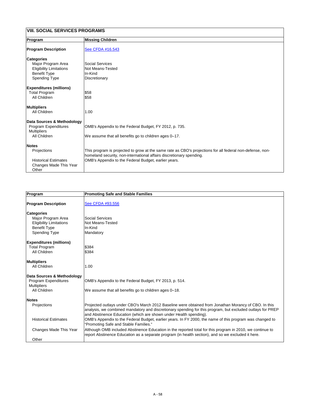| VIII. SOCIAL SERVICES PROGRAMS                                                                                           |                                                                                                                                                                                                                                           |
|--------------------------------------------------------------------------------------------------------------------------|-------------------------------------------------------------------------------------------------------------------------------------------------------------------------------------------------------------------------------------------|
| Program                                                                                                                  | <b>Missing Children</b>                                                                                                                                                                                                                   |
| <b>Program Description</b>                                                                                               | See CFDA #16.543                                                                                                                                                                                                                          |
| <b>Categories</b><br>Major Program Area<br><b>Eligibility Limitations</b><br><b>Benefit Type</b><br><b>Spending Type</b> | <b>Social Services</b><br><b>Not Means-Tested</b><br>In-Kind<br><b>Discretionary</b>                                                                                                                                                      |
| <b>Expenditures (millions)</b><br><b>Total Program</b><br><b>All Children</b>                                            | \$58<br>\$58                                                                                                                                                                                                                              |
| <b>Multipliers</b><br><b>All Children</b>                                                                                | 1.00                                                                                                                                                                                                                                      |
| Data Sources & Methodology<br><b>Program Expenditures</b><br><b>Multipliers</b><br><b>All Children</b>                   | OMB's Appendix to the Federal Budget, FY 2012, p. 735.<br>We assume that all benefits go to children ages 0-17.                                                                                                                           |
| <b>Notes</b><br>Projections<br><b>Historical Estimates</b><br><b>Changes Made This Year</b><br>Other                     | This program is projected to grow at the same rate as CBO's projections for all federal non-defense, non-<br>homeland security, non-international affairs discretionary spending.<br>OMB's Appendix to the Federal Budget, earlier years. |

| Program                        | <b>Promoting Safe and Stable Families</b> |  |
|--------------------------------|-------------------------------------------|--|
| <b>Program Description</b>     | See CFDA #93.556                          |  |
| <b>Categories</b>              |                                           |  |
| Major Program Area             | Social Services                           |  |
| <b>Eligibility Limitations</b> | <b>Not Means-Tested</b>                   |  |
| <b>Benefit Type</b>            | lln-Kind                                  |  |
| <b>Spending Type</b>           | Mandatory                                 |  |
| <b>Expenditures (millions)</b> |                                           |  |
| <b>Total Program</b>           | \$384                                     |  |
| <b>All Children</b>            | \$384                                     |  |

| AIL VIIIIUI GH                     | ັ⊍ບບ⊤                                                                                                                                                                                                                                                                                    |
|------------------------------------|------------------------------------------------------------------------------------------------------------------------------------------------------------------------------------------------------------------------------------------------------------------------------------------|
| <b>Multipliers</b><br>All Children | 1.00                                                                                                                                                                                                                                                                                     |
| Data Sources & Methodology         |                                                                                                                                                                                                                                                                                          |
| <b>Program Expenditures</b>        | OMB's Appendix to the Federal Budget, FY 2013, p. 514.                                                                                                                                                                                                                                   |
| <b>Multipliers</b>                 |                                                                                                                                                                                                                                                                                          |
| All Children                       | We assume that all benefits go to children ages 0–18.                                                                                                                                                                                                                                    |
|                                    |                                                                                                                                                                                                                                                                                          |
| Notes                              |                                                                                                                                                                                                                                                                                          |
| <b>Projections</b>                 | Projected outlays under CBO's March 2012 Baseline were obtained from Jonathan Morancy of CBO. In this<br>analysis, we combined mandatory and discretionary spending for this program, but excluded outlays for PREP<br>and Abstinence Education (which are shown under Health spending). |
| <b>Historical Estimates</b>        | OMB's Appendix to the Federal Budget, earlier years. In FY 2000, the name of this program was changed to<br>"Promoting Safe and Stable Families."                                                                                                                                        |
| Changes Made This Year             | Although OMB included Abstinence Education in the reported total for this program in 2010, we continue to<br>report Abstinence Education as a separate program (in health section), and so we excluded it here.                                                                          |
| Other                              |                                                                                                                                                                                                                                                                                          |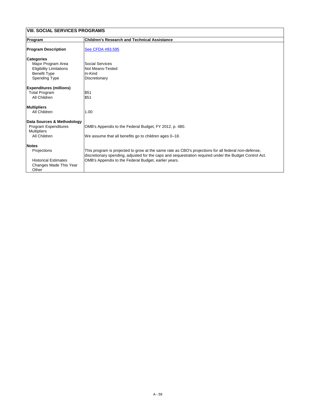| <b>VIII. SOCIAL SERVICES PROGRAMS</b>                                                                                    |                                                                                                                                                                                                                                                                        |
|--------------------------------------------------------------------------------------------------------------------------|------------------------------------------------------------------------------------------------------------------------------------------------------------------------------------------------------------------------------------------------------------------------|
| <b>Program</b>                                                                                                           | <b>Children's Research and Technical Assistance</b>                                                                                                                                                                                                                    |
| <b>Program Description</b>                                                                                               | See CFDA #93.595                                                                                                                                                                                                                                                       |
| <b>Categories</b><br>Major Program Area<br><b>Eligibility Limitations</b><br><b>Benefit Type</b><br><b>Spending Type</b> | <b>Social Services</b><br><b>Not Means-Tested</b><br>In-Kind<br><b>Discretionary</b>                                                                                                                                                                                   |
| <b>Expenditures (millions)</b><br><b>Total Program</b><br><b>All Children</b>                                            | \$51<br>\$51                                                                                                                                                                                                                                                           |
| <b>Multipliers</b><br><b>All Children</b>                                                                                | 1.00                                                                                                                                                                                                                                                                   |
| Data Sources & Methodology<br><b>Program Expenditures</b><br><b>Multipliers</b><br><b>All Children</b>                   | OMB's Appendix to the Federal Budget, FY 2012, p. 480.<br>We assume that all benefits go to children ages 0-18.                                                                                                                                                        |
| <b>Notes</b><br>Projections<br><b>Historical Estimates</b><br><b>Changes Made This Year</b><br>Other                     | This program is projected to grow at the same rate as CBO's projections for all federal non-defense,<br>discretionary spending, adjusted for the caps and sequestration required under the Budget Control Act.<br>OMB's Appendix to the Federal Budget, earlier years. |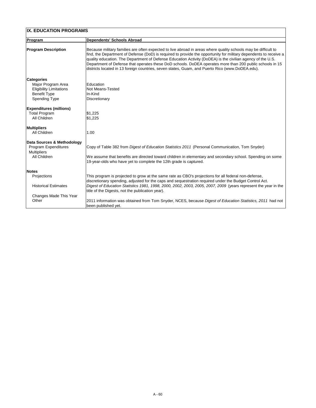| IX. EDUCATION PROGRAMS         |                                                                                                                                                                                                                                                                                                                                                                                                                                                                                                                                                                  |
|--------------------------------|------------------------------------------------------------------------------------------------------------------------------------------------------------------------------------------------------------------------------------------------------------------------------------------------------------------------------------------------------------------------------------------------------------------------------------------------------------------------------------------------------------------------------------------------------------------|
| Program                        | <b>Dependents' Schools Abroad</b>                                                                                                                                                                                                                                                                                                                                                                                                                                                                                                                                |
| <b>Program Description</b>     | Because military families are often expected to live abroad in areas where quality schools may be difficult to<br>find, the Department of Defense (DoD) is required to provide the opportunity for military dependents to receive a<br>quality education. The Department of Defense Education Activity (DoDEA) is the civilian agency of the U.S.<br>Department of Defense that operates these DoD schools. DoDEA operates more than 200 public schools in 15<br>districts located in 13 foreign countries, seven states, Guam, and Puerto Rico (www.DoDEA.edu). |
| <b>Categories</b>              |                                                                                                                                                                                                                                                                                                                                                                                                                                                                                                                                                                  |
| Major Program Area             | <b>Education</b>                                                                                                                                                                                                                                                                                                                                                                                                                                                                                                                                                 |
| <b>Eligibility Limitations</b> | <b>Not Means-Tested</b>                                                                                                                                                                                                                                                                                                                                                                                                                                                                                                                                          |
| <b>Benefit Type</b>            | In-Kind                                                                                                                                                                                                                                                                                                                                                                                                                                                                                                                                                          |
| <b>Spending Type</b>           | Discretionary                                                                                                                                                                                                                                                                                                                                                                                                                                                                                                                                                    |
| <b>Expenditures (millions)</b> |                                                                                                                                                                                                                                                                                                                                                                                                                                                                                                                                                                  |
| <b>Total Program</b>           | \$1,225                                                                                                                                                                                                                                                                                                                                                                                                                                                                                                                                                          |
| <b>All Children</b>            | \$1,225                                                                                                                                                                                                                                                                                                                                                                                                                                                                                                                                                          |
| <b>Multipliers</b>             |                                                                                                                                                                                                                                                                                                                                                                                                                                                                                                                                                                  |
| <b>All Children</b>            | 1.00                                                                                                                                                                                                                                                                                                                                                                                                                                                                                                                                                             |
| Data Sources & Methodology     |                                                                                                                                                                                                                                                                                                                                                                                                                                                                                                                                                                  |
| <b>Program Expenditures</b>    | Copy of Table 382 from <i>Digest of Education Statistics 2011</i> (Personal Communication, Tom Snyder)                                                                                                                                                                                                                                                                                                                                                                                                                                                           |
| <b>Multipliers</b>             |                                                                                                                                                                                                                                                                                                                                                                                                                                                                                                                                                                  |
| <b>All Children</b>            | We assume that benefits are directed toward children in elementary and secondary school. Spending on some                                                                                                                                                                                                                                                                                                                                                                                                                                                        |
|                                | 19-year-olds who have yet to complete the 12th grade is captured.                                                                                                                                                                                                                                                                                                                                                                                                                                                                                                |
| <b>Notes</b>                   |                                                                                                                                                                                                                                                                                                                                                                                                                                                                                                                                                                  |
| Projections                    | This program is projected to grow at the same rate as CBO's projections for all federal non-defense,                                                                                                                                                                                                                                                                                                                                                                                                                                                             |
|                                | discretionary spending, adjusted for the caps and sequestration required under the Budget Control Act.                                                                                                                                                                                                                                                                                                                                                                                                                                                           |
| <b>Historical Estimates</b>    | Digest of Education Statistics 1981, 1998, 2000, 2002, 2003, 2005, 2007, 2009 (years represent the year in the                                                                                                                                                                                                                                                                                                                                                                                                                                                   |
|                                | title of the Digests, not the publication year).                                                                                                                                                                                                                                                                                                                                                                                                                                                                                                                 |
| Changes Made This Year         |                                                                                                                                                                                                                                                                                                                                                                                                                                                                                                                                                                  |
| Other                          | 2011 information was obtained from Tom Snyder, NCES, because Digest of Education Statistics, 2011 had not                                                                                                                                                                                                                                                                                                                                                                                                                                                        |
|                                | been published yet.                                                                                                                                                                                                                                                                                                                                                                                                                                                                                                                                              |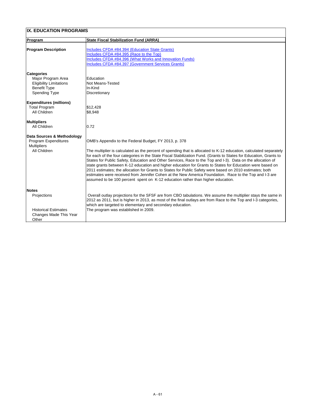| <b>IX. EDUCATION PROGRAMS</b>                                                                                            |                                                                                                                                                                                                                                                                                                                                                                                                                                                                                                                                                                                                                                                                                                                                                                                                                                        |
|--------------------------------------------------------------------------------------------------------------------------|----------------------------------------------------------------------------------------------------------------------------------------------------------------------------------------------------------------------------------------------------------------------------------------------------------------------------------------------------------------------------------------------------------------------------------------------------------------------------------------------------------------------------------------------------------------------------------------------------------------------------------------------------------------------------------------------------------------------------------------------------------------------------------------------------------------------------------------|
| <b>Program</b>                                                                                                           | <b>State Fiscal Stabilization Fund (ARRA)</b>                                                                                                                                                                                                                                                                                                                                                                                                                                                                                                                                                                                                                                                                                                                                                                                          |
| <b>Program Description</b>                                                                                               | <b>Includes CFDA #84.394 (Education State Grants)</b><br>Includes CFDA #84.395 (Race to the Top)<br><b>Includes CFDA #84.396 (What Works and Innovation Funds)</b><br><b>Includes CFDA #84.397 (Government Services Grants)</b>                                                                                                                                                                                                                                                                                                                                                                                                                                                                                                                                                                                                        |
| <b>Categories</b><br>Major Program Area<br><b>Eligibility Limitations</b><br><b>Benefit Type</b><br><b>Spending Type</b> | Education<br>Not Means-Tested<br>In-Kind<br><b>Discretionary</b>                                                                                                                                                                                                                                                                                                                                                                                                                                                                                                                                                                                                                                                                                                                                                                       |
| <b>Expenditures (millions)</b><br><b>Total Program</b><br><b>All Children</b>                                            | \$12,428<br>\$8,948                                                                                                                                                                                                                                                                                                                                                                                                                                                                                                                                                                                                                                                                                                                                                                                                                    |
| <b>Multipliers</b><br><b>All Children</b>                                                                                | 0.72                                                                                                                                                                                                                                                                                                                                                                                                                                                                                                                                                                                                                                                                                                                                                                                                                                   |
| Data Sources & Methodology<br><b>Program Expenditures</b><br><b>Multipliers</b><br><b>All Children</b>                   | OMB's Appendix to the Federal Budget, FY 2013, p. 378<br>The multiplier is calculated as the percent of spending that is allocated to K-12 education, calculated separately<br>for each of the four categories in the State Fiscal Stabilization Fund. (Grants to States for Education, Grants to<br>States for Public Safety, Education and Other Services, Race to the Top and I-3). Data on the allocation of<br>state grants between K-12 education and higher education for Grants to States for Education were based on<br>2011 estimates; the allocation for Grants to States for Public Safety were based on 2010 estimates; both<br>estimates were received from Jennifer Cohen at the New America Foundation. Race to the Top and I-3 are<br>assumed to be 100 percent spent on K-12 education rather than higher education. |
| <b>Notes</b><br><b>Projections</b><br><b>Historical Estimates</b><br><b>Changes Made This Year</b><br>Other              | Overall outlay projections for the SFSF are from CBO tabulations. We assume the multiplier stays the same in<br>2012 as 2011, but is higher in 2013, as most of the final outlays are from Race to the Top and I-3 categories,<br>which are targeted to elementary and secondary education.<br>The program was established in 2009.                                                                                                                                                                                                                                                                                                                                                                                                                                                                                                    |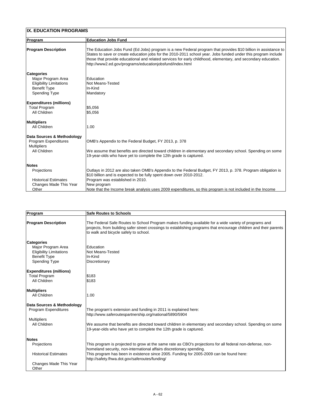| <b>IX. EDUCATION PROGRAMS</b>  |                                                                                                                                                                                                                                                                                                                                                                                                              |
|--------------------------------|--------------------------------------------------------------------------------------------------------------------------------------------------------------------------------------------------------------------------------------------------------------------------------------------------------------------------------------------------------------------------------------------------------------|
| <b>Program</b>                 | <b>Education Jobs Fund</b>                                                                                                                                                                                                                                                                                                                                                                                   |
| <b>Program Description</b>     | The Education Jobs Fund (Ed Jobs) program is a new Federal program that provides \$10 billion in assistance to<br>States to save or create education jobs for the 2010-2011 school year. Jobs funded under this program include<br>those that provide educational and related services for early childhood, elementary, and secondary education.<br>http://www2.ed.gov/programs/educationjobsfund/index.html |
| <b>Categories</b>              |                                                                                                                                                                                                                                                                                                                                                                                                              |
| Major Program Area             | <b>Education</b>                                                                                                                                                                                                                                                                                                                                                                                             |
| <b>Eligibility Limitations</b> | Not Means-Tested                                                                                                                                                                                                                                                                                                                                                                                             |
| <b>Benefit Type</b>            | In-Kind                                                                                                                                                                                                                                                                                                                                                                                                      |
| <b>Spending Type</b>           | Mandatory                                                                                                                                                                                                                                                                                                                                                                                                    |
| <b>Expenditures (millions)</b> |                                                                                                                                                                                                                                                                                                                                                                                                              |
| <b>Total Program</b>           | \$5,056                                                                                                                                                                                                                                                                                                                                                                                                      |
| <b>All Children</b>            | \$5,056                                                                                                                                                                                                                                                                                                                                                                                                      |
| <b>Multipliers</b>             |                                                                                                                                                                                                                                                                                                                                                                                                              |
| <b>All Children</b>            | 1.00                                                                                                                                                                                                                                                                                                                                                                                                         |
| Data Sources & Methodology     |                                                                                                                                                                                                                                                                                                                                                                                                              |
| <b>Program Expenditures</b>    | OMB's Appendix to the Federal Budget, FY 2013, p. 378                                                                                                                                                                                                                                                                                                                                                        |
| <b>Multipliers</b>             |                                                                                                                                                                                                                                                                                                                                                                                                              |
| <b>All Children</b>            | We assume that benefits are directed toward children in elementary and secondary school. Spending on some                                                                                                                                                                                                                                                                                                    |
|                                | 19-year-olds who have yet to complete the 12th grade is captured.                                                                                                                                                                                                                                                                                                                                            |
| <b>Notes</b>                   |                                                                                                                                                                                                                                                                                                                                                                                                              |
| <b>Projections</b>             | Outlays in 2012 are also taken OMB's Appendix to the Federal Budget, FY 2013, p. 378. Program obligation is                                                                                                                                                                                                                                                                                                  |
|                                | \$10 billion and is expected to be fully spent down over 2010-2012.                                                                                                                                                                                                                                                                                                                                          |
| <b>Historical Estimates</b>    | Program was established in 2010.                                                                                                                                                                                                                                                                                                                                                                             |
| <b>Changes Made This Year</b>  | New program                                                                                                                                                                                                                                                                                                                                                                                                  |
| Other                          | Note that the Income break analysis uses 2009 expenditures, so this program is not included in the Income                                                                                                                                                                                                                                                                                                    |

| <b>Program</b>                 | <b>Safe Routes to Schools</b>                                                                                                                                                                                                                                      |
|--------------------------------|--------------------------------------------------------------------------------------------------------------------------------------------------------------------------------------------------------------------------------------------------------------------|
| <b>Program Description</b>     | The Federal Safe Routes to School Program makes funding available for a wide variety of programs and<br>projects, from building safer street crossings to establishing programs that encourage children and their parents<br>to walk and bicycle safely to school. |
| <b>Categories</b>              |                                                                                                                                                                                                                                                                    |
| Major Program Area             | <b>IEducation</b>                                                                                                                                                                                                                                                  |
| <b>Eligibility Limitations</b> | <b>Not Means-Tested</b>                                                                                                                                                                                                                                            |
| <b>Benefit Type</b>            | IIn-Kind                                                                                                                                                                                                                                                           |
| <b>Spending Type</b>           | Discretionary                                                                                                                                                                                                                                                      |
| <b>Expenditures (millions)</b> |                                                                                                                                                                                                                                                                    |
| <b>Total Program</b>           | \$183                                                                                                                                                                                                                                                              |
| <b>All Children</b>            | \$183                                                                                                                                                                                                                                                              |
| <b>Multipliers</b>             |                                                                                                                                                                                                                                                                    |
| <b>All Children</b>            | 1.00                                                                                                                                                                                                                                                               |
| Data Sources & Methodology     |                                                                                                                                                                                                                                                                    |
| <b>Program Expenditures</b>    | The program's extension and funding in 2011 is explained here:                                                                                                                                                                                                     |
|                                | http://www.saferoutespartnership.org/national/5890/5904                                                                                                                                                                                                            |
| <b>Multipliers</b>             |                                                                                                                                                                                                                                                                    |
| <b>All Children</b>            | We assume that benefits are directed toward children in elementary and secondary school. Spending on some                                                                                                                                                          |
|                                | 19-year-olds who have yet to complete the 12th grade is captured.                                                                                                                                                                                                  |
| <b>Notes</b>                   |                                                                                                                                                                                                                                                                    |
| <b>Projections</b>             | This program is projected to grow at the same rate as CBO's projections for all federal non-defense, non-<br>homeland security, non-international affairs discretionary spending.                                                                                  |
| <b>Historical Estimates</b>    | This program has been in existence since 2005. Funding for 2005-2009 can be found here:                                                                                                                                                                            |
|                                | http://safety.fhwa.dot.gov/saferoutes/funding/                                                                                                                                                                                                                     |
| <b>Changes Made This Year</b>  |                                                                                                                                                                                                                                                                    |
| Other                          |                                                                                                                                                                                                                                                                    |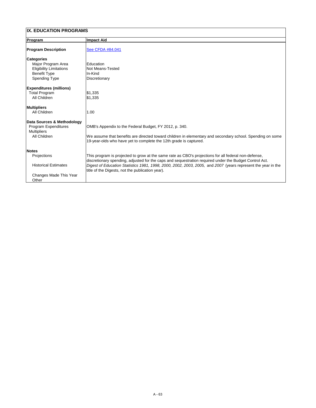| <b>Program</b>                                        | <b>Impact Aid</b>                                                                                                                                                                                              |
|-------------------------------------------------------|----------------------------------------------------------------------------------------------------------------------------------------------------------------------------------------------------------------|
| <b>Program Description</b>                            | See CFDA #84.041                                                                                                                                                                                               |
| <b>Categories</b><br>Major Program Area               | Education                                                                                                                                                                                                      |
| <b>Eligibility Limitations</b><br><b>Benefit Type</b> | Not Means-Tested<br>In-Kind                                                                                                                                                                                    |
| <b>Spending Type</b>                                  | <b>Discretionary</b>                                                                                                                                                                                           |
| <b>Expenditures (millions)</b>                        |                                                                                                                                                                                                                |
| <b>Total Program</b><br><b>All Children</b>           | \$1,335<br>\$1,335                                                                                                                                                                                             |
| <b>Multipliers</b>                                    |                                                                                                                                                                                                                |
| <b>All Children</b>                                   | 1.00                                                                                                                                                                                                           |
| Data Sources & Methodology                            |                                                                                                                                                                                                                |
| <b>Program Expenditures</b><br><b>Multipliers</b>     | OMB's Appendix to the Federal Budget, FY 2012, p. 340.                                                                                                                                                         |
| <b>All Children</b>                                   | We assume that benefits are directed toward children in elementary and secondary school. Spending on some<br>19-year-olds who have yet to complete the 12th grade is captured.                                 |
| <b>Notes</b>                                          |                                                                                                                                                                                                                |
| <b>Projections</b>                                    | This program is projected to grow at the same rate as CBO's projections for all federal non-defense,<br>discretionary spending, adjusted for the caps and sequestration required under the Budget Control Act. |
| <b>Historical Estimates</b>                           | Digest of Education Statistics 1981, 1998, 2000, 2002, 2003, 2005, and 2007 (years represent the year in the<br>title of the Digests, not the publication year).                                               |
| <b>Changes Made This Year</b><br>Other                |                                                                                                                                                                                                                |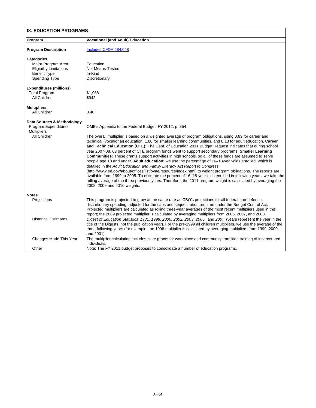| <b>IX. EDUCATION PROGRAMS</b>                                                                                            |                                                                                                                                                                                                                                                                                                                                                                                                                                                                                                                                                                                                                                                                                                                                                                                                                                                                                                                                                                                                                                                                                                                                                                                                             |  |
|--------------------------------------------------------------------------------------------------------------------------|-------------------------------------------------------------------------------------------------------------------------------------------------------------------------------------------------------------------------------------------------------------------------------------------------------------------------------------------------------------------------------------------------------------------------------------------------------------------------------------------------------------------------------------------------------------------------------------------------------------------------------------------------------------------------------------------------------------------------------------------------------------------------------------------------------------------------------------------------------------------------------------------------------------------------------------------------------------------------------------------------------------------------------------------------------------------------------------------------------------------------------------------------------------------------------------------------------------|--|
| <b>Program</b>                                                                                                           | <b>Vocational (and Adult) Education</b>                                                                                                                                                                                                                                                                                                                                                                                                                                                                                                                                                                                                                                                                                                                                                                                                                                                                                                                                                                                                                                                                                                                                                                     |  |
| <b>Program Description</b>                                                                                               | Includes CFDA #84.048                                                                                                                                                                                                                                                                                                                                                                                                                                                                                                                                                                                                                                                                                                                                                                                                                                                                                                                                                                                                                                                                                                                                                                                       |  |
| <b>Categories</b><br>Major Program Area<br><b>Eligibility Limitations</b><br><b>Benefit Type</b><br><b>Spending Type</b> | Education<br><b>Not Means-Tested</b><br>In-Kind<br>Discretionary                                                                                                                                                                                                                                                                                                                                                                                                                                                                                                                                                                                                                                                                                                                                                                                                                                                                                                                                                                                                                                                                                                                                            |  |
| <b>Expenditures (millions)</b><br><b>Total Program</b><br><b>All Children</b>                                            | \$1,968<br>\$942                                                                                                                                                                                                                                                                                                                                                                                                                                                                                                                                                                                                                                                                                                                                                                                                                                                                                                                                                                                                                                                                                                                                                                                            |  |
| <b>Multipliers</b><br><b>All Children</b>                                                                                | 0.48                                                                                                                                                                                                                                                                                                                                                                                                                                                                                                                                                                                                                                                                                                                                                                                                                                                                                                                                                                                                                                                                                                                                                                                                        |  |
| <b>Data Sources &amp; Methodology</b><br><b>Program Expenditures</b><br><b>Multipliers</b><br><b>All Children</b>        | OMB's Appendix to the Federal Budget, FY 2012, p. 354.<br>The overall multiplier is based on a weighted average of program obligations, using 0.63 for career and<br>technical (vocational) education, 1.00 for smaller learning communities, and 0.13 for adult education. Career<br>and Technical Education (CTE): The Dept. of Education 2011 Budget Request indicates that during school<br>year 2007-08, 63 percent of CTE program funds went to support secondary programs. <b>Smaller Learning</b><br><b>Communities:</b> These grants support activities in high schools, so all of these funds are assumed to serve<br>people age 18 and under. Adult education: we use the percentage of 16-18-year-olds enrolled, which is<br>detailed in the Adult Education and Family Literacy Act Report to Congress<br>(http://www.ed.gov/about/offices/list/ovae/resource/index.html) to weight program obligations. The reports are<br>available from 1999 to 2005. To estimate the percent of 16–18-year-olds enrolled in following years, we take the<br>rolling average of the three previous years. Therefore, the 2011 program weight is calculated by averaging the<br>2008, 2009 and 2010 weights. |  |
| <b>Notes</b><br>Projections<br><b>Historical Estimates</b>                                                               | This program is projected to grow at the same rate as CBO's projections for all federal non-defense,<br>discretionary spending, adjusted for the caps and sequestration required under the Budget Control Act.<br>Projected multipliers are calculated as rolling three-year averages of the most recent multipliers used in this<br>report; the 2009 projected multiplier is calculated by averaging multipliers from 2006, 2007, and 2008.<br>Digest of Education Statistics 1981, 1998, 2000, 2002, 2003, 2005, and 2007 (years represent the year in the<br>title of the Digests, not the publication year). For the pre-1999 all children multipliers, we use the average of the<br>three following years (for example, the 1998 multiplier is calculated by averaging multipliers from 1999, 2000,<br>and 2001).                                                                                                                                                                                                                                                                                                                                                                                      |  |
| <b>Changes Made This Year</b>                                                                                            | The multiplier calculation includes state grants for workplace and community transition training of incarcerated<br>individuals.                                                                                                                                                                                                                                                                                                                                                                                                                                                                                                                                                                                                                                                                                                                                                                                                                                                                                                                                                                                                                                                                            |  |

#### Other Note: The FY 2011 budget proposes to consolidate a number of education programs.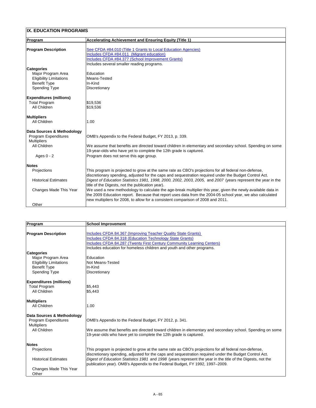| <b>IX. EDUCATION PROGRAMS</b>  |                                                                                                                                                                  |
|--------------------------------|------------------------------------------------------------------------------------------------------------------------------------------------------------------|
| <b>Program</b>                 | <b>Accelerating Achievement and Ensuring Equity (Title 1)</b>                                                                                                    |
|                                |                                                                                                                                                                  |
| <b>Program Description</b>     | See CFDA #84.010 (Title 1 Grants to Local Education Agencies)                                                                                                    |
|                                | Includes CFDA #84.011 (Migrant education)                                                                                                                        |
|                                | Includes CFDA #84.377 (School Improvement Grants)                                                                                                                |
|                                | Includes several smaller reading programs.                                                                                                                       |
| <b>Categories</b>              |                                                                                                                                                                  |
| Major Program Area             | Education                                                                                                                                                        |
| <b>Eligibility Limitations</b> | Means-Tested                                                                                                                                                     |
| <b>Benefit Type</b>            | In-Kind                                                                                                                                                          |
| <b>Spending Type</b>           | <b>Discretionary</b>                                                                                                                                             |
| <b>Expenditures (millions)</b> |                                                                                                                                                                  |
| <b>Total Program</b>           | \$19,536                                                                                                                                                         |
| <b>All Children</b>            | \$19,536                                                                                                                                                         |
|                                |                                                                                                                                                                  |
| <b>Multipliers</b>             |                                                                                                                                                                  |
| <b>All Children</b>            | 1.00                                                                                                                                                             |
| Data Sources & Methodology     |                                                                                                                                                                  |
| <b>Program Expenditures</b>    | OMB's Appendix to the Federal Budget, FY 2013, p. 339.                                                                                                           |
| <b>Multipliers</b>             |                                                                                                                                                                  |
| <b>All Children</b>            | We assume that benefits are directed toward children in elementary and secondary school. Spending on some                                                        |
|                                | 19-year-olds who have yet to complete the 12th grade is captured.                                                                                                |
| Ages $0 - 2$                   | Program does not serve this age group.                                                                                                                           |
|                                |                                                                                                                                                                  |
| Notes                          |                                                                                                                                                                  |
| Projections                    | This program is projected to grow at the same rate as CBO's projections for all federal non-defense,                                                             |
|                                | discretionary spending, adjusted for the caps and sequestration required under the Budget Control Act.                                                           |
| <b>Historical Estimates</b>    | Digest of Education Statistics 1981, 1998, 2000, 2002, 2003, 2005, and 2007 (years represent the year in the<br>title of the Digests, not the publication year). |
| <b>Changes Made This Year</b>  | We used a new methodology to calculate the age-break multiplier this year, given the newly available data in                                                     |
|                                | the 2009 Education report. Because that report uses data from the 2004-05 school year, we also calculated                                                        |
|                                | new multipliers for 2008, to allow for a consistent comparison of 2008 and 2011.                                                                                 |
| Other                          |                                                                                                                                                                  |

| Program                        | <b>School Improvement</b>                                                                                                                                                                                             |
|--------------------------------|-----------------------------------------------------------------------------------------------------------------------------------------------------------------------------------------------------------------------|
|                                |                                                                                                                                                                                                                       |
| <b>Program Description</b>     | Includes CFDA 84.367 (Improving Teacher Quality State Grants)                                                                                                                                                         |
|                                | Includes CFDA 84.318 (Education Technology State Grants)                                                                                                                                                              |
|                                | <b>Includes CFDA 84.287 (Twenty First Century Community Learning Centers)</b>                                                                                                                                         |
|                                | Includes education for homeless children and youth and other programs.                                                                                                                                                |
| <b>Categories</b>              |                                                                                                                                                                                                                       |
| Major Program Area             | Education                                                                                                                                                                                                             |
| <b>Eligibility Limitations</b> | <b>Not Means-Tested</b>                                                                                                                                                                                               |
| <b>Benefit Type</b>            | In-Kind                                                                                                                                                                                                               |
| <b>Spending Type</b>           | <b>Discretionary</b>                                                                                                                                                                                                  |
| <b>Expenditures (millions)</b> |                                                                                                                                                                                                                       |
| <b>Total Program</b>           | \$5,443                                                                                                                                                                                                               |
| <b>All Children</b>            | \$5,443                                                                                                                                                                                                               |
| <b>Multipliers</b>             |                                                                                                                                                                                                                       |
| <b>All Children</b>            | 1.00                                                                                                                                                                                                                  |
| Data Sources & Methodology     |                                                                                                                                                                                                                       |
| <b>Program Expenditures</b>    | OMB's Appendix to the Federal Budget, FY 2012, p. 341.                                                                                                                                                                |
| <b>Multipliers</b>             |                                                                                                                                                                                                                       |
| <b>All Children</b>            | We assume that benefits are directed toward children in elementary and secondary school. Spending on some                                                                                                             |
|                                | 19-year-olds who have yet to complete the 12th grade is captured.                                                                                                                                                     |
| Notes                          |                                                                                                                                                                                                                       |
| Projections                    | This program is projected to grow at the same rate as CBO's projections for all federal non-defense,                                                                                                                  |
| <b>Historical Estimates</b>    | discretionary spending, adjusted for the caps and sequestration required under the Budget Control Act.<br>Digest of Education Statistics 1981 and 1998 (years represent the year in the title of the Digests, not the |
|                                | publication year). OMB's Appendix to the Federal Budget, FY 1992, 1997–2009.                                                                                                                                          |
| <b>Changes Made This Year</b>  |                                                                                                                                                                                                                       |
| Other                          |                                                                                                                                                                                                                       |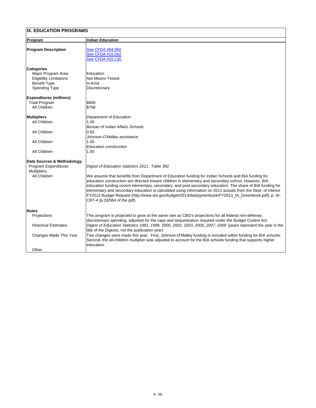| <b>Program</b>                                                                                                           | <b>Indian Education</b>                                                                                                                                                                                                                                                                                                                                                           |
|--------------------------------------------------------------------------------------------------------------------------|-----------------------------------------------------------------------------------------------------------------------------------------------------------------------------------------------------------------------------------------------------------------------------------------------------------------------------------------------------------------------------------|
| <b>Program Description</b>                                                                                               | See CFDA #84.060<br>See CFDA #15.042<br>See CFDA #15.130                                                                                                                                                                                                                                                                                                                          |
| <b>Categories</b><br>Major Program Area<br><b>Eligibility Limitations</b><br><b>Benefit Type</b><br><b>Spending Type</b> | Education<br><b>Not Means-Tested</b><br>In-Kind<br>Discretionary                                                                                                                                                                                                                                                                                                                  |
| <b>Expenditures (millions)</b><br><b>Total Program</b><br><b>All Children</b>                                            | \$860<br>\$758                                                                                                                                                                                                                                                                                                                                                                    |
| <b>Multipliers</b><br><b>All Children</b>                                                                                | <b>Department of Education</b><br>1.00<br><b>Bureau of Indian Affairs Schools</b>                                                                                                                                                                                                                                                                                                 |
| <b>All Children</b>                                                                                                      | 0.83 <br>Johnson-O'Malley assistance                                                                                                                                                                                                                                                                                                                                              |
| <b>All Children</b>                                                                                                      | 1.00<br><b>Education construction</b>                                                                                                                                                                                                                                                                                                                                             |
| <b>All Children</b>                                                                                                      | 1.00                                                                                                                                                                                                                                                                                                                                                                              |
| <b>Data Sources &amp; Methodology</b><br><b>Program Expenditures</b><br><b>Multipliers</b><br><b>All Children</b>        | Digest of Education Statistics 2011, Table 382<br>We assume that benefits from Department of Education funding for Indian Schools and BIA funding for<br>education construction are directed toward children in elementary and secondary school. However, BIA                                                                                                                     |
|                                                                                                                          | education funding covers elementary, secondary, and post-secondary education. The share of BIA funding for<br>elementary and secondary education is calculated using information on 2011 actuals from the Dept. of Interior<br>FY2013 Budget Request (http://www.doi.gov/budget/2013/data/greenbook/FY2013_IA_Greenbook.pdf), p. IA-<br>$ CBT-4 \ (p.33/564 \text{ of the pdf}).$ |
| <b>Notes</b>                                                                                                             |                                                                                                                                                                                                                                                                                                                                                                                   |
| <b>Projections</b>                                                                                                       | This program is projected to grow at the same rate as CBO's projections for all federal non-defense,<br>discretionary spending, adjusted for the caps and sequestration required under the Budget Control Act.                                                                                                                                                                    |
| <b>Historical Estimates</b>                                                                                              | Digest of Education Statistics 1981, 1998, 2000, 2002, 2003, 2005, 2007, 2009 (years represent the year in the<br>title of the Digests, not the publication year).                                                                                                                                                                                                                |
| <b>Changes Made This Year</b>                                                                                            | Two changes were made this year. First, Johnson-O'Malley funding is included within funding for BIA schools.<br>Second, the all-children multiplier was adjusted to account for the BIA schools funding that supports higher<br>education.                                                                                                                                        |
| Other                                                                                                                    |                                                                                                                                                                                                                                                                                                                                                                                   |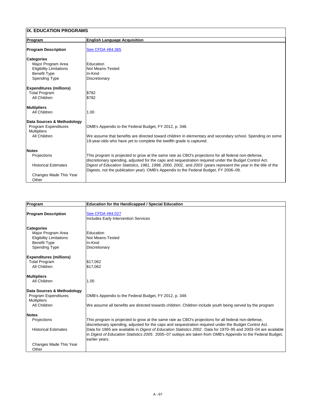| <b>Program</b>                            | <b>English Language Acquisition</b>                                                                                                                                                                     |
|-------------------------------------------|---------------------------------------------------------------------------------------------------------------------------------------------------------------------------------------------------------|
| <b>Program Description</b>                | See CFDA #84.365                                                                                                                                                                                        |
| <b>Categories</b>                         |                                                                                                                                                                                                         |
| Major Program Area                        | Education                                                                                                                                                                                               |
| <b>Eligibility Limitations</b>            | <b>Not Means-Tested</b>                                                                                                                                                                                 |
| <b>Benefit Type</b>                       | In-Kind                                                                                                                                                                                                 |
| <b>Spending Type</b>                      | <b>Discretionary</b>                                                                                                                                                                                    |
| <b>Expenditures (millions)</b>            |                                                                                                                                                                                                         |
| <b>Total Program</b>                      | \$782                                                                                                                                                                                                   |
| <b>All Children</b>                       | \$782                                                                                                                                                                                                   |
| <b>Multipliers</b>                        |                                                                                                                                                                                                         |
| <b>All Children</b>                       | 1.00                                                                                                                                                                                                    |
| <b>Data Sources &amp; Methodology</b>     |                                                                                                                                                                                                         |
| <b>Program Expenditures</b>               | OMB's Appendix to the Federal Budget, FY 2012, p. 348.                                                                                                                                                  |
| <b>Multipliers</b><br><b>All Children</b> | We assume that benefits are directed toward children in elementary and secondary school. Spending on some                                                                                               |
|                                           | 19-year-olds who have yet to complete the twelfth grade is captured.                                                                                                                                    |
| <b>Notes</b>                              |                                                                                                                                                                                                         |
| Projections                               | This program is projected to grow at the same rate as CBO's projections for all federal non-defense,                                                                                                    |
|                                           | discretionary spending, adjusted for the caps and sequestration required under the Budget Control Act.                                                                                                  |
| <b>Historical Estimates</b>               | Digest of Education Statistics, 1981, 1998, 2000, 2002, and 2003 (years represent the year in the title of the<br>Digests, not the publication year). OMB's Appendix to the Federal Budget, FY 2006–09. |
| Changes Made This Year                    |                                                                                                                                                                                                         |
| Other                                     |                                                                                                                                                                                                         |

| Program                                                                                                                  | <b>Education for the Handicapped / Special Education</b>               |
|--------------------------------------------------------------------------------------------------------------------------|------------------------------------------------------------------------|
| <b>Program Description</b>                                                                                               | <b>See CFDA #84.027</b><br><b>Includes Early Intervention Services</b> |
| <b>Categories</b><br>Major Program Area<br><b>Eligibility Limitations</b><br><b>Benefit Type</b><br><b>Spending Type</b> | <b>Education</b><br>Not Means-Tested<br>In-Kind<br>Discretionary       |

| <b>Expenditures (millions)</b><br><b>Total Program</b> | \$17,062                                                                                                                                                                                                       |
|--------------------------------------------------------|----------------------------------------------------------------------------------------------------------------------------------------------------------------------------------------------------------------|
| All Children                                           | \$17,062                                                                                                                                                                                                       |
|                                                        |                                                                                                                                                                                                                |
| <b>Multipliers</b>                                     |                                                                                                                                                                                                                |
| All Children                                           | 1.00                                                                                                                                                                                                           |
|                                                        |                                                                                                                                                                                                                |
| Data Sources & Methodology                             |                                                                                                                                                                                                                |
| <b>Program Expenditures</b>                            | OMB's Appendix to the Federal Budget, FY 2012, p. 349.                                                                                                                                                         |
| <b>Multipliers</b>                                     |                                                                                                                                                                                                                |
| All Children                                           | We assume all benefits are directed towards children. Children include youth being served by the program                                                                                                       |
| <b>Notes</b>                                           |                                                                                                                                                                                                                |
| <b>Projections</b>                                     | This program is projected to grow at the same rate as CBO's projections for all federal non-defense,<br>discretionary spending, adjusted for the caps and sequestration required under the Budget Control Act. |
| <b>Historical Estimates</b>                            | Data for 1965 are available in Digest of Education Statistics 2002. Data for 1970–95 and 2003–04 are available                                                                                                 |
|                                                        | in Digest of Education Statistics 2005. 2005–07 outlays are taken from OMB's Appendix to the Federal Budget,                                                                                                   |
|                                                        | earlier years.                                                                                                                                                                                                 |
| Changes Made This Year                                 |                                                                                                                                                                                                                |
| Other                                                  |                                                                                                                                                                                                                |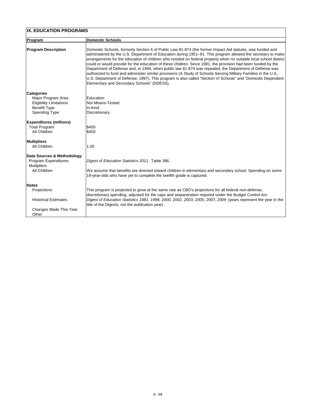| <b>IX. EDUCATION PROGRAMS</b>                                                                                            |                                                                                                                                                                                                                                                                                                                                                                                                                                                                                                                                                                                                                                                                                                                                                                                                                                                         |  |
|--------------------------------------------------------------------------------------------------------------------------|---------------------------------------------------------------------------------------------------------------------------------------------------------------------------------------------------------------------------------------------------------------------------------------------------------------------------------------------------------------------------------------------------------------------------------------------------------------------------------------------------------------------------------------------------------------------------------------------------------------------------------------------------------------------------------------------------------------------------------------------------------------------------------------------------------------------------------------------------------|--|
| Program                                                                                                                  | <b>Domestic Schools</b>                                                                                                                                                                                                                                                                                                                                                                                                                                                                                                                                                                                                                                                                                                                                                                                                                                 |  |
| <b>Program Description</b>                                                                                               | Domestic Schools, formerly Section 6 of Public Law 81-874 (the former Impact Aid statute), was funded and<br>administered by the U.S. Department of Education during 1951–81. This program allowed the secretary to make<br>arrangements for the education of children who resided on federal property when no suitable local school district<br>could or would provide for the education of these children. Since 1981, the provision had been funded by the<br>Department of Defense and, in 1994, when public law 81-874 was repealed, the Department of Defense was<br>authorized to fund and administer similar provisions (A Study of Schools Serving Military Families in the U.S.,<br>U.S. Department of Defense, 1997). This program is also called "Section VI Schools" and "Domestic Dependent<br>Elementary and Secondary Schools" (DDESS). |  |
| <b>Categories</b><br>Major Program Area<br><b>Eligibility Limitations</b><br><b>Benefit Type</b><br><b>Spending Type</b> | <b>Education</b><br><b>Not Means-Tested</b><br>In-Kind<br><b>Discretionary</b>                                                                                                                                                                                                                                                                                                                                                                                                                                                                                                                                                                                                                                                                                                                                                                          |  |
| <b>Expenditures (millions)</b><br><b>Total Program</b><br>All Children                                                   | \$450<br>\$450                                                                                                                                                                                                                                                                                                                                                                                                                                                                                                                                                                                                                                                                                                                                                                                                                                          |  |
| <b>Multipliers</b><br><b>All Children</b>                                                                                | 1.00                                                                                                                                                                                                                                                                                                                                                                                                                                                                                                                                                                                                                                                                                                                                                                                                                                                    |  |
| Data Sources & Methodology<br><b>Program Expenditures</b><br><b>Multipliers</b><br><b>All Children</b>                   | Digest of Education Statistics 2011, Table 386.<br>We assume that benefits are directed toward children in elementary and secondary school. Spending on some<br>19-year-olds who have yet to complete the twelfth grade is captured.                                                                                                                                                                                                                                                                                                                                                                                                                                                                                                                                                                                                                    |  |
| <b>Notes</b><br><b>Projections</b><br><b>Historical Estimates</b>                                                        | This program is projected to grow at the same rate as CBO's projections for all federal non-defense,<br>discretionary spending, adjusted for the caps and sequestration required under the Budget Control Act.<br>Digest of Education Statistics 1981, 1998, 2000, 2002, 2003, 2005, 2007, 2009 (years represent the year in the                                                                                                                                                                                                                                                                                                                                                                                                                                                                                                                        |  |
| <b>Changes Made This Year</b><br>Other                                                                                   | title of the Digests, not the publication year).                                                                                                                                                                                                                                                                                                                                                                                                                                                                                                                                                                                                                                                                                                                                                                                                        |  |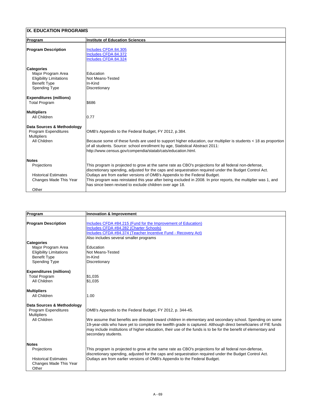| <b>Program</b>                                                                                                           | <b>Institute of Education Sciences</b>                                                                                                                                                                                                                                                                                                                                                                                                                                     |
|--------------------------------------------------------------------------------------------------------------------------|----------------------------------------------------------------------------------------------------------------------------------------------------------------------------------------------------------------------------------------------------------------------------------------------------------------------------------------------------------------------------------------------------------------------------------------------------------------------------|
| <b>Program Description</b>                                                                                               | Includes CFDA 84.305<br><b>Includes CFDA 84.372</b><br>Includes CFDA 84.324                                                                                                                                                                                                                                                                                                                                                                                                |
| <b>Categories</b><br>Major Program Area<br><b>Eligibility Limitations</b><br><b>Benefit Type</b><br><b>Spending Type</b> | IEducation<br><b>Not Means-Tested</b><br>In-Kind<br>Discretionary                                                                                                                                                                                                                                                                                                                                                                                                          |
| <b>Expenditures (millions)</b><br><b>Total Program</b>                                                                   | \$686                                                                                                                                                                                                                                                                                                                                                                                                                                                                      |
| <b>Multipliers</b><br><b>All Children</b>                                                                                | 0.77                                                                                                                                                                                                                                                                                                                                                                                                                                                                       |
| Data Sources & Methodology<br><b>Program Expenditures</b><br><b>Multipliers</b><br><b>All Children</b>                   | OMB's Appendix to the Federal Budget, FY 2012, p.384.<br>Because some of these funds are used to support higher education, our multiplier is students < 18 as proportion  <br>of all students. Source: school enrollment by age, Statistical Abstract 2011:<br>http://www.census.gov/compendia/statab/cats/education.html.                                                                                                                                                 |
| <b>Notes</b><br><b>Projections</b><br><b>Historical Estimates</b><br>Changes Made This Year<br>Other                     | This program is projected to grow at the same rate as CBO's projections for all federal non-defense,<br>discretionary spending, adjusted for the caps and sequestration required under the Budget Control Act.<br>Outlays are from earlier versions of OMB's Appendix to the Federal Budget.<br>This program was reinstated this year after being excluded in 2008. In prior reports, the multiplier was 1, and<br>has since been revised to exclude children over age 18. |

| Program                               | <b>Innovation &amp; Improvement</b>                                                                                                                                                                                                                                                                                                                                    |
|---------------------------------------|------------------------------------------------------------------------------------------------------------------------------------------------------------------------------------------------------------------------------------------------------------------------------------------------------------------------------------------------------------------------|
|                                       |                                                                                                                                                                                                                                                                                                                                                                        |
| <b>Program Description</b>            | Includes CFDA #84.215 (Fund for the Improvement of Education)                                                                                                                                                                                                                                                                                                          |
|                                       | Includes CFDA #84.282 (Charter Schools)                                                                                                                                                                                                                                                                                                                                |
|                                       | Includes CFDA #84.374 (Teacher Incentive Fund - Recovery Act)                                                                                                                                                                                                                                                                                                          |
|                                       | Also includes several smaller programs                                                                                                                                                                                                                                                                                                                                 |
| <b>Categories</b>                     |                                                                                                                                                                                                                                                                                                                                                                        |
| Major Program Area                    | Education                                                                                                                                                                                                                                                                                                                                                              |
| <b>Eligibility Limitations</b>        | <b>Not Means-Tested</b>                                                                                                                                                                                                                                                                                                                                                |
| <b>Benefit Type</b>                   | In-Kind                                                                                                                                                                                                                                                                                                                                                                |
| <b>Spending Type</b>                  | <b>Discretionary</b>                                                                                                                                                                                                                                                                                                                                                   |
| <b>Expenditures (millions)</b>        |                                                                                                                                                                                                                                                                                                                                                                        |
| <b>Total Program</b>                  | \$1,035                                                                                                                                                                                                                                                                                                                                                                |
| <b>All Children</b>                   | \$1,035                                                                                                                                                                                                                                                                                                                                                                |
| <b>Multipliers</b>                    |                                                                                                                                                                                                                                                                                                                                                                        |
| <b>All Children</b>                   | 1.00                                                                                                                                                                                                                                                                                                                                                                   |
| <b>Data Sources &amp; Methodology</b> |                                                                                                                                                                                                                                                                                                                                                                        |
| <b>Program Expenditures</b>           | OMB's Appendix to the Federal Budget, FY 2012, p. 344-45.                                                                                                                                                                                                                                                                                                              |
| <b>Multipliers</b>                    |                                                                                                                                                                                                                                                                                                                                                                        |
| <b>All Children</b>                   | We assume that benefits are directed toward children in elementary and secondary school. Spending on some<br>19-year-olds who have yet to complete the twelfth grade is captured. Although direct beneficiaries of FIE funds<br>may include institutions of higher education, their use of the funds is to be for the benefit of elementary and<br>secondary students. |
| <b>Notes</b>                          |                                                                                                                                                                                                                                                                                                                                                                        |
| <b>Projections</b>                    | This program is projected to grow at the same rate as CBO's projections for all federal non-defense,<br>discretionary spending, adjusted for the caps and sequestration required under the Budget Control Act.                                                                                                                                                         |
| <b>Historical Estimates</b>           | Outlays are from earlier versions of OMB's Appendix to the Federal Budget.                                                                                                                                                                                                                                                                                             |
| <b>Changes Made This Year</b>         |                                                                                                                                                                                                                                                                                                                                                                        |
| Other                                 |                                                                                                                                                                                                                                                                                                                                                                        |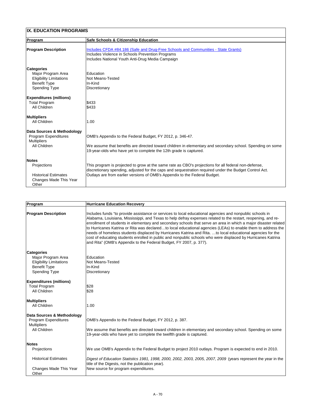| IX. EDUCATION PROGRAMS                                                                                                   |                                                                                                                                                                                                                                                                                              |  |
|--------------------------------------------------------------------------------------------------------------------------|----------------------------------------------------------------------------------------------------------------------------------------------------------------------------------------------------------------------------------------------------------------------------------------------|--|
| <b>Program</b>                                                                                                           | <b>Safe Schools &amp; Citizenship Education</b>                                                                                                                                                                                                                                              |  |
| <b>Program Description</b>                                                                                               | Includes CFDA #84.186 (Safe and Drug-Free Schools and Communities - State Grants)<br>Includes Violence in Schools Prevention Programs<br>Includes National Youth Anti-Drug Media Campaign                                                                                                    |  |
| <b>Categories</b><br>Major Program Area<br><b>Eligibility Limitations</b><br><b>Benefit Type</b><br><b>Spending Type</b> | Education<br>Not Means-Tested<br>In-Kind<br><b>Discretionary</b>                                                                                                                                                                                                                             |  |
| <b>Expenditures (millions)</b><br><b>Total Program</b><br><b>All Children</b>                                            | \$433<br>\$433                                                                                                                                                                                                                                                                               |  |
| Multipliers<br><b>All Children</b>                                                                                       | 1.00                                                                                                                                                                                                                                                                                         |  |
| <b>Data Sources &amp; Methodology</b><br><b>Program Expenditures</b><br><b>Multipliers</b><br><b>All Children</b>        | OMB's Appendix to the Federal Budget, FY 2012, p. 346-47.<br>We assume that benefits are directed toward children in elementary and secondary school. Spending on some<br>19-year-olds who have yet to complete the 12th grade is captured.                                                  |  |
| <b>Notes</b><br><b>Projections</b><br><b>Historical Estimates</b><br><b>Changes Made This Year</b><br>Other              | This program is projected to grow at the same rate as CBO's projections for all federal non-defense,<br>discretionary spending, adjusted for the caps and sequestration required under the Budget Control Act.<br>Outlays are from earlier versions of OMB's Appendix to the Federal Budget. |  |

| Program                                                                                                                  | <b>Hurricane Education Recovery</b>                                                                                                                                                                                                                                                                                                                                                                                                                                                                                                                                                                                                                                                                                                                              |
|--------------------------------------------------------------------------------------------------------------------------|------------------------------------------------------------------------------------------------------------------------------------------------------------------------------------------------------------------------------------------------------------------------------------------------------------------------------------------------------------------------------------------------------------------------------------------------------------------------------------------------------------------------------------------------------------------------------------------------------------------------------------------------------------------------------------------------------------------------------------------------------------------|
| <b>Program Description</b>                                                                                               | Includes funds "to provide assistance or services to local educational agencies and nonpublic schools in<br>Alabama, Louisiana, Mississippi, and Texas to help defray expenses related to the restart, reopening, and re-<br>enrollment of students in elementary and secondary schools that serve an area in which a major disaster related<br>to Hurricanes Katrina or Rita was declaredto local educational agencies (LEAs) to enable them to address the<br>needs of homeless students displaced by Hurricanes Katrina and Rita. to local educational agencies for the<br>cost of educating students enrolled in public and nonpublic schools who were displaced by Hurricanes Katrina<br>and Rita" (OMB's Appendix to the Federal Budget, FY 2007, p. 377). |
| <b>Categories</b><br>Major Program Area<br><b>Eligibility Limitations</b><br><b>Benefit Type</b><br><b>Spending Type</b> | Education<br><b>Not Means-Tested</b><br>In-Kind<br>Discretionary                                                                                                                                                                                                                                                                                                                                                                                                                                                                                                                                                                                                                                                                                                 |
| <b>Expenditures (millions)</b><br><b>Total Program</b><br><b>All Children</b>                                            | \$28<br>\$28                                                                                                                                                                                                                                                                                                                                                                                                                                                                                                                                                                                                                                                                                                                                                     |
| <b>Multipliers</b><br><b>All Children</b>                                                                                | 1.00                                                                                                                                                                                                                                                                                                                                                                                                                                                                                                                                                                                                                                                                                                                                                             |
| Data Sources & Methodology<br><b>Program Expenditures</b><br><b>Multipliers</b><br>All Children                          | OMB's Appendix to the Federal Budget, FY 2012, p. 387.<br>We assume that benefits are directed toward children in elementary and secondary school. Spending on some<br>19-year-olds who have yet to complete the twelfth grade is captured.                                                                                                                                                                                                                                                                                                                                                                                                                                                                                                                      |
| <b>Notes</b><br><b>Projections</b>                                                                                       | We use OMB's Appendix to the Federal Budget to project 2010 outlays. Program is expected to end in 2010.                                                                                                                                                                                                                                                                                                                                                                                                                                                                                                                                                                                                                                                         |
| <b>Historical Estimates</b><br>Changes Made This Year<br>Other                                                           | Digest of Education Statistics 1981, 1998, 2000, 2002, 2003, 2005, 2007, 2009 (years represent the year in the<br>title of the Digests, not the publication year).<br>New source for program expenditures.                                                                                                                                                                                                                                                                                                                                                                                                                                                                                                                                                       |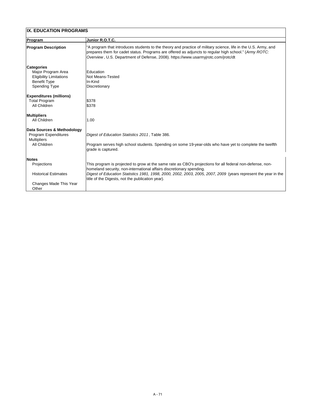| <b>IX. EDUCATION PROGRAMS</b>               |                                                                                                                                                                                                                                                                                                              |  |
|---------------------------------------------|--------------------------------------------------------------------------------------------------------------------------------------------------------------------------------------------------------------------------------------------------------------------------------------------------------------|--|
| Program                                     | Junior R.O.T.C.                                                                                                                                                                                                                                                                                              |  |
| <b>Program Description</b>                  | "A program that introduces students to the theory and practice of military science, life in the U.S. Army, and<br>prepares them for cadet status. Programs are offered as adjuncts to regular high school." (Army ROTC:<br>Overview, U.S. Department of Defense, 2008). https://www.usarmyjrotc.com/jrotc/dt |  |
| <b>Categories</b><br>Major Program Area     | Education                                                                                                                                                                                                                                                                                                    |  |
| <b>Eligibility Limitations</b>              | <b>Not Means-Tested</b>                                                                                                                                                                                                                                                                                      |  |
| <b>Benefit Type</b><br><b>Spending Type</b> | In-Kind<br>Discretionary                                                                                                                                                                                                                                                                                     |  |
| <b>Expenditures (millions)</b>              |                                                                                                                                                                                                                                                                                                              |  |
| <b>Total Program</b>                        | \$378                                                                                                                                                                                                                                                                                                        |  |
| <b>All Children</b>                         | \$378                                                                                                                                                                                                                                                                                                        |  |
| <b>Multipliers</b>                          |                                                                                                                                                                                                                                                                                                              |  |
| <b>All Children</b>                         | 1.00                                                                                                                                                                                                                                                                                                         |  |
| Data Sources & Methodology                  |                                                                                                                                                                                                                                                                                                              |  |
| <b>Program Expenditures</b>                 | Digest of Education Statistics 2011, Table 386.                                                                                                                                                                                                                                                              |  |
| <b>Multipliers</b><br><b>All Children</b>   | Program serves high school students. Spending on some 19-year-olds who have yet to complete the twelfth<br>grade is captured.                                                                                                                                                                                |  |
| <b>Notes</b>                                |                                                                                                                                                                                                                                                                                                              |  |
| Projections                                 | This program is projected to grow at the same rate as CBO's projections for all federal non-defense, non-<br>homeland security, non-international affairs discretionary spending.                                                                                                                            |  |
| <b>Historical Estimates</b>                 | Digest of Education Statistics 1981, 1998, 2000, 2002, 2003, 2005, 2007, 2009 (years represent the year in the<br>title of the Digests, not the publication year).                                                                                                                                           |  |
| <b>Changes Made This Year</b><br>Other      |                                                                                                                                                                                                                                                                                                              |  |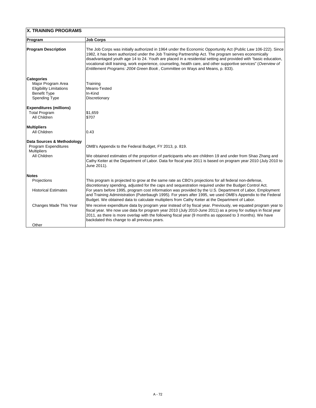| <b>X. TRAINING PROGRAMS</b>                                                                                              |                                                                                                                                                                                                                                                                                                                                                                                                                                                                                                                                                                                                                                                              |
|--------------------------------------------------------------------------------------------------------------------------|--------------------------------------------------------------------------------------------------------------------------------------------------------------------------------------------------------------------------------------------------------------------------------------------------------------------------------------------------------------------------------------------------------------------------------------------------------------------------------------------------------------------------------------------------------------------------------------------------------------------------------------------------------------|
| Program                                                                                                                  | <b>Job Corps</b>                                                                                                                                                                                                                                                                                                                                                                                                                                                                                                                                                                                                                                             |
| <b>Program Description</b>                                                                                               | The Job Corps was initially authorized in 1964 under the Economic Opportunity Act (Public Law 106-222). Since<br>1982, it has been authorized under the Job Training Partnership Act. The program serves economically<br>disadvantaged youth age 14 to 24. Youth are placed in a residential setting and provided with "basic education,<br>vocational skill training, work experience, counseling, health care, and other supportive services" (Overview of<br>Entitlement Programs: 2004 Green Book, Committee on Ways and Means, p. 833).                                                                                                                 |
| <b>Categories</b><br>Major Program Area<br><b>Eligibility Limitations</b><br><b>Benefit Type</b><br><b>Spending Type</b> | Training<br>Means-Tested<br>In-Kind<br><b>Discretionary</b>                                                                                                                                                                                                                                                                                                                                                                                                                                                                                                                                                                                                  |
| <b>Expenditures (millions)</b><br><b>Total Program</b><br><b>All Children</b>                                            | \$1,659<br>\$707                                                                                                                                                                                                                                                                                                                                                                                                                                                                                                                                                                                                                                             |
| Multipliers<br><b>All Children</b>                                                                                       | 0.43                                                                                                                                                                                                                                                                                                                                                                                                                                                                                                                                                                                                                                                         |
| Data Sources & Methodology<br><b>Program Expenditures</b><br><b>Multipliers</b><br><b>All Children</b>                   | OMB's Appendix to the Federal Budget, FY 2013, p. 819.<br>We obtained estimates of the proportion of participants who are children 19 and under from Shao Zhang and<br>Cathy Keiter at the Department of Labor. Data for fiscal year 2011 is based on program year 2010 (July 2010 to<br>June 2011).                                                                                                                                                                                                                                                                                                                                                         |
| <b>Notes</b><br>Projections<br><b>Historical Estimates</b><br><b>Changes Made This Year</b>                              | This program is projected to grow at the same rate as CBO's projections for all federal non-defense,<br>discretionary spending, adjusted for the caps and sequestration required under the Budget Control Act.<br>For years before 1995, program cost information was provided by the U.S. Department of Labor, Employment<br>and Training Administration (Puterbaugh 1995). For years after 1995, we used OMB's Appendix to the Federal<br>Budget. We obtained data to calculate multipliers from Cathy Keiter at the Department of Labor.<br>We receive expenditure data by program year instead of by fiscal year. Previously, we equated program year to |
| Other                                                                                                                    | fiscal year. We now use data for program year 2010 (July 2010-June 2011) as a proxy for outlays in fiscal year<br>2011, as there is more overlap with the following fiscal year (9 months as opposed to 3 months). We have<br>backdated this change to all previous years.                                                                                                                                                                                                                                                                                                                                                                                   |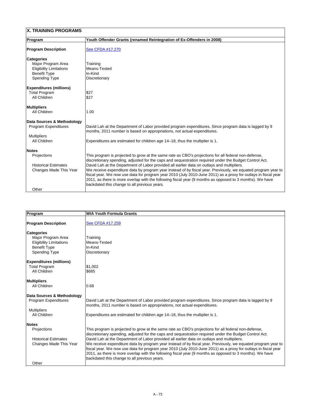| <b>X. TRAINING PROGRAMS</b>                                                                                              |                                                                                                                                                                                                                                                                                                                                                                                                                                                                                                                                                                                                                                                                                                             |  |
|--------------------------------------------------------------------------------------------------------------------------|-------------------------------------------------------------------------------------------------------------------------------------------------------------------------------------------------------------------------------------------------------------------------------------------------------------------------------------------------------------------------------------------------------------------------------------------------------------------------------------------------------------------------------------------------------------------------------------------------------------------------------------------------------------------------------------------------------------|--|
| Program                                                                                                                  | Youth Offender Grants (renamed Reintegration of Ex-Offenders in 2008)                                                                                                                                                                                                                                                                                                                                                                                                                                                                                                                                                                                                                                       |  |
| <b>Program Description</b>                                                                                               | See CFDA #17.270                                                                                                                                                                                                                                                                                                                                                                                                                                                                                                                                                                                                                                                                                            |  |
| <b>Categories</b><br>Major Program Area<br><b>Eligibility Limitations</b><br><b>Benefit Type</b><br><b>Spending Type</b> | Training<br>Means-Tested<br>In-Kind<br>Discretionary                                                                                                                                                                                                                                                                                                                                                                                                                                                                                                                                                                                                                                                        |  |
| <b>Expenditures (millions)</b><br><b>Total Program</b><br><b>All Children</b>                                            | \$27<br>\$27                                                                                                                                                                                                                                                                                                                                                                                                                                                                                                                                                                                                                                                                                                |  |
| <b>Multipliers</b><br><b>All Children</b>                                                                                | 1.00                                                                                                                                                                                                                                                                                                                                                                                                                                                                                                                                                                                                                                                                                                        |  |
| Data Sources & Methodology<br><b>Program Expenditures</b><br><b>Multipliers</b><br><b>All Children</b>                   | David Lah at the Department of Labor provided program expenditures. Since program data is lagged by 9<br>months, 2011 number is based on appropriations, not actual expenditures.<br>Expenditures are estimated for children age 14–18, thus the multiplier is 1.                                                                                                                                                                                                                                                                                                                                                                                                                                           |  |
| <b>Notes</b><br><b>Projections</b><br><b>Historical Estimates</b><br>Changes Made This Year<br>Other                     | This program is projected to grow at the same rate as CBO's projections for all federal non-defense,<br>discretionary spending, adjusted for the caps and sequestration required under the Budget Control Act.<br>David Lah at the Department of Labor provided all earlier data on outlays and multipliers.<br>We receive expenditure data by program year instead of by fiscal year. Previously, we equated program year to<br>fiscal year. We now use data for program year 2010 (July 2010-June 2011) as a proxy for outlays in fiscal year<br>2011, as there is more overlap with the following fiscal year (9 months as opposed to 3 months). We have<br>backdated this change to all previous years. |  |

| Program                        | <b>WIA Youth Formula Grants</b> |  |
|--------------------------------|---------------------------------|--|
| <b>Program Description</b>     | <b>See CFDA #17.259</b>         |  |
|                                |                                 |  |
| <b>Categories</b>              |                                 |  |
| Major Program Area             | Training                        |  |
| <b>Eligibility Limitations</b> | Means-Tested                    |  |
| <b>Benefit Type</b>            | In-Kind                         |  |
| <b>Spending Type</b>           | Discretionary                   |  |

| <b>Expenditures (millions)</b><br><b>Total Program</b><br>All Children | S1,002<br>\$685                                                                                                                                                                                                                                                                                                                                                                             |
|------------------------------------------------------------------------|---------------------------------------------------------------------------------------------------------------------------------------------------------------------------------------------------------------------------------------------------------------------------------------------------------------------------------------------------------------------------------------------|
| <b>Multipliers</b>                                                     |                                                                                                                                                                                                                                                                                                                                                                                             |
| All Children                                                           | 0.68                                                                                                                                                                                                                                                                                                                                                                                        |
| Data Sources & Methodology                                             |                                                                                                                                                                                                                                                                                                                                                                                             |
| <b>Program Expenditures</b>                                            | David Lah at the Department of Labor provided program expenditures. Since program data is lagged by 9<br>months, 2011 number is based on appropriations, not actual expenditures.                                                                                                                                                                                                           |
| <b>Multipliers</b>                                                     |                                                                                                                                                                                                                                                                                                                                                                                             |
| All Children                                                           | Expenditures are estimated for children age 14–18, thus the multiplier is 1.                                                                                                                                                                                                                                                                                                                |
| <b>Notes</b>                                                           |                                                                                                                                                                                                                                                                                                                                                                                             |
| <b>Projections</b>                                                     | This program is projected to grow at the same rate as CBO's projections for all federal non-defense,<br>discretionary spending, adjusted for the caps and sequestration required under the Budget Control Act.                                                                                                                                                                              |
| <b>Historical Estimates</b>                                            | David Lah at the Department of Labor provided all earlier data on outlays and multipliers.                                                                                                                                                                                                                                                                                                  |
| <b>Changes Made This Year</b>                                          | We receive expenditure data by program year instead of by fiscal year. Previously, we equated program year to<br>fiscal year. We now use data for program year 2010 (July 2010-June 2011) as a proxy for outlays in fiscal year<br>2011, as there is more overlap with the following fiscal year (9 months as opposed to 3 months). We have<br>backdated this change to all previous years. |
| Other                                                                  |                                                                                                                                                                                                                                                                                                                                                                                             |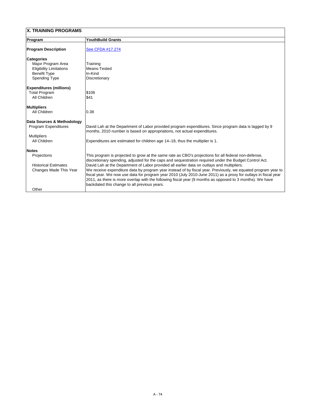## **X. TRAINING PROGRAMS**

| <b>Program</b>                                                                                                           | <b>YouthBuild Grants</b>                                                                                                                                                                                                                                                                                                                                                                                                                                                                                                                                                                                                                                                                                    |  |
|--------------------------------------------------------------------------------------------------------------------------|-------------------------------------------------------------------------------------------------------------------------------------------------------------------------------------------------------------------------------------------------------------------------------------------------------------------------------------------------------------------------------------------------------------------------------------------------------------------------------------------------------------------------------------------------------------------------------------------------------------------------------------------------------------------------------------------------------------|--|
| <b>Program Description</b>                                                                                               | See CFDA #17.274                                                                                                                                                                                                                                                                                                                                                                                                                                                                                                                                                                                                                                                                                            |  |
| <b>Categories</b><br>Major Program Area<br><b>Eligibility Limitations</b><br><b>Benefit Type</b><br><b>Spending Type</b> | Training<br>Means-Tested<br>In-Kind<br><b>Discretionary</b>                                                                                                                                                                                                                                                                                                                                                                                                                                                                                                                                                                                                                                                 |  |
| <b>Expenditures (millions)</b><br><b>Total Program</b><br><b>All Children</b>                                            | \$106<br>\$41                                                                                                                                                                                                                                                                                                                                                                                                                                                                                                                                                                                                                                                                                               |  |
| <b>Multipliers</b><br><b>All Children</b>                                                                                | 0.38                                                                                                                                                                                                                                                                                                                                                                                                                                                                                                                                                                                                                                                                                                        |  |
| Data Sources & Methodology<br><b>Program Expenditures</b><br><b>Multipliers</b><br><b>All Children</b>                   | David Lah at the Department of Labor provided program expenditures. Since program data is lagged by 9<br>months, 2010 number is based on appropriations, not actual expenditures.<br>Expenditures are estimated for children age 14–18, thus the multiplier is 1.                                                                                                                                                                                                                                                                                                                                                                                                                                           |  |
| <b>Notes</b><br><b>Projections</b><br><b>Historical Estimates</b><br><b>Changes Made This Year</b><br>Other              | This program is projected to grow at the same rate as CBO's projections for all federal non-defense,<br>discretionary spending, adjusted for the caps and sequestration required under the Budget Control Act.<br>David Lah at the Department of Labor provided all earlier data on outlays and multipliers.<br>We receive expenditure data by program year instead of by fiscal year. Previously, we equated program year to<br>fiscal year. We now use data for program year 2010 (July 2010-June 2011) as a proxy for outlays in fiscal year<br>2011, as there is more overlap with the following fiscal year (9 months as opposed to 3 months). We have<br>backdated this change to all previous years. |  |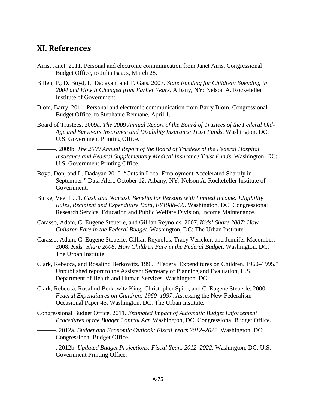## **XI. References**

- Airis, Janet. 2011. Personal and electronic communication from Janet Airis, Congressional Budget Office, to Julia Isaacs, March 28.
- Billen, P., D. Boyd, L. Dadayan, and T. Gais. 2007. *State Funding for Children: Spending in 2004 and How It Changed from Earlier Years*. Albany, NY: Nelson A. Rockefeller Institute of Government.
- Blom, Barry. 2011. Personal and electronic communication from Barry Blom, Congressional Budget Office, to Stephanie Rennane, April 1.
- Board of Trustees. 2009a. *The 2009 Annual Report of the Board of Trustees of the Federal Old-Age and Survivors Insurance and Disability Insurance Trust Funds.* Washington, DC: U.S. Government Printing Office.

———. 2009b. *The 2009 Annual Report of the Board of Trustees of the Federal Hospital Insurance and Federal Supplementary Medical Insurance Trust Funds*. Washington, DC: U.S. Government Printing Office.

- Boyd, Don, and L. Dadayan 2010. "Cuts in Local Employment Accelerated Sharply in September." Data Alert, October 12. Albany, NY: Nelson A. Rockefeller Institute of Government.
- Burke, Vee. 1991. *Cash and Noncash Benefits for Persons with Limited Income: Eligibility Rules, Recipient and Expenditure Data, FY1988–90*. Washington, DC: Congressional Research Service, Education and Public Welfare Division, Income Maintenance.
- Carasso, Adam, C. Eugene Steuerle, and Gillian Reynolds. 2007. *Kids' Share 2007: How Children Fare in the Federal Budget*. Washington, DC: The Urban Institute.
- Carasso, Adam, C. Eugene Steuerle, Gillian Reynolds, Tracy Vericker, and Jennifer Macomber. 2008. *Kids' Share 2008: How Children Fare in the Federal Budget*. Washington, DC: The Urban Institute.
- Clark, Rebecca, and Rosalind Berkowitz. 1995. "Federal Expenditures on Children, 1960–1995." Unpublished report to the Assistant Secretary of Planning and Evaluation, U.S. Department of Health and Human Services, Washington, DC.
- Clark, Rebecca, Rosalind Berkowitz King, Christopher Spiro, and C. Eugene Steuerle. 2000. *Federal Expenditures on Children: 1960–1997*. Assessing the New Federalism Occasional Paper 45. Washington, DC: The Urban Institute.
- Congressional Budget Office. 2011. *Estimated Impact of Automatic Budget Enforcement Procedures of the Budget Control Act.* Washington, DC: Congressional Budget Office.
	- ———. 2012a. *Budget and Economic Outlook: Fiscal Years 2012–2022*. Washington, DC: Congressional Budget Office.
	- ———. 2012b. *Updated Budget Projections: Fiscal Years 2012–2022*. Washington, DC: U.S. Government Printing Office.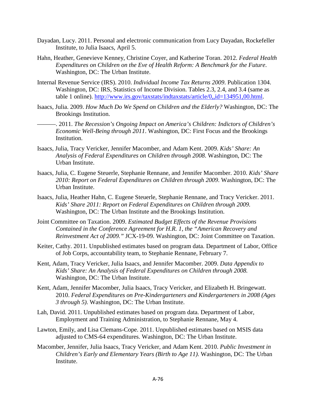- Dayadan, Lucy. 2011. Personal and electronic communication from Lucy Dayadan, Rockefeller Institute, to Julia Isaacs, April 5.
- Hahn, Heather, Genevieve Kenney, Christine Coyer, and Katherine Toran. 2012. *Federal Health Expenditures on Children on the Eve of Health Reform: A Benchmark for the Future*. Washington, DC: The Urban Institute.
- Internal Revenue Service (IRS). 2010. *Individual Income Tax Returns 2009*. Publication 1304. Washington, DC: IRS, Statistics of Income Division. Tables 2.3, 2.4, and 3.4 (same as table 1 online). [http://www.irs.gov/taxstats/indtaxstats/article/0,,id=134951,00.html.](http://www.irs.gov/taxstats/indtaxstats/article/0,,id=134951,00.html)
- Isaacs, Julia. 2009. *How Much Do We Spend on Children and the Elderly?* Washington, DC: The Brookings Institution.
	- ———. 2011. *The Recession's Ongoing Impact on America's Children: Indictors of Children's Economic Well-Being through 2011*. Washington, DC: First Focus and the Brookings Institution.
- Isaacs, Julia, Tracy Vericker, Jennifer Macomber, and Adam Kent. 2009. *Kids' Share: An Analysis of Federal Expenditures on Children through 2008*. Washington, DC: The Urban Institute.
- Isaacs, Julia, C. Eugene Steuerle, Stephanie Rennane, and Jennifer Macomber. 2010. *Kids' Share 2010: Report on Federal Expenditures on Children through 2009*. Washington, DC: The Urban Institute.
- Isaacs, Julia, Heather Hahn, C. Eugene Steuerle, Stephanie Rennane, and Tracy Vericker. 2011. *Kids' Share 2011: Report on Federal Expenditures on Children through 2009.*  Washington, DC: The Urban Institute and the Brookings Institution.
- Joint Committee on Taxation. 2009. *Estimated Budget Effects of the Revenue Provisions Contained in the Conference Agreement for H.R. 1, the "American Recovery and Reinvestment Act of 2009."* JCX-19-09. Washington, DC: Joint Committee on Taxation.
- Keiter, Cathy. 2011. Unpublished estimates based on program data. Department of Labor, Office of Job Corps, accountability team, to Stephanie Rennane, February 7.
- Kent, Adam, Tracy Vericker, Julia Isaacs, and Jennifer Macomber. 2009. *Data Appendix to Kids' Share: An Analysis of Federal Expenditures on Children through 2008.* Washington, DC: The Urban Institute.
- Kent, Adam, Jennifer Macomber, Julia Isaacs, Tracy Vericker, and Elizabeth H. Bringewatt. 2010. *Federal Expenditures on Pre-Kindergarteners and Kindergarteners in 2008 (Ages 3 through 5)*. Washington, DC: The Urban Institute.
- Lah, David. 2011. Unpublished estimates based on program data. Department of Labor, Employment and Training Administration, to Stephanie Rennane, May 4.
- Lawton, Emily, and Lisa Clemans-Cope. 2011. Unpublished estimates based on MSIS data adjusted to CMS-64 expenditures. Washington, DC: The Urban Institute.
- Macomber, Jennifer, Julia Isaacs, Tracy Vericker, and Adam Kent. 2010. *Public Investment in Children's Early and Elementary Years (Birth to Age 11)*. Washington, DC: The Urban Institute.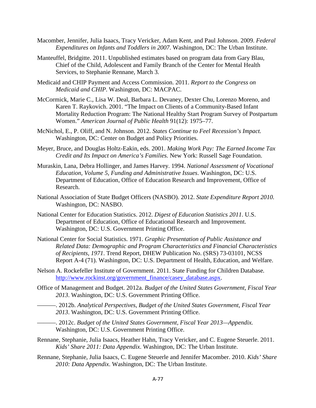- Macomber, Jennifer, Julia Isaacs, Tracy Vericker, Adam Kent, and Paul Johnson. 2009. *Federal Expenditures on Infants and Toddlers in 2007*. Washington, DC: The Urban Institute.
- Manteuffel, Bridgitte. 2011. Unpublished estimates based on program data from Gary Blau, Chief of the Child, Adolescent and Family Branch of the Center for Mental Health Services, to Stephanie Rennane, March 3.
- Medicaid and CHIP Payment and Access Commission. 2011. *Report to the Congress on Medicaid and CHIP*. Washington, DC: MACPAC.
- McCormick, Marie C., Lisa W. Deal, Barbara L. Devaney, Dexter Chu, Lorenzo Moreno, and Karen T. Raykovich. 2001. "The Impact on Clients of a Community-Based Infant Mortality Reduction Program: The National Healthy Start Program Survey of Postpartum Women." *American Journal of Public Health* 91(12): 1975–77.
- McNichol, E., P. Oliff, and N. Johnson. 2012. *States Continue to Feel Recession's Impact.* Washington, DC: Center on Budget and Policy Priorities.
- Meyer, Bruce, and Douglas Holtz-Eakin, eds. 2001. *Making Work Pay: The Earned Income Tax Credit and Its Impact on America's Families.* New York: Russell Sage Foundation.
- Muraskin, Lana, Debra Hollinger, and James Harvey. 1994. *National Assessment of Vocational Education, Volume 5, Funding and Administrative Issues*. Washington, DC: U.S. Department of Education, Office of Education Research and Improvement, Office of Research.
- National Association of State Budget Officers (NASBO). 2012. *State Expenditure Report 2010.* Washington, DC: NASBO.
- National Center for Education Statistics. 2012. *Digest of Education Statistics 2011*. U.S. Department of Education, Office of Educational Research and Improvement. Washington, DC: U.S. Government Printing Office.
- National Center for Social Statistics. 1971. *Graphic Presentation of Public Assistance and Related Data: Demographic and Program Characteristics and Financial Characteristics of Recipients, 1971*. Trend Report, DHEW Publication No. (SRS) 73-03101, NCSS Report A-4 (71). Washington, DC: U.S. Department of Health, Education, and Welfare.
- Nelson A. Rockefeller Institute of Government. 2011. State Funding for Children Database*.*  [http://www.rockinst.org/government\\_finance/casey\\_database.aspx.](http://www.rockinst.org/government_finance/casey_database.aspx)
- Office of Management and Budget. 2012a. *Budget of the United States Government, Fiscal Year 2013*. Washington, DC: U.S. Government Printing Office.
	- ———. 2012b. *Analytical Perspectives, Budget of the United States Government, Fiscal Year 2013*. Washington, DC: U.S. Government Printing Office.
	- ———. 2012c. *Budget of the United States Government, Fiscal Year 2013—Appendix.* Washington, DC: U.S. Government Printing Office.
- Rennane, Stephanie, Julia Isaacs, Heather Hahn, Tracy Vericker, and C. Eugene Steuerle. 2011. *Kids' Share 2011: Data Appendix*. Washington, DC: The Urban Institute.
- Rennane, Stephanie, Julia Isaacs, C. Eugene Steuerle and Jennifer Macomber. 2010. *Kids' Share 2010: Data Appendix*. Washington, DC: The Urban Institute.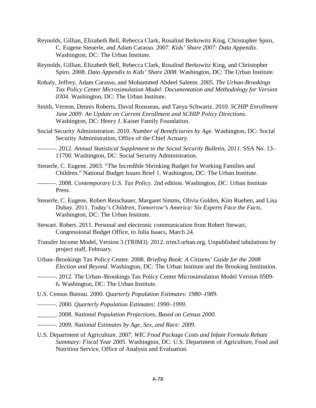- Reynolds, Gillian, Elizabeth Bell, Rebecca Clark, Rosalind Berkowitz King, Christopher Spiro, C. Eugene Steuerle, and Adam Carasso. 2007. *Kids' Share 2007: Data Appendix.* Washington, DC: The Urban Institute.
- Reynolds, Gillian, Elizabeth Bell, Rebecca Clark, Rosalind Berkowitz King, and Christopher Spiro. 2008. *Data Appendix to Kids' Share 2008.* Washington, DC: The Urban Institute.
- Rohaly, Jeffrey, Adam Carasso, and Mohammed Abdeel Saleem. 2005. *The Urban-Brookings Tax Policy Center Microsimulation Model: Documentation and Methodology for Version 0304.* Washington, DC: The Urban Institute.
- Smith, Vernon, Dennis Roberts, David Rousseau, and Tanya Schwartz. 2010. *SCHIP Enrollment June 2009: An Update on Current Enrollment and SCHIP Policy Directions.* Washington, DC: Henry J. Kaiser Family Foundation.
- Social Security Administration. 2010. *Number of Beneficiaries by Age.* Washington, DC: Social Security Administration, Office of the Chief Actuary.

———. 2012. *Annual Statistical Supplement to the Social Security Bulletin, 2011.* SSA No. 13– 11700*.* Washington, DC: Social Security Administration.

Steuerle, C. Eugene. 2003. "The Incredible Shrinking Budget for Working Families and Children." National Budget Issues Brief 1. Washington, DC: The Urban Institute.

———. 2008. *Contemporary U.S. Tax Policy.* 2nd edition. Washington, DC: Urban Institute Press.

- Steuerle, C. Eugene, Robert Reischauer, Margaret Simms, Olivia Golden, Kim Rueben, and Lisa Dubay. 2011. *Today's Children, Tomorrow's America: Six Experts Face the Facts.* Washington, DC: The Urban Institute.
- Stewart. Robert. 2011. Personal and electronic communication from Robert Stewart, Congressional Budget Office, to Julia Isaacs, March 24.
- Transfer Income Model, Version 3 (TRIM3). 2012. trim3.urban.org. Unpublished tabulations by project staff, February.
- Urban–Brookings Tax Policy Center. 2008. *Briefing Book: A Citizens' Guide for the 2008 Election and Beyond*. Washington, DC: The Urban Institute and the Brooking Institution.
- ———. 2012. The Urban–Brookings Tax Policy Center Microsimulation Model Version 0509- 6. Washington, DC: The Urban Institute.
- U.S. Census Bureau. 2000*. Quarterly Population Estimates: 1980–1989.*
- ———. 2000*. Quarterly Population Estimates: 1990–1999.*
- \_\_\_\_\_\_. 2008. *National Population Projections, Based on Census 2000.*
- ———. 2009*. National Estimates by Age, Sex, and Race: 2009.*
- U.S. Department of Agriculture. 2007. *WIC Food Package Costs and Infant Formula Rebate Summary: Fiscal Year 2005*. Washington, DC: U.S. Department of Agriculture, Food and Nutrition Service, Office of Analysis and Evaluation.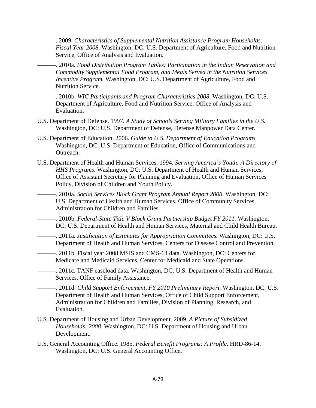- ———. 2009. *Characteristics of Supplemental Nutrition Assistance Program Households: Fiscal Year 2008*. Washington, DC: U.S. Department of Agriculture, Food and Nutrition Service, Office of Analysis and Evaluation.
- ———. 2010a. *Food Distribution Program Tables: Participation in the Indian Reservation and Commodity Supplemental Food Program, and Meals Served in the Nutrition Services Incentive Program.* Washington, DC: U.S. Department of Agriculture, Food and Nutrition Service.
- ———. 2010b. *WIC Participants and Program Characteristics 2008*. Washington, DC: U.S. Department of Agriculture, Food and Nutrition Service, Office of Analysis and Evaluation.
- U.S. Department of Defense. 1997. *A Study of Schools Serving Military Families in the U.S.*  Washington, DC: U.S. Department of Defense, Defense Manpower Data Center.
- U.S. Department of Education. 2006. *Guide to U.S. Department of Education Programs.*  Washington, DC: U.S. Department of Education, Office of Communications and Outreach.
- U.S. Department of Health and Human Services. 1994. *Serving America's Youth: A Directory of HHS Programs*. Washington, DC: U.S. Department of Health and Human Services, Office of Assistant Secretary for Planning and Evaluation, Office of Human Services Policy, Division of Children and Youth Policy.
	- ———. 2010a. *Social Services Block Grant Program Annual Report 2008.* Washington, DC: U.S. Department of Health and Human Services, Office of Community Services, Administration for Children and Families.
	- ———. 2010b. *Federal-State Title V Block Grant Partnership Budget FY 2011.* Washington, DC: U.S. Department of Health and Human Services, Maternal and Child Health Bureau.
	- ———. 2011a. *Justification of Estimates for Appropriation Committees.* Washington, DC: U.S. Department of Health and Human Services, Centers for Disease Control and Prevention.
	- ———. 2011b. Fiscal year 2008 MSIS and CMS-64 data. Washington, DC: Centers for Medicare and Medicaid Services, Center for Medicaid and State Operations.
	- -. 2011c. TANF caseload data. Washington, DC: U.S. Department of Health and Human Services, Office of Family Assistance.
	- ———. 2011d. *Child Support Enforcement, FY 2010 Preliminary Report.* Washington, DC: U.S. Department of Health and Human Services, Office of Child Support Enforcement, Administration for Children and Families, Division of Planning, Research, and Evaluation.
- U.S. Department of Housing and Urban Development. 2009. *A Picture of Subsidized Households: 2008*. Washington, DC: U.S. Department of Housing and Urban Development.
- U.S. General Accounting Office. 1985. *Federal Benefit Programs: A Profile*. HRD-86-14. Washington, DC: U.S. General Accounting Office.